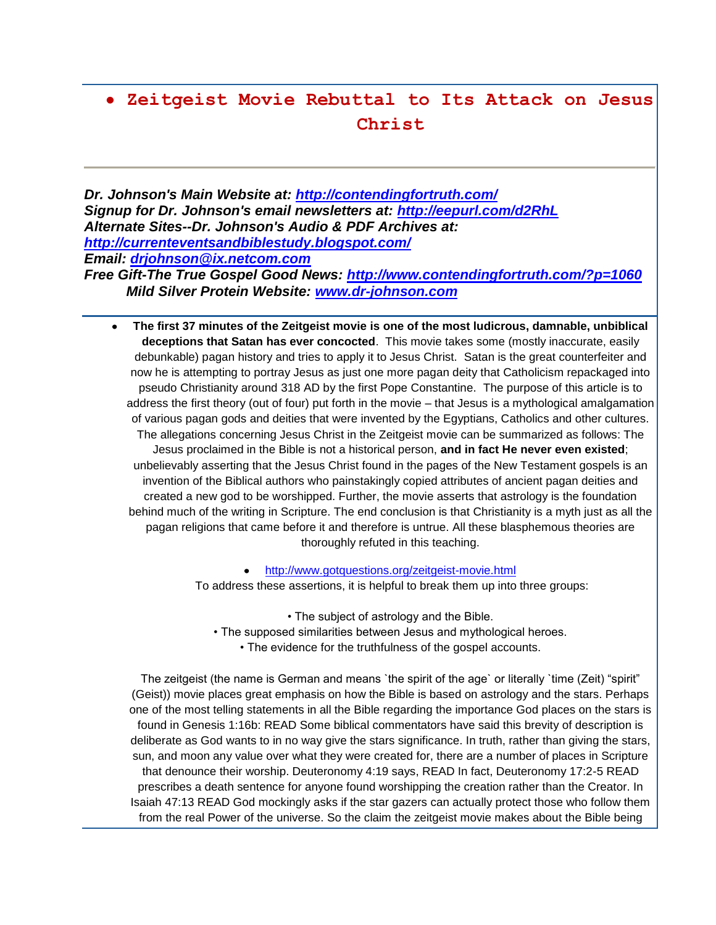# **Zeitgeist Movie Rebuttal to Its Attack on Jesus Christ**

*Dr. Johnson's Main Website at:<http://contendingfortruth.com/> Signup for Dr. Johnson's email newsletters at:<http://eepurl.com/d2RhL> Alternate Sites--Dr. Johnson's Audio & PDF Archives at: <http://currenteventsandbiblestudy.blogspot.com/> Email: [drjohnson@ix.netcom.com](mailto:drjohnson@ix.netcom.com)*

# *Free Gift-The True Gospel Good News:<http://www.contendingfortruth.com/?p=1060> Mild Silver Protein Website: [www.dr-johnson.com](http://www.dr-johnson.com/)*

**The first 37 minutes of the Zeitgeist movie is one of the most ludicrous, damnable, unbiblical**   $\bullet$ **deceptions that Satan has ever concocted**. This movie takes some (mostly inaccurate, easily debunkable) pagan history and tries to apply it to Jesus Christ. Satan is the great counterfeiter and now he is attempting to portray Jesus as just one more pagan deity that Catholicism repackaged into pseudo Christianity around 318 AD by the first Pope Constantine. The purpose of this article is to address the first theory (out of four) put forth in the movie – that Jesus is a mythological amalgamation of various pagan gods and deities that were invented by the Egyptians, Catholics and other cultures. The allegations concerning Jesus Christ in the Zeitgeist movie can be summarized as follows: The Jesus proclaimed in the Bible is not a historical person, **and in fact He never even existed**; unbelievably asserting that the Jesus Christ found in the pages of the New Testament gospels is an invention of the Biblical authors who painstakingly copied attributes of ancient pagan deities and created a new god to be worshipped. Further, the movie asserts that astrology is the foundation behind much of the writing in Scripture. The end conclusion is that Christianity is a myth just as all the pagan religions that came before it and therefore is untrue. All these blasphemous theories are thoroughly refuted in this teaching.

> <http://www.gotquestions.org/zeitgeist-movie.html> To address these assertions, it is helpful to break them up into three groups:

> > • The subject of astrology and the Bible.

- The supposed similarities between Jesus and mythological heroes.
	- The evidence for the truthfulness of the gospel accounts.

The zeitgeist (the name is German and means `the spirit of the age` or literally `time (Zeit) "spirit" (Geist)) movie places great emphasis on how the Bible is based on astrology and the stars. Perhaps one of the most telling statements in all the Bible regarding the importance God places on the stars is found in Genesis 1:16b: READ Some biblical commentators have said this brevity of description is deliberate as God wants to in no way give the stars significance. In truth, rather than giving the stars, sun, and moon any value over what they were created for, there are a number of places in Scripture that denounce their worship. Deuteronomy 4:19 says, READ In fact, Deuteronomy 17:2-5 READ prescribes a death sentence for anyone found worshipping the creation rather than the Creator. In Isaiah 47:13 READ God mockingly asks if the star gazers can actually protect those who follow them from the real Power of the universe. So the claim the zeitgeist movie makes about the Bible being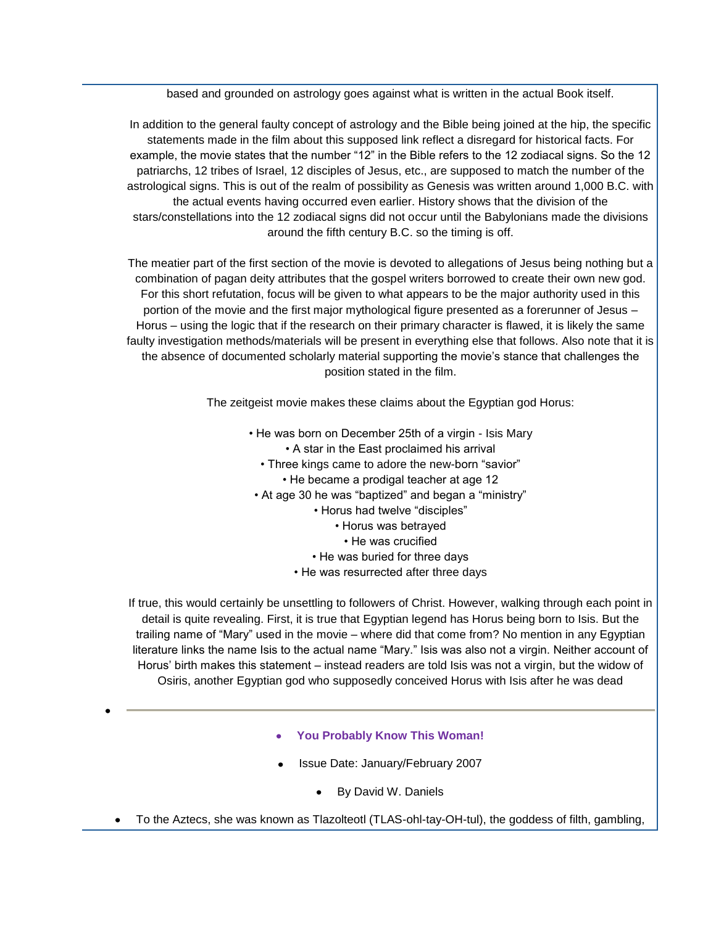based and grounded on astrology goes against what is written in the actual Book itself.

In addition to the general faulty concept of astrology and the Bible being joined at the hip, the specific statements made in the film about this supposed link reflect a disregard for historical facts. For example, the movie states that the number "12" in the Bible refers to the 12 zodiacal signs. So the 12 patriarchs, 12 tribes of Israel, 12 disciples of Jesus, etc., are supposed to match the number of the astrological signs. This is out of the realm of possibility as Genesis was written around 1,000 B.C. with the actual events having occurred even earlier. History shows that the division of the stars/constellations into the 12 zodiacal signs did not occur until the Babylonians made the divisions around the fifth century B.C. so the timing is off.

The meatier part of the first section of the movie is devoted to allegations of Jesus being nothing but a combination of pagan deity attributes that the gospel writers borrowed to create their own new god. For this short refutation, focus will be given to what appears to be the major authority used in this portion of the movie and the first major mythological figure presented as a forerunner of Jesus – Horus – using the logic that if the research on their primary character is flawed, it is likely the same faulty investigation methods/materials will be present in everything else that follows. Also note that it is the absence of documented scholarly material supporting the movie's stance that challenges the position stated in the film.

The zeitgeist movie makes these claims about the Egyptian god Horus:

- He was born on December 25th of a virgin Isis Mary
	- A star in the East proclaimed his arrival
	- Three kings came to adore the new-born "savior" • He became a prodigal teacher at age 12
- At age 30 he was "baptized" and began a "ministry"
	- Horus had twelve "disciples"
		- Horus was betrayed
			- He was crucified
	- He was buried for three days
	- He was resurrected after three days

If true, this would certainly be unsettling to followers of Christ. However, walking through each point in detail is quite revealing. First, it is true that Egyptian legend has Horus being born to Isis. But the trailing name of "Mary" used in the movie – where did that come from? No mention in any Egyptian literature links the name Isis to the actual name "Mary." Isis was also not a virgin. Neither account of Horus' birth makes this statement – instead readers are told Isis was not a virgin, but the widow of Osiris, another Egyptian god who supposedly conceived Horus with Isis after he was dead

- **You Probably Know This Woman!**
- Issue Date: January/February 2007
	- By David W. Daniels
- To the Aztecs, she was known as Tlazolteotl (TLAS-ohl-tay-OH-tul), the goddess of filth, gambling,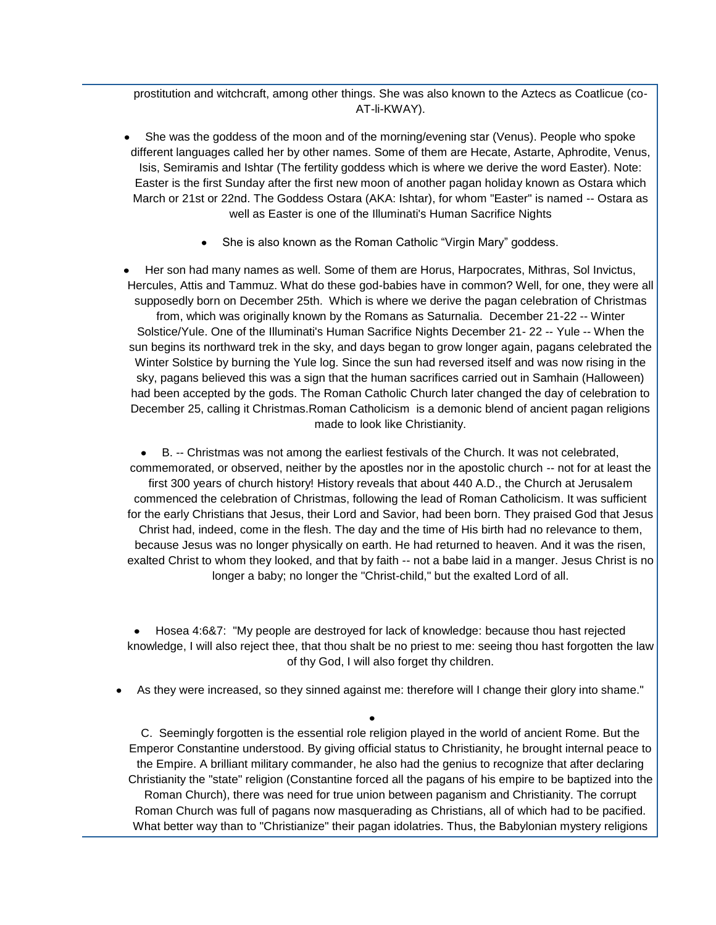prostitution and witchcraft, among other things. She was also known to the Aztecs as Coatlicue (co-AT-li-KWAY).

- She was the goddess of the moon and of the morning/evening star (Venus). People who spoke different languages called her by other names. Some of them are Hecate, Astarte, Aphrodite, Venus, Isis, Semiramis and Ishtar (The fertility goddess which is where we derive the word Easter). Note: Easter is the first Sunday after the first new moon of another pagan holiday known as Ostara which March or 21st or 22nd. The Goddess Ostara (AKA: Ishtar), for whom "Easter" is named -- Ostara as well as Easter is one of the Illuminati's Human Sacrifice Nights
	- She is also known as the Roman Catholic "Virgin Mary" goddess.

Her son had many names as well. Some of them are Horus, Harpocrates, Mithras, Sol Invictus, Hercules, Attis and Tammuz. What do these god-babies have in common? Well, for one, they were all supposedly born on December 25th. Which is where we derive the pagan celebration of Christmas from, which was originally known by the Romans as Saturnalia. December 21-22 -- Winter Solstice/Yule. One of the Illuminati's Human Sacrifice Nights December 21- 22 -- Yule -- When the sun begins its northward trek in the sky, and days began to grow longer again, pagans celebrated the Winter Solstice by burning the Yule log. Since the sun had reversed itself and was now rising in the sky, pagans believed this was a sign that the human sacrifices carried out in Samhain (Halloween) had been accepted by the gods. The Roman Catholic Church later changed the day of celebration to December 25, calling it Christmas.Roman Catholicism is a demonic blend of ancient pagan religions made to look like Christianity.

B. -- Christmas was not among the earliest festivals of the Church. It was not celebrated, commemorated, or observed, neither by the apostles nor in the apostolic church -- not for at least the first 300 years of church history! History reveals that about 440 A.D., the Church at Jerusalem commenced the celebration of Christmas, following the lead of Roman Catholicism. It was sufficient for the early Christians that Jesus, their Lord and Savior, had been born. They praised God that Jesus Christ had, indeed, come in the flesh. The day and the time of His birth had no relevance to them, because Jesus was no longer physically on earth. He had returned to heaven. And it was the risen, exalted Christ to whom they looked, and that by faith -- not a babe laid in a manger. Jesus Christ is no longer a baby; no longer the "Christ-child," but the exalted Lord of all.

Hosea 4:6&7: "My people are destroyed for lack of knowledge: because thou hast rejected knowledge, I will also reject thee, that thou shalt be no priest to me: seeing thou hast forgotten the law of thy God, I will also forget thy children.

As they were increased, so they sinned against me: therefore will I change their glory into shame."

C. Seemingly forgotten is the essential role religion played in the world of ancient Rome. But the Emperor Constantine understood. By giving official status to Christianity, he brought internal peace to the Empire. A brilliant military commander, he also had the genius to recognize that after declaring Christianity the "state" religion (Constantine forced all the pagans of his empire to be baptized into the Roman Church), there was need for true union between paganism and Christianity. The corrupt Roman Church was full of pagans now masquerading as Christians, all of which had to be pacified. What better way than to "Christianize" their pagan idolatries. Thus, the Babylonian mystery religions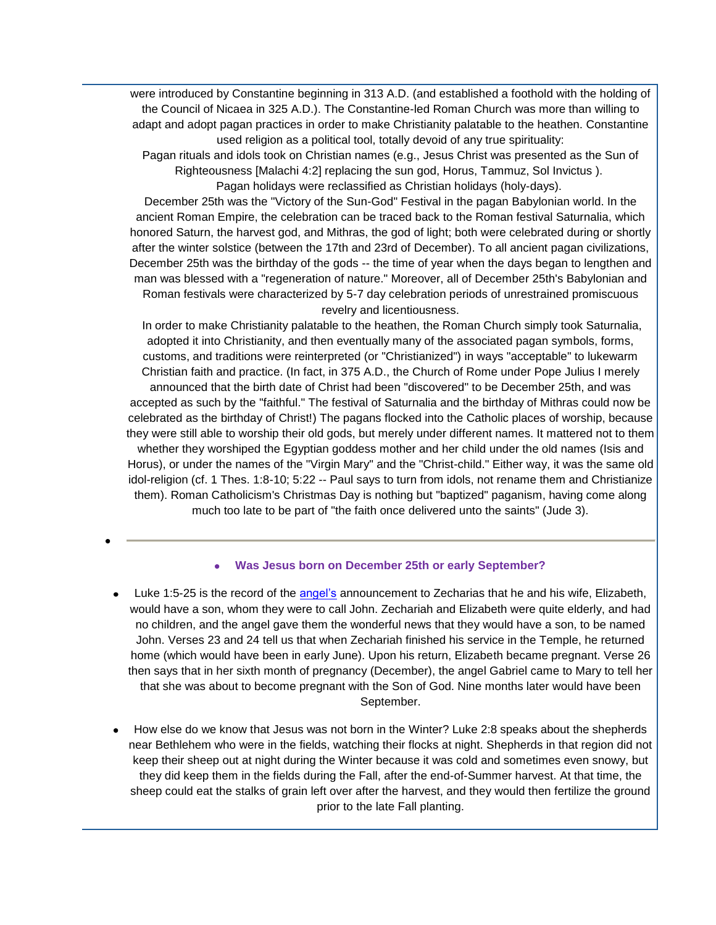were introduced by Constantine beginning in 313 A.D. (and established a foothold with the holding of the Council of Nicaea in 325 A.D.). The Constantine-led Roman Church was more than willing to adapt and adopt pagan practices in order to make Christianity palatable to the heathen. Constantine used religion as a political tool, totally devoid of any true spirituality:

Pagan rituals and idols took on Christian names (e.g., Jesus Christ was presented as the Sun of Righteousness [Malachi 4:2] replacing the sun god, Horus, Tammuz, Sol Invictus ). Pagan holidays were reclassified as Christian holidays (holy-days).

December 25th was the "Victory of the Sun-God" Festival in the pagan Babylonian world. In the ancient Roman Empire, the celebration can be traced back to the Roman festival Saturnalia, which honored Saturn, the harvest god, and Mithras, the god of light; both were celebrated during or shortly after the winter solstice (between the 17th and 23rd of December). To all ancient pagan civilizations, December 25th was the birthday of the gods -- the time of year when the days began to lengthen and man was blessed with a "regeneration of nature." Moreover, all of December 25th's Babylonian and Roman festivals were characterized by 5-7 day celebration periods of unrestrained promiscuous revelry and licentiousness.

In order to make Christianity palatable to the heathen, the Roman Church simply took Saturnalia, adopted it into Christianity, and then eventually many of the associated pagan symbols, forms, customs, and traditions were reinterpreted (or "Christianized") in ways "acceptable" to lukewarm Christian faith and practice. (In fact, in 375 A.D., the Church of Rome under Pope Julius I merely announced that the birth date of Christ had been "discovered" to be December 25th, and was accepted as such by the "faithful." The festival of Saturnalia and the birthday of Mithras could now be celebrated as the birthday of Christ!) The pagans flocked into the Catholic places of worship, because they were still able to worship their old gods, but merely under different names. It mattered not to them whether they worshiped the Egyptian goddess mother and her child under the old names (Isis and Horus), or under the names of the "Virgin Mary" and the "Christ-child." Either way, it was the same old idol-religion (cf. 1 Thes. 1:8-10; 5:22 -- Paul says to turn from idols, not rename them and Christianize them). Roman Catholicism's Christmas Day is nothing but "baptized" paganism, having come along much too late to be part of "the faith once delivered unto the saints" (Jude 3).

#### **Was Jesus born on December 25th or early September?**

- Luke 1:5-25 is the record of the [angel's](http://www.truthortradition.com/modules.php?name=News&file=article&sid=448) announcement to Zecharias that he and his wife, Elizabeth, would have a son, whom they were to call John. Zechariah and Elizabeth were quite elderly, and had no children, and the angel gave them the wonderful news that they would have a son, to be named John. Verses 23 and 24 tell us that when Zechariah finished his service in the Temple, he returned home (which would have been in early June). Upon his return, Elizabeth became pregnant. Verse 26 then says that in her sixth month of pregnancy (December), the angel Gabriel came to Mary to tell her that she was about to become pregnant with the Son of God. Nine months later would have been September.
- How else do we know that Jesus was not born in the Winter? Luke 2:8 speaks about the shepherds near Bethlehem who were in the fields, watching their flocks at night. Shepherds in that region did not keep their sheep out at night during the Winter because it was cold and sometimes even snowy, but they did keep them in the fields during the Fall, after the end-of-Summer harvest. At that time, the sheep could eat the stalks of grain left over after the harvest, and they would then fertilize the ground prior to the late Fall planting.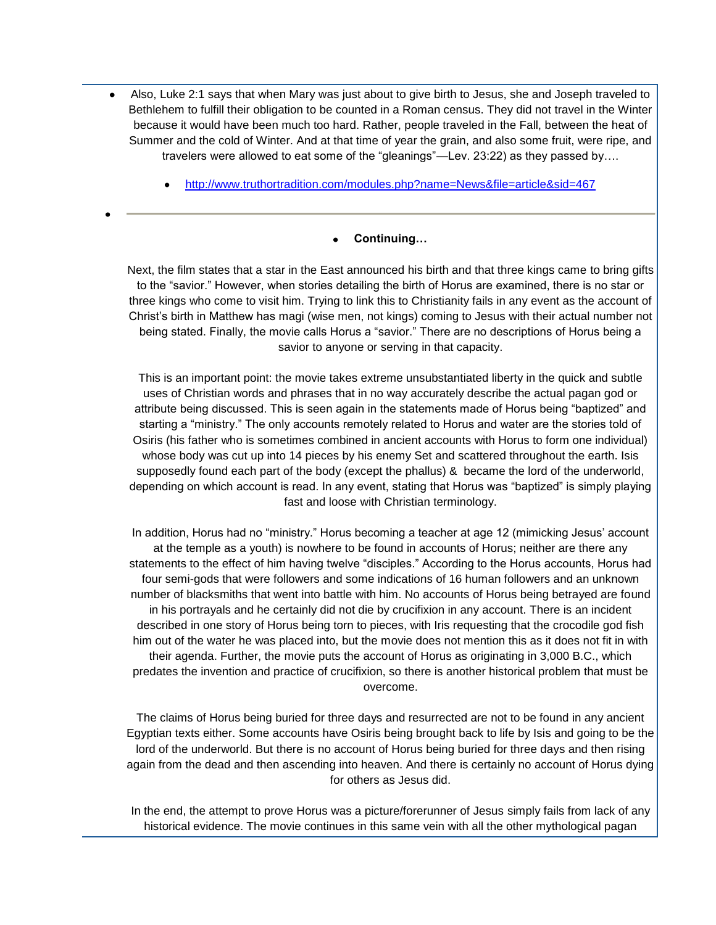- Also, Luke 2:1 says that when Mary was just about to give birth to Jesus, she and Joseph traveled to Bethlehem to fulfill their obligation to be counted in a Roman census. They did not travel in the Winter because it would have been much too hard. Rather, people traveled in the Fall, between the heat of Summer and the cold of Winter. And at that time of year the grain, and also some fruit, were ripe, and travelers were allowed to eat some of the "gleanings"—Lev. 23:22) as they passed by….
	- <http://www.truthortradition.com/modules.php?name=News&file=article&sid=467>

#### **Continuing…**

Next, the film states that a star in the East announced his birth and that three kings came to bring gifts to the "savior." However, when stories detailing the birth of Horus are examined, there is no star or three kings who come to visit him. Trying to link this to Christianity fails in any event as the account of Christ's birth in Matthew has magi (wise men, not kings) coming to Jesus with their actual number not being stated. Finally, the movie calls Horus a "savior." There are no descriptions of Horus being a savior to anyone or serving in that capacity.

This is an important point: the movie takes extreme unsubstantiated liberty in the quick and subtle uses of Christian words and phrases that in no way accurately describe the actual pagan god or attribute being discussed. This is seen again in the statements made of Horus being "baptized" and starting a "ministry." The only accounts remotely related to Horus and water are the stories told of Osiris (his father who is sometimes combined in ancient accounts with Horus to form one individual) whose body was cut up into 14 pieces by his enemy Set and scattered throughout the earth. Isis supposedly found each part of the body (except the phallus) & became the lord of the underworld, depending on which account is read. In any event, stating that Horus was "baptized" is simply playing fast and loose with Christian terminology.

In addition, Horus had no "ministry." Horus becoming a teacher at age 12 (mimicking Jesus' account at the temple as a youth) is nowhere to be found in accounts of Horus; neither are there any statements to the effect of him having twelve "disciples." According to the Horus accounts, Horus had four semi-gods that were followers and some indications of 16 human followers and an unknown number of blacksmiths that went into battle with him. No accounts of Horus being betrayed are found in his portrayals and he certainly did not die by crucifixion in any account. There is an incident described in one story of Horus being torn to pieces, with Iris requesting that the crocodile god fish him out of the water he was placed into, but the movie does not mention this as it does not fit in with their agenda. Further, the movie puts the account of Horus as originating in 3,000 B.C., which predates the invention and practice of crucifixion, so there is another historical problem that must be overcome.

The claims of Horus being buried for three days and resurrected are not to be found in any ancient Egyptian texts either. Some accounts have Osiris being brought back to life by Isis and going to be the lord of the underworld. But there is no account of Horus being buried for three days and then rising again from the dead and then ascending into heaven. And there is certainly no account of Horus dying for others as Jesus did.

In the end, the attempt to prove Horus was a picture/forerunner of Jesus simply fails from lack of any historical evidence. The movie continues in this same vein with all the other mythological pagan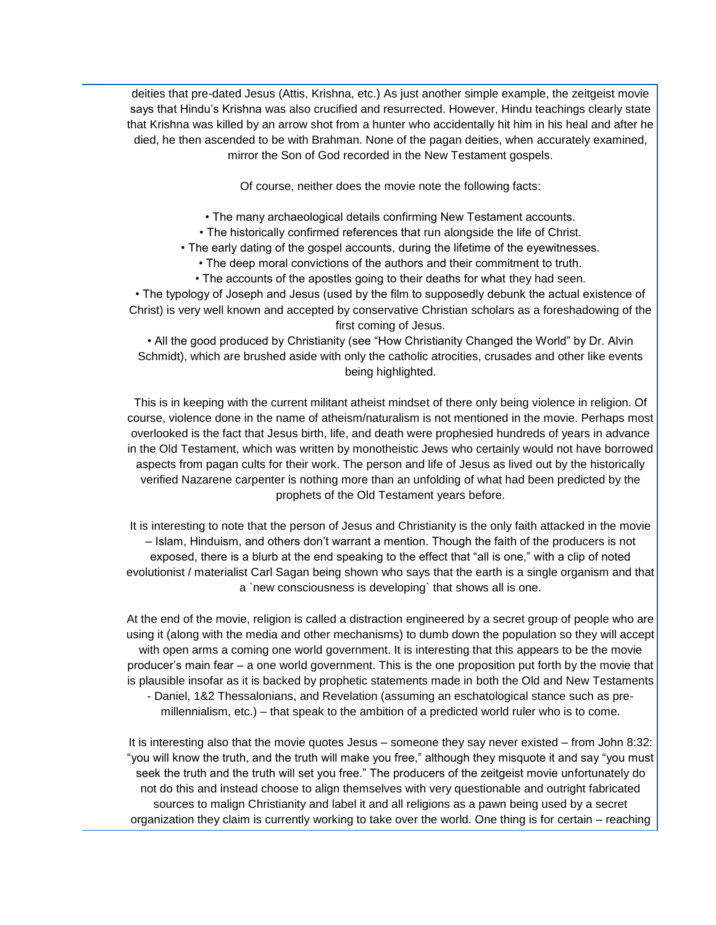deities that pre-dated Jesus (Attis, Krishna, etc.) As just another simple example, the zeitgeist movie says that Hindu's Krishna was also crucified and resurrected. However, Hindu teachings clearly state that Krishna was killed by an arrow shot from a hunter who accidentally hit him in his heal and after he died, he then ascended to be with Brahman. None of the pagan deities, when accurately examined, mirror the Son of God recorded in the New Testament gospels.

Of course, neither does the movie note the following facts:

• The many archaeological details confirming New Testament accounts.

• The historically confirmed references that run alongside the life of Christ.

• The early dating of the gospel accounts, during the lifetime of the eyewitnesses.

• The deep moral convictions of the authors and their commitment to truth.

• The accounts of the apostles going to their deaths for what they had seen.

• The typology of Joseph and Jesus (used by the film to supposedly debunk the actual existence of Christ) is very well known and accepted by conservative Christian scholars as a foreshadowing of the first coming of Jesus.

• All the good produced by Christianity (see "How Christianity Changed the World" by Dr. Alvin Schmidt), which are brushed aside with only the catholic atrocities, crusades and other like events being highlighted.

This is in keeping with the current militant atheist mindset of there only being violence in religion. Of course, violence done in the name of atheism/naturalism is not mentioned in the movie. Perhaps most overlooked is the fact that Jesus birth, life, and death were prophesied hundreds of years in advance in the Old Testament, which was written by monotheistic Jews who certainly would not have borrowed aspects from pagan cults for their work. The person and life of Jesus as lived out by the historically verified Nazarene carpenter is nothing more than an unfolding of what had been predicted by the prophets of the Old Testament years before.

It is interesting to note that the person of Jesus and Christianity is the only faith attacked in the movie – Islam, Hinduism, and others don't warrant a mention. Though the faith of the producers is not exposed, there is a blurb at the end speaking to the effect that "all is one," with a clip of noted evolutionist / materialist Carl Sagan being shown who says that the earth is a single organism and that a `new consciousness is developing` that shows all is one.

At the end of the movie, religion is called a distraction engineered by a secret group of people who are using it (along with the media and other mechanisms) to dumb down the population so they will accept with open arms a coming one world government. It is interesting that this appears to be the movie producer's main fear – a one world government. This is the one proposition put forth by the movie that is plausible insofar as it is backed by prophetic statements made in both the Old and New Testaments - Daniel, 1&2 Thessalonians, and Revelation (assuming an eschatological stance such as premillennialism, etc.) – that speak to the ambition of a predicted world ruler who is to come.

It is interesting also that the movie quotes Jesus – someone they say never existed – from John 8:32: "you will know the truth, and the truth will make you free," although they misquote it and say "you must seek the truth and the truth will set you free." The producers of the zeitgeist movie unfortunately do not do this and instead choose to align themselves with very questionable and outright fabricated sources to malign Christianity and label it and all religions as a pawn being used by a secret organization they claim is currently working to take over the world. One thing is for certain – reaching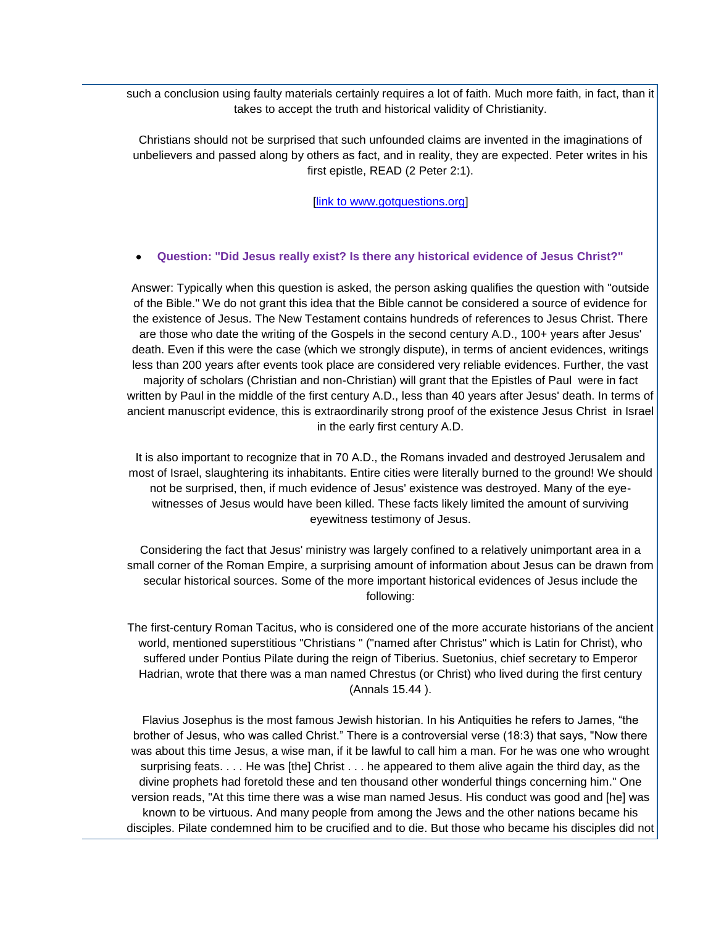such a conclusion using faulty materials certainly requires a lot of faith. Much more faith, in fact, than it takes to accept the truth and historical validity of Christianity.

Christians should not be surprised that such unfounded claims are invented in the imaginations of unbelievers and passed along by others as fact, and in reality, they are expected. Peter writes in his first epistle, READ (2 Peter 2:1).

[\[link to www.gotquestions.org\]](http://www.gotquestions.org/zeitgeist-movie.html)

#### **Question: "Did Jesus really exist? Is there any historical evidence of Jesus Christ?"**

Answer: Typically when this question is asked, the person asking qualifies the question with "outside of the Bible." We do not grant this idea that the Bible cannot be considered a source of evidence for the existence of Jesus. The New Testament contains hundreds of references to Jesus Christ. There are those who date the writing of the Gospels in the second century A.D., 100+ years after Jesus' death. Even if this were the case (which we strongly dispute), in terms of ancient evidences, writings less than 200 years after events took place are considered very reliable evidences. Further, the vast majority of scholars (Christian and non-Christian) will grant that the Epistles of Paul were in fact written by Paul in the middle of the first century A.D., less than 40 years after Jesus' death. In terms of ancient manuscript evidence, this is extraordinarily strong proof of the existence Jesus Christ in Israel in the early first century A.D.

It is also important to recognize that in 70 A.D., the Romans invaded and destroyed Jerusalem and most of Israel, slaughtering its inhabitants. Entire cities were literally burned to the ground! We should not be surprised, then, if much evidence of Jesus' existence was destroyed. Many of the eyewitnesses of Jesus would have been killed. These facts likely limited the amount of surviving eyewitness testimony of Jesus.

Considering the fact that Jesus' ministry was largely confined to a relatively unimportant area in a small corner of the Roman Empire, a surprising amount of information about Jesus can be drawn from secular historical sources. Some of the more important historical evidences of Jesus include the following:

The first-century Roman Tacitus, who is considered one of the more accurate historians of the ancient world, mentioned superstitious "Christians " ("named after Christus" which is Latin for Christ), who suffered under Pontius Pilate during the reign of Tiberius. Suetonius, chief secretary to Emperor Hadrian, wrote that there was a man named Chrestus (or Christ) who lived during the first century (Annals 15.44 ).

Flavius Josephus is the most famous Jewish historian. In his Antiquities he refers to James, "the brother of Jesus, who was called Christ." There is a controversial verse (18:3) that says, "Now there was about this time Jesus, a wise man, if it be lawful to call him a man. For he was one who wrought surprising feats. . . . He was [the] Christ . . . he appeared to them alive again the third day, as the divine prophets had foretold these and ten thousand other wonderful things concerning him." One version reads, "At this time there was a wise man named Jesus. His conduct was good and [he] was known to be virtuous. And many people from among the Jews and the other nations became his disciples. Pilate condemned him to be crucified and to die. But those who became his disciples did not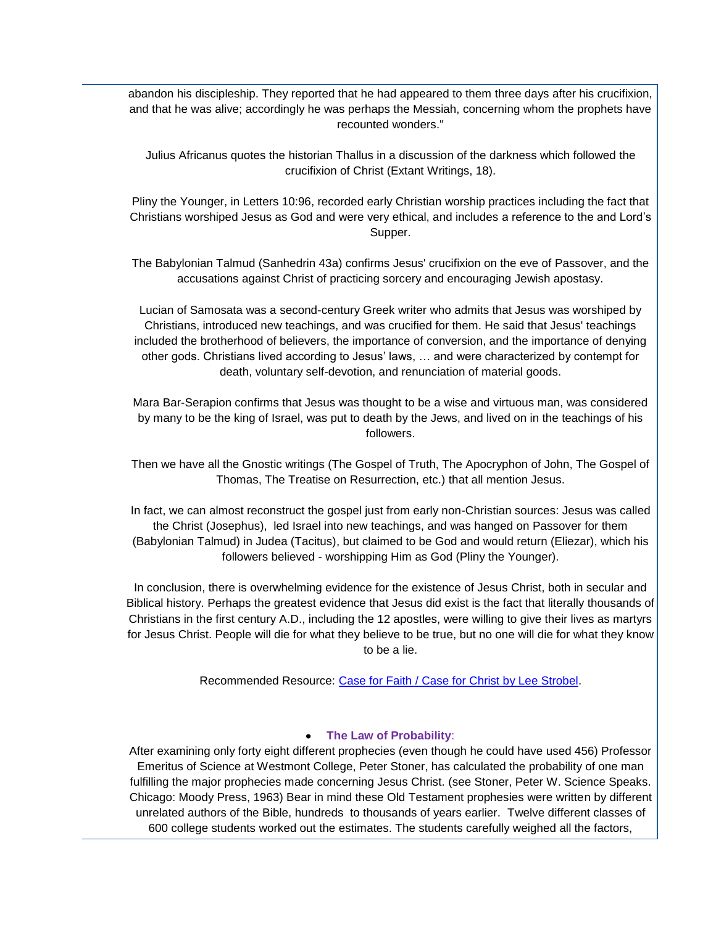abandon his discipleship. They reported that he had appeared to them three days after his crucifixion, and that he was alive; accordingly he was perhaps the Messiah, concerning whom the prophets have recounted wonders."

Julius Africanus quotes the historian Thallus in a discussion of the darkness which followed the crucifixion of Christ (Extant Writings, 18).

Pliny the Younger, in Letters 10:96, recorded early Christian worship practices including the fact that Christians worshiped Jesus as God and were very ethical, and includes a reference to the and Lord's Supper.

The Babylonian Talmud (Sanhedrin 43a) confirms Jesus' crucifixion on the eve of Passover, and the accusations against Christ of practicing sorcery and encouraging Jewish apostasy.

Lucian of Samosata was a second-century Greek writer who admits that Jesus was worshiped by Christians, introduced new teachings, and was crucified for them. He said that Jesus' teachings included the brotherhood of believers, the importance of conversion, and the importance of denying other gods. Christians lived according to Jesus' laws, … and were characterized by contempt for death, voluntary self-devotion, and renunciation of material goods.

Mara Bar-Serapion confirms that Jesus was thought to be a wise and virtuous man, was considered by many to be the king of Israel, was put to death by the Jews, and lived on in the teachings of his followers.

Then we have all the Gnostic writings (The Gospel of Truth, The Apocryphon of John, The Gospel of Thomas, The Treatise on Resurrection, etc.) that all mention Jesus.

In fact, we can almost reconstruct the gospel just from early non-Christian sources: Jesus was called the Christ (Josephus), led Israel into new teachings, and was hanged on Passover for them (Babylonian Talmud) in Judea (Tacitus), but claimed to be God and would return (Eliezar), which his followers believed - worshipping Him as God (Pliny the Younger).

In conclusion, there is overwhelming evidence for the existence of Jesus Christ, both in secular and Biblical history. Perhaps the greatest evidence that Jesus did exist is the fact that literally thousands of Christians in the first century A.D., including the 12 apostles, were willing to give their lives as martyrs for Jesus Christ. People will die for what they believe to be true, but no one will die for what they know to be a lie.

Recommended Resource: [Case for Faith / Case for Christ by Lee Strobel.](http://www.christianbook.com/Christian/Books/easy_find?event=AFF&p=1011693&N=0&Ne=1000&Ns=product.number_sold&Nso=1&Ntk=product.long_title_desc|product.full_auth_name&Ntt=Case|Strobel&Nu=product.endeca_rollup)

#### **The Law of Probability**:

After examining only forty eight different prophecies (even though he could have used 456) Professor Emeritus of Science at Westmont College, Peter Stoner, has calculated the probability of one man fulfilling the major prophecies made concerning Jesus Christ. (see Stoner, Peter W. Science Speaks. Chicago: Moody Press, 1963) Bear in mind these Old Testament prophesies were written by different unrelated authors of the Bible, hundreds to thousands of years earlier. Twelve different classes of 600 college students worked out the estimates. The students carefully weighed all the factors,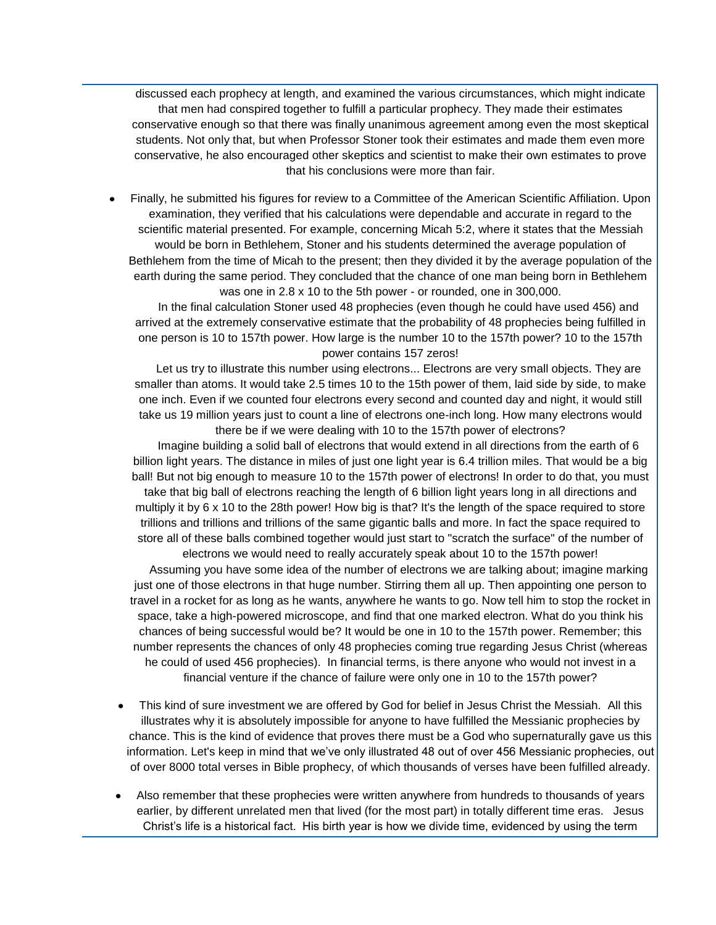discussed each prophecy at length, and examined the various circumstances, which might indicate that men had conspired together to fulfill a particular prophecy. They made their estimates conservative enough so that there was finally unanimous agreement among even the most skeptical students. Not only that, but when Professor Stoner took their estimates and made them even more conservative, he also encouraged other skeptics and scientist to make their own estimates to prove that his conclusions were more than fair.

Finally, he submitted his figures for review to a Committee of the American Scientific Affiliation. Upon examination, they verified that his calculations were dependable and accurate in regard to the scientific material presented. For example, concerning Micah 5:2, where it states that the Messiah would be born in Bethlehem, Stoner and his students determined the average population of Bethlehem from the time of Micah to the present; then they divided it by the average population of the earth during the same period. They concluded that the chance of one man being born in Bethlehem was one in 2.8 x 10 to the 5th power - or rounded, one in 300,000.

 In the final calculation Stoner used 48 prophecies (even though he could have used 456) and arrived at the extremely conservative estimate that the probability of 48 prophecies being fulfilled in one person is 10 to 157th power. How large is the number 10 to the 157th power? 10 to the 157th power contains 157 zeros!

Let us try to illustrate this number using electrons... Electrons are very small objects. They are smaller than atoms. It would take 2.5 times 10 to the 15th power of them, laid side by side, to make one inch. Even if we counted four electrons every second and counted day and night, it would still take us 19 million years just to count a line of electrons one-inch long. How many electrons would there be if we were dealing with 10 to the 157th power of electrons?

 Imagine building a solid ball of electrons that would extend in all directions from the earth of 6 billion light years. The distance in miles of just one light year is 6.4 trillion miles. That would be a big ball! But not big enough to measure 10 to the 157th power of electrons! In order to do that, you must take that big ball of electrons reaching the length of 6 billion light years long in all directions and multiply it by 6 x 10 to the 28th power! How big is that? It's the length of the space required to store trillions and trillions and trillions of the same gigantic balls and more. In fact the space required to store all of these balls combined together would just start to "scratch the surface" of the number of electrons we would need to really accurately speak about 10 to the 157th power!

 Assuming you have some idea of the number of electrons we are talking about; imagine marking just one of those electrons in that huge number. Stirring them all up. Then appointing one person to travel in a rocket for as long as he wants, anywhere he wants to go. Now tell him to stop the rocket in space, take a high-powered microscope, and find that one marked electron. What do you think his chances of being successful would be? It would be one in 10 to the 157th power. Remember; this number represents the chances of only 48 prophecies coming true regarding Jesus Christ (whereas he could of used 456 prophecies). In financial terms, is there anyone who would not invest in a financial venture if the chance of failure were only one in 10 to the 157th power?

- This kind of sure investment we are offered by God for belief in Jesus Christ the Messiah. All this illustrates why it is absolutely impossible for anyone to have fulfilled the Messianic prophecies by chance. This is the kind of evidence that proves there must be a God who supernaturally gave us this information. Let's keep in mind that we've only illustrated 48 out of over 456 Messianic prophecies, out of over 8000 total verses in Bible prophecy, of which thousands of verses have been fulfilled already.
- Also remember that these prophecies were written anywhere from hundreds to thousands of years earlier, by different unrelated men that lived (for the most part) in totally different time eras. Jesus Christ's life is a historical fact. His birth year is how we divide time, evidenced by using the term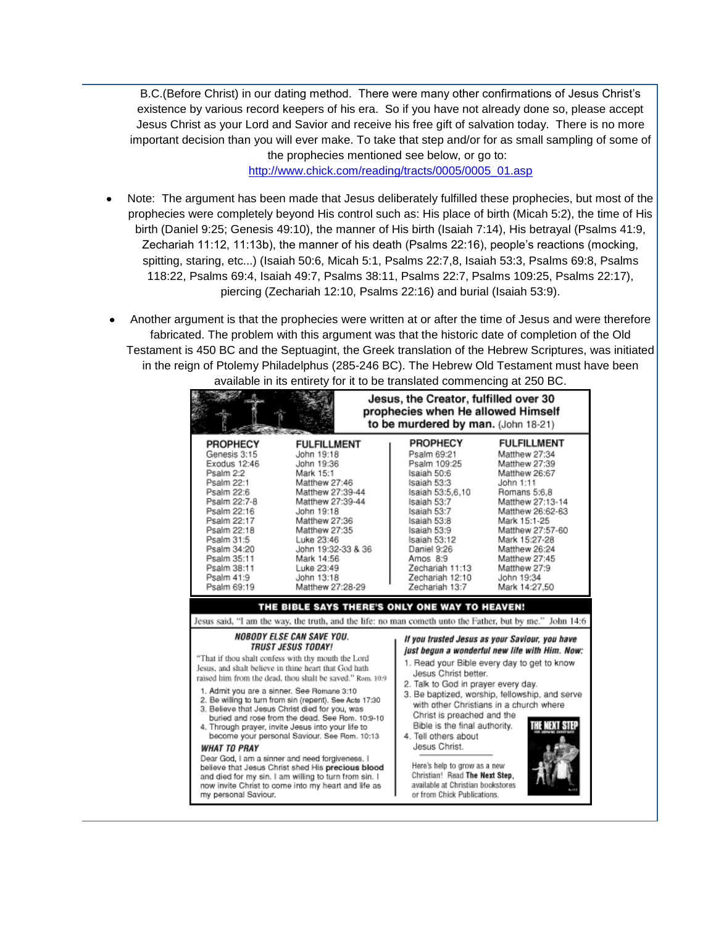B.C.(Before Christ) in our dating method. There were many other confirmations of Jesus Christ's existence by various record keepers of his era. So if you have not already done so, please accept Jesus Christ as your Lord and Savior and receive his free gift of salvation today. There is no more important decision than you will ever make. To take that step and/or for as small sampling of some of

the prophecies mentioned see below, or go to: [http://www.chick.com/reading/tracts/0005/0005\\_01.asp](http://www.chick.com/reading/tracts/0005/0005_01.asp)

- Note: The argument has been made that Jesus deliberately fulfilled these prophecies, but most of the prophecies were completely beyond His control such as: His place of birth (Micah 5:2), the time of His birth (Daniel 9:25; Genesis 49:10), the manner of His birth (Isaiah 7:14), His betrayal (Psalms 41:9, Zechariah 11:12, 11:13b), the manner of his death (Psalms 22:16), people's reactions (mocking, spitting, staring, etc...) (Isaiah 50:6, Micah 5:1, Psalms 22:7,8, Isaiah 53:3, Psalms 69:8, Psalms 118:22, Psalms 69:4, Isaiah 49:7, Psalms 38:11, Psalms 22:7, Psalms 109:25, Psalms 22:17), piercing (Zechariah 12:10, Psalms 22:16) and burial (Isaiah 53:9).
- Another argument is that the prophecies were written at or after the time of Jesus and were therefore fabricated. The problem with this argument was that the historic date of completion of the Old Testament is 450 BC and the Septuagint, the Greek translation of the Hebrew Scriptures, was initiated in the reign of Ptolemy Philadelphus (285-246 BC). The Hebrew Old Testament must have been available in its entirety for it to be translated commencing at 250 BC.

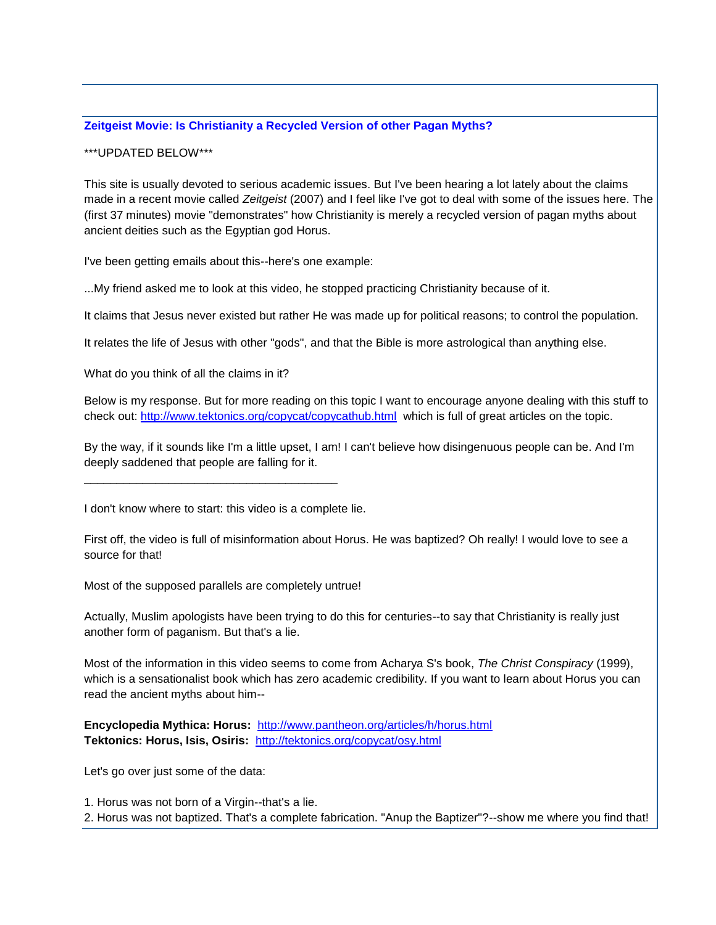## **[Zeitgeist Movie: Is Christianity a Recycled Version of other Pagan Myths?](http://singinginthereign.blogspot.com/2007/07/zeitgeist-movie-is-christianity.html)**

\*\*\*UPDATED BELOW\*\*\*

This site is usually devoted to serious academic issues. But I've been hearing a lot lately about the claims made in a recent movie called *Zeitgeist* (2007) and I feel like I've got to deal with some of the issues here. The (first 37 minutes) movie "demonstrates" how Christianity is merely a recycled version of pagan myths about ancient deities such as the Egyptian god Horus.

I've been getting emails about this--here's one example:

...My friend asked me to look at this video, he stopped practicing Christianity because of it.

It claims that Jesus never existed but rather He was made up for political reasons; to control the population.

It relates the life of Jesus with other "gods", and that the Bible is more astrological than anything else.

What do you think of all the claims in it?

Below is my response. But for more reading on this topic I want to encourage anyone dealing with this stuff to check out: <http://www.tektonics.org/copycat/copycathub.html> which is full of great articles on the topic.

By the way, if it sounds like I'm a little upset, I am! I can't believe how disingenuous people can be. And I'm deeply saddened that people are falling for it.

I don't know where to start: this video is a complete lie.

\_\_\_\_\_\_\_\_\_\_\_\_\_\_\_\_\_\_\_\_\_\_\_\_\_\_\_\_\_\_\_\_\_\_\_\_\_\_\_

First off, the video is full of misinformation about Horus. He was baptized? Oh really! I would love to see a source for that!

Most of the supposed parallels are completely untrue!

Actually, Muslim apologists have been trying to do this for centuries--to say that Christianity is really just another form of paganism. But that's a lie.

Most of the information in this video seems to come from Acharya S's book, *The Christ Conspiracy* (1999), which is a sensationalist book which has zero academic credibility. If you want to learn about Horus you can read the ancient myths about him--

**Encyclopedia Mythica: Horus:** <http://www.pantheon.org/articles/h/horus.html> **Tektonics: Horus, Isis, Osiris:** <http://tektonics.org/copycat/osy.html>

Let's go over just some of the data:

1. Horus was not born of a Virgin--that's a lie.

2. Horus was not baptized. That's a complete fabrication. "Anup the Baptizer"?--show me where you find that!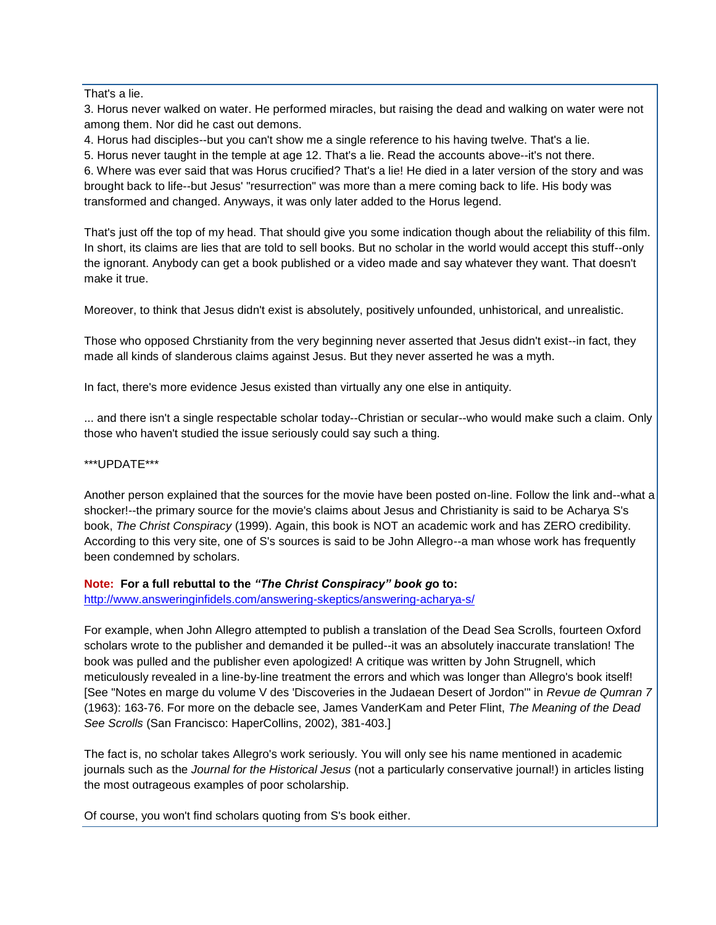That's a lie.

3. Horus never walked on water. He performed miracles, but raising the dead and walking on water were not among them. Nor did he cast out demons.

4. Horus had disciples--but you can't show me a single reference to his having twelve. That's a lie.

5. Horus never taught in the temple at age 12. That's a lie. Read the accounts above--it's not there.

6. Where was ever said that was Horus crucified? That's a lie! He died in a later version of the story and was brought back to life--but Jesus' "resurrection" was more than a mere coming back to life. His body was transformed and changed. Anyways, it was only later added to the Horus legend.

That's just off the top of my head. That should give you some indication though about the reliability of this film. In short, its claims are lies that are told to sell books. But no scholar in the world would accept this stuff--only the ignorant. Anybody can get a book published or a video made and say whatever they want. That doesn't make it true.

Moreover, to think that Jesus didn't exist is absolutely, positively unfounded, unhistorical, and unrealistic.

Those who opposed Chrstianity from the very beginning never asserted that Jesus didn't exist--in fact, they made all kinds of slanderous claims against Jesus. But they never asserted he was a myth.

In fact, there's more evidence Jesus existed than virtually any one else in antiquity.

... and there isn't a single respectable scholar today--Christian or secular--who would make such a claim. Only those who haven't studied the issue seriously could say such a thing.

\*\*\*UPDATE\*\*\*

Another person explained that the sources for the movie have been posted on-line. Follow the link and--what a shocker!--the primary source for the movie's claims about Jesus and Christianity is said to be Acharya S's book, *The Christ Conspiracy* (1999). Again, this book is NOT an academic work and has ZERO credibility. According to this very site, one of S's sources is said to be John Allegro--a man whose work has frequently been condemned by scholars.

## **Note: For a full rebuttal to the** *"The Christ Conspiracy" book g***o to:**

<http://www.answeringinfidels.com/answering-skeptics/answering-acharya-s/>

For example, when John Allegro attempted to publish a translation of the Dead Sea Scrolls, fourteen Oxford scholars wrote to the publisher and demanded it be pulled--it was an absolutely inaccurate translation! The book was pulled and the publisher even apologized! A critique was written by John Strugnell, which meticulously revealed in a line-by-line treatment the errors and which was longer than Allegro's book itself! [See "Notes en marge du volume V des 'Discoveries in the Judaean Desert of Jordon'" in *Revue de Qumran 7*  (1963): 163-76. For more on the debacle see, James VanderKam and Peter Flint, *The Meaning of the Dead See Scrolls* (San Francisco: HaperCollins, 2002), 381-403.]

The fact is, no scholar takes Allegro's work seriously. You will only see his name mentioned in academic journals such as the *Journal for the Historical Jesus* (not a particularly conservative journal!) in articles listing the most outrageous examples of poor scholarship.

Of course, you won't find scholars quoting from S's book either.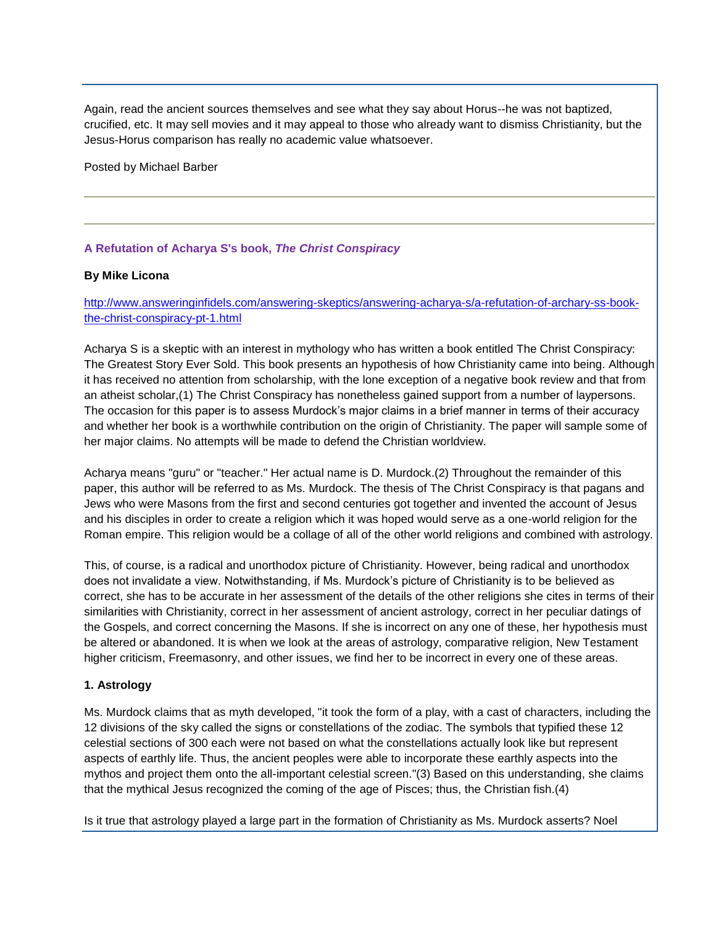Again, read the ancient sources themselves and see what they say about Horus--he was not baptized, crucified, etc. It may sell movies and it may appeal to those who already want to dismiss Christianity, but the Jesus-Horus comparison has really no academic value whatsoever.

Posted by Michael Barber

## **A Refutation of Acharya S's book,** *The Christ Conspiracy*

## **By Mike Licona**

[http://www.answeringinfidels.com/answering-skeptics/answering-acharya-s/a-refutation-of-archary-ss-book](http://www.answeringinfidels.com/answering-skeptics/answering-acharya-s/a-refutation-of-archary-ss-book-the-christ-conspiracy-pt-1.html)[the-christ-conspiracy-pt-1.html](http://www.answeringinfidels.com/answering-skeptics/answering-acharya-s/a-refutation-of-archary-ss-book-the-christ-conspiracy-pt-1.html)

Acharya S is a skeptic with an interest in mythology who has written a book entitled The Christ Conspiracy: The Greatest Story Ever Sold. This book presents an hypothesis of how Christianity came into being. Although it has received no attention from scholarship, with the lone exception of a negative book review and that from an atheist scholar,(1) The Christ Conspiracy has nonetheless gained support from a number of laypersons. The occasion for this paper is to assess Murdock's major claims in a brief manner in terms of their accuracy and whether her book is a worthwhile contribution on the origin of Christianity. The paper will sample some of her major claims. No attempts will be made to defend the Christian worldview.

Acharya means "guru" or "teacher." Her actual name is D. Murdock.(2) Throughout the remainder of this paper, this author will be referred to as Ms. Murdock. The thesis of The Christ Conspiracy is that pagans and Jews who were Masons from the first and second centuries got together and invented the account of Jesus and his disciples in order to create a religion which it was hoped would serve as a one-world religion for the Roman empire. This religion would be a collage of all of the other world religions and combined with astrology.

This, of course, is a radical and unorthodox picture of Christianity. However, being radical and unorthodox does not invalidate a view. Notwithstanding, if Ms. Murdock's picture of Christianity is to be believed as correct, she has to be accurate in her assessment of the details of the other religions she cites in terms of their similarities with Christianity, correct in her assessment of ancient astrology, correct in her peculiar datings of the Gospels, and correct concerning the Masons. If she is incorrect on any one of these, her hypothesis must be altered or abandoned. It is when we look at the areas of astrology, comparative religion, New Testament higher criticism, Freemasonry, and other issues, we find her to be incorrect in every one of these areas.

## **1. Astrology**

Ms. Murdock claims that as myth developed, "it took the form of a play, with a cast of characters, including the 12 divisions of the sky called the signs or constellations of the zodiac. The symbols that typified these 12 celestial sections of 300 each were not based on what the constellations actually look like but represent aspects of earthly life. Thus, the ancient peoples were able to incorporate these earthly aspects into the mythos and project them onto the all-important celestial screen."(3) Based on this understanding, she claims that the mythical Jesus recognized the coming of the age of Pisces; thus, the Christian fish.(4)

Is it true that astrology played a large part in the formation of Christianity as Ms. Murdock asserts? Noel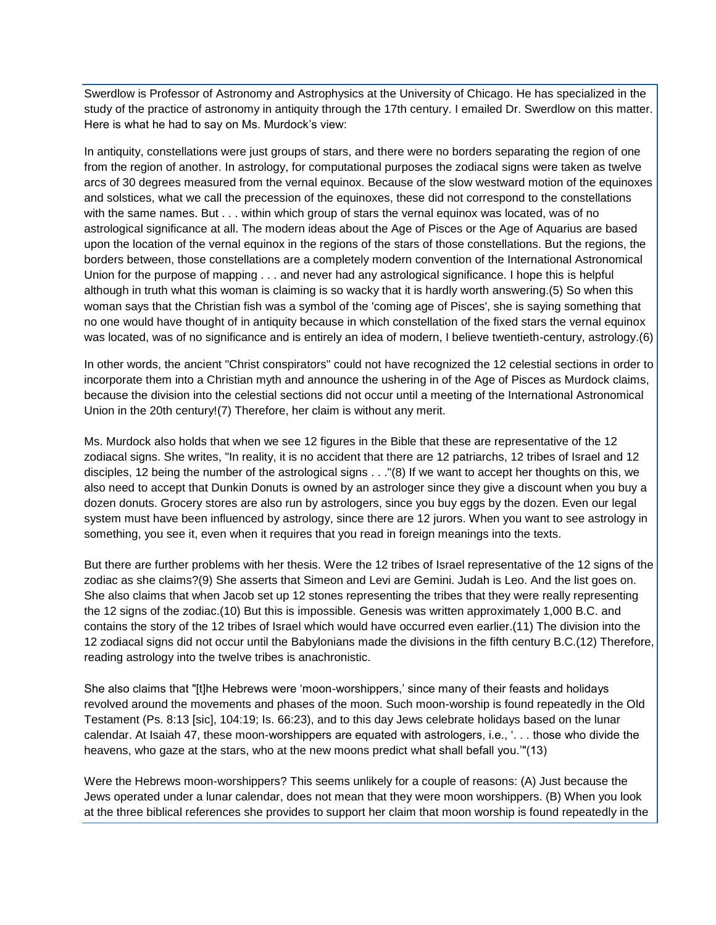Swerdlow is Professor of Astronomy and Astrophysics at the University of Chicago. He has specialized in the study of the practice of astronomy in antiquity through the 17th century. I emailed Dr. Swerdlow on this matter. Here is what he had to say on Ms. Murdock's view:

In antiquity, constellations were just groups of stars, and there were no borders separating the region of one from the region of another. In astrology, for computational purposes the zodiacal signs were taken as twelve arcs of 30 degrees measured from the vernal equinox. Because of the slow westward motion of the equinoxes and solstices, what we call the precession of the equinoxes, these did not correspond to the constellations with the same names. But . . . within which group of stars the vernal equinox was located, was of no astrological significance at all. The modern ideas about the Age of Pisces or the Age of Aquarius are based upon the location of the vernal equinox in the regions of the stars of those constellations. But the regions, the borders between, those constellations are a completely modern convention of the International Astronomical Union for the purpose of mapping . . . and never had any astrological significance. I hope this is helpful although in truth what this woman is claiming is so wacky that it is hardly worth answering.(5) So when this woman says that the Christian fish was a symbol of the 'coming age of Pisces', she is saying something that no one would have thought of in antiquity because in which constellation of the fixed stars the vernal equinox was located, was of no significance and is entirely an idea of modern, I believe twentieth-century, astrology.(6)

In other words, the ancient "Christ conspirators" could not have recognized the 12 celestial sections in order to incorporate them into a Christian myth and announce the ushering in of the Age of Pisces as Murdock claims, because the division into the celestial sections did not occur until a meeting of the International Astronomical Union in the 20th century!(7) Therefore, her claim is without any merit.

Ms. Murdock also holds that when we see 12 figures in the Bible that these are representative of the 12 zodiacal signs. She writes, "In reality, it is no accident that there are 12 patriarchs, 12 tribes of Israel and 12 disciples, 12 being the number of the astrological signs . . ."(8) If we want to accept her thoughts on this, we also need to accept that Dunkin Donuts is owned by an astrologer since they give a discount when you buy a dozen donuts. Grocery stores are also run by astrologers, since you buy eggs by the dozen. Even our legal system must have been influenced by astrology, since there are 12 jurors. When you want to see astrology in something, you see it, even when it requires that you read in foreign meanings into the texts.

But there are further problems with her thesis. Were the 12 tribes of Israel representative of the 12 signs of the zodiac as she claims?(9) She asserts that Simeon and Levi are Gemini. Judah is Leo. And the list goes on. She also claims that when Jacob set up 12 stones representing the tribes that they were really representing the 12 signs of the zodiac.(10) But this is impossible. Genesis was written approximately 1,000 B.C. and contains the story of the 12 tribes of Israel which would have occurred even earlier.(11) The division into the 12 zodiacal signs did not occur until the Babylonians made the divisions in the fifth century B.C.(12) Therefore, reading astrology into the twelve tribes is anachronistic.

She also claims that "[t]he Hebrews were 'moon-worshippers,' since many of their feasts and holidays revolved around the movements and phases of the moon. Such moon-worship is found repeatedly in the Old Testament (Ps. 8:13 [sic], 104:19; Is. 66:23), and to this day Jews celebrate holidays based on the lunar calendar. At Isaiah 47, these moon-worshippers are equated with astrologers, i.e., '. . . those who divide the heavens, who gaze at the stars, who at the new moons predict what shall befall you.'"(13)

Were the Hebrews moon-worshippers? This seems unlikely for a couple of reasons: (A) Just because the Jews operated under a lunar calendar, does not mean that they were moon worshippers. (B) When you look at the three biblical references she provides to support her claim that moon worship is found repeatedly in the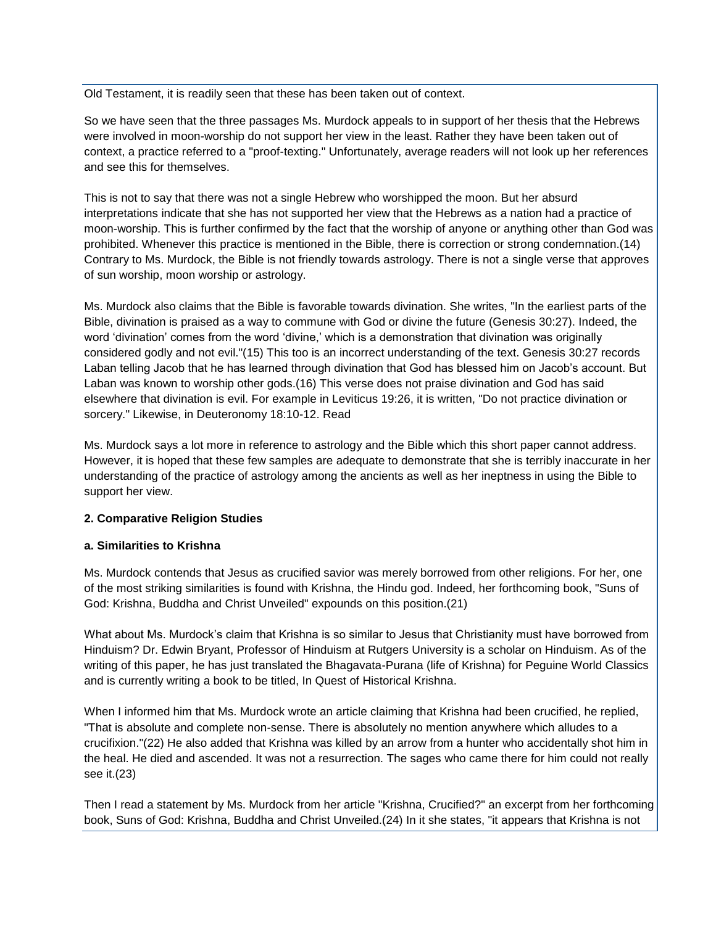Old Testament, it is readily seen that these has been taken out of context.

So we have seen that the three passages Ms. Murdock appeals to in support of her thesis that the Hebrews were involved in moon-worship do not support her view in the least. Rather they have been taken out of context, a practice referred to a "proof-texting." Unfortunately, average readers will not look up her references and see this for themselves.

This is not to say that there was not a single Hebrew who worshipped the moon. But her absurd interpretations indicate that she has not supported her view that the Hebrews as a nation had a practice of moon-worship. This is further confirmed by the fact that the worship of anyone or anything other than God was prohibited. Whenever this practice is mentioned in the Bible, there is correction or strong condemnation.(14) Contrary to Ms. Murdock, the Bible is not friendly towards astrology. There is not a single verse that approves of sun worship, moon worship or astrology.

Ms. Murdock also claims that the Bible is favorable towards divination. She writes, "In the earliest parts of the Bible, divination is praised as a way to commune with God or divine the future (Genesis 30:27). Indeed, the word 'divination' comes from the word 'divine,' which is a demonstration that divination was originally considered godly and not evil."(15) This too is an incorrect understanding of the text. Genesis 30:27 records Laban telling Jacob that he has learned through divination that God has blessed him on Jacob's account. But Laban was known to worship other gods.(16) This verse does not praise divination and God has said elsewhere that divination is evil. For example in Leviticus 19:26, it is written, "Do not practice divination or sorcery." Likewise, in Deuteronomy 18:10-12. Read

Ms. Murdock says a lot more in reference to astrology and the Bible which this short paper cannot address. However, it is hoped that these few samples are adequate to demonstrate that she is terribly inaccurate in her understanding of the practice of astrology among the ancients as well as her ineptness in using the Bible to support her view.

## **2. Comparative Religion Studies**

#### **a. Similarities to Krishna**

Ms. Murdock contends that Jesus as crucified savior was merely borrowed from other religions. For her, one of the most striking similarities is found with Krishna, the Hindu god. Indeed, her forthcoming book, "Suns of God: Krishna, Buddha and Christ Unveiled" expounds on this position.(21)

What about Ms. Murdock's claim that Krishna is so similar to Jesus that Christianity must have borrowed from Hinduism? Dr. Edwin Bryant, Professor of Hinduism at Rutgers University is a scholar on Hinduism. As of the writing of this paper, he has just translated the Bhagavata-Purana (life of Krishna) for Peguine World Classics and is currently writing a book to be titled, In Quest of Historical Krishna.

When I informed him that Ms. Murdock wrote an article claiming that Krishna had been crucified, he replied, "That is absolute and complete non-sense. There is absolutely no mention anywhere which alludes to a crucifixion."(22) He also added that Krishna was killed by an arrow from a hunter who accidentally shot him in the heal. He died and ascended. It was not a resurrection. The sages who came there for him could not really see it.(23)

Then I read a statement by Ms. Murdock from her article "Krishna, Crucified?" an excerpt from her forthcoming book, Suns of God: Krishna, Buddha and Christ Unveiled.(24) In it she states, "it appears that Krishna is not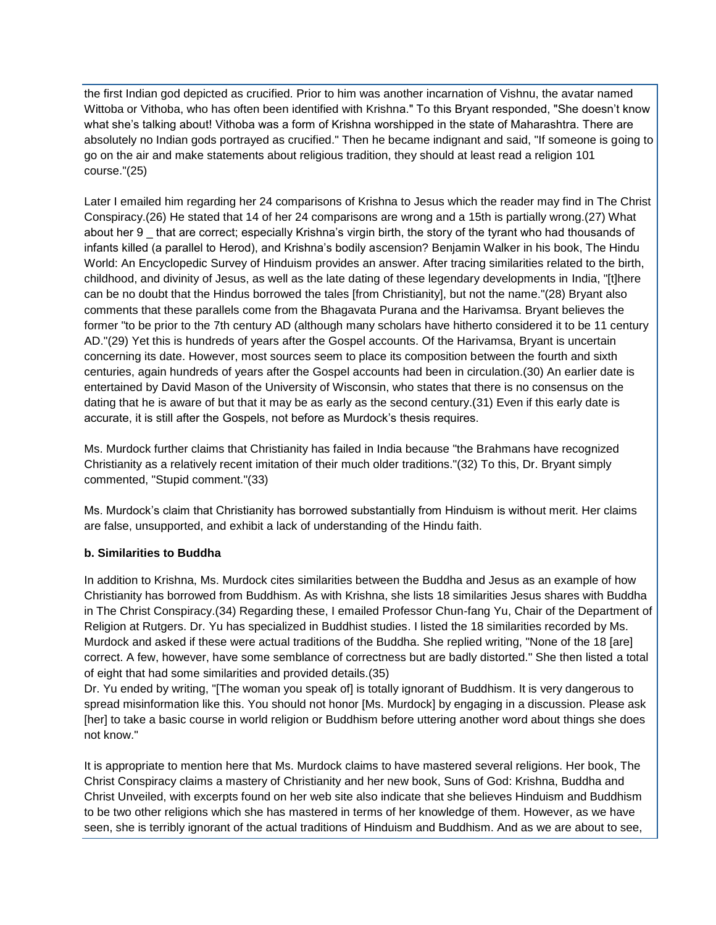the first Indian god depicted as crucified. Prior to him was another incarnation of Vishnu, the avatar named Wittoba or Vithoba, who has often been identified with Krishna." To this Bryant responded, "She doesn't know what she's talking about! Vithoba was a form of Krishna worshipped in the state of Maharashtra. There are absolutely no Indian gods portrayed as crucified." Then he became indignant and said, "If someone is going to go on the air and make statements about religious tradition, they should at least read a religion 101 course."(25)

Later I emailed him regarding her 24 comparisons of Krishna to Jesus which the reader may find in The Christ Conspiracy.(26) He stated that 14 of her 24 comparisons are wrong and a 15th is partially wrong.(27) What about her 9 that are correct; especially Krishna's virgin birth, the story of the tyrant who had thousands of infants killed (a parallel to Herod), and Krishna's bodily ascension? Benjamin Walker in his book, The Hindu World: An Encyclopedic Survey of Hinduism provides an answer. After tracing similarities related to the birth, childhood, and divinity of Jesus, as well as the late dating of these legendary developments in India, "[t]here can be no doubt that the Hindus borrowed the tales [from Christianity], but not the name."(28) Bryant also comments that these parallels come from the Bhagavata Purana and the Harivamsa. Bryant believes the former "to be prior to the 7th century AD (although many scholars have hitherto considered it to be 11 century AD."(29) Yet this is hundreds of years after the Gospel accounts. Of the Harivamsa, Bryant is uncertain concerning its date. However, most sources seem to place its composition between the fourth and sixth centuries, again hundreds of years after the Gospel accounts had been in circulation.(30) An earlier date is entertained by David Mason of the University of Wisconsin, who states that there is no consensus on the dating that he is aware of but that it may be as early as the second century.(31) Even if this early date is accurate, it is still after the Gospels, not before as Murdock's thesis requires.

Ms. Murdock further claims that Christianity has failed in India because "the Brahmans have recognized Christianity as a relatively recent imitation of their much older traditions."(32) To this, Dr. Bryant simply commented, "Stupid comment."(33)

Ms. Murdock's claim that Christianity has borrowed substantially from Hinduism is without merit. Her claims are false, unsupported, and exhibit a lack of understanding of the Hindu faith.

## **b. Similarities to Buddha**

In addition to Krishna, Ms. Murdock cites similarities between the Buddha and Jesus as an example of how Christianity has borrowed from Buddhism. As with Krishna, she lists 18 similarities Jesus shares with Buddha in The Christ Conspiracy.(34) Regarding these, I emailed Professor Chun-fang Yu, Chair of the Department of Religion at Rutgers. Dr. Yu has specialized in Buddhist studies. I listed the 18 similarities recorded by Ms. Murdock and asked if these were actual traditions of the Buddha. She replied writing, "None of the 18 [are] correct. A few, however, have some semblance of correctness but are badly distorted." She then listed a total of eight that had some similarities and provided details.(35)

Dr. Yu ended by writing, "[The woman you speak of] is totally ignorant of Buddhism. It is very dangerous to spread misinformation like this. You should not honor [Ms. Murdock] by engaging in a discussion. Please ask [her] to take a basic course in world religion or Buddhism before uttering another word about things she does not know."

It is appropriate to mention here that Ms. Murdock claims to have mastered several religions. Her book, The Christ Conspiracy claims a mastery of Christianity and her new book, Suns of God: Krishna, Buddha and Christ Unveiled, with excerpts found on her web site also indicate that she believes Hinduism and Buddhism to be two other religions which she has mastered in terms of her knowledge of them. However, as we have seen, she is terribly ignorant of the actual traditions of Hinduism and Buddhism. And as we are about to see,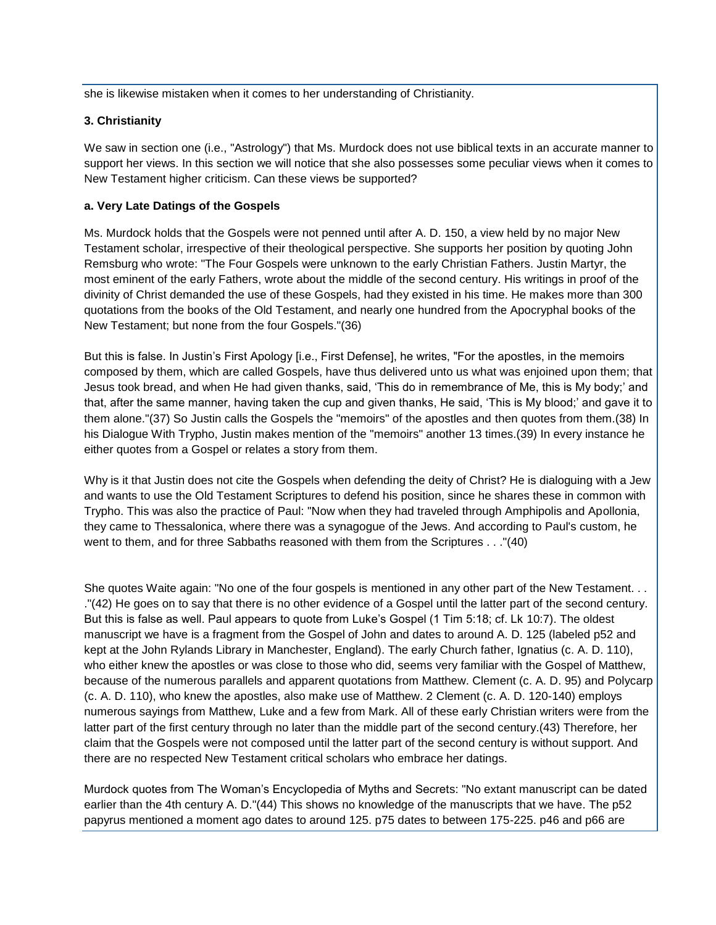she is likewise mistaken when it comes to her understanding of Christianity.

#### **3. Christianity**

We saw in section one (i.e., "Astrology") that Ms. Murdock does not use biblical texts in an accurate manner to support her views. In this section we will notice that she also possesses some peculiar views when it comes to New Testament higher criticism. Can these views be supported?

## **a. Very Late Datings of the Gospels**

Ms. Murdock holds that the Gospels were not penned until after A. D. 150, a view held by no major New Testament scholar, irrespective of their theological perspective. She supports her position by quoting John Remsburg who wrote: "The Four Gospels were unknown to the early Christian Fathers. Justin Martyr, the most eminent of the early Fathers, wrote about the middle of the second century. His writings in proof of the divinity of Christ demanded the use of these Gospels, had they existed in his time. He makes more than 300 quotations from the books of the Old Testament, and nearly one hundred from the Apocryphal books of the New Testament; but none from the four Gospels."(36)

But this is false. In Justin's First Apology [i.e., First Defense], he writes, "For the apostles, in the memoirs composed by them, which are called Gospels, have thus delivered unto us what was enjoined upon them; that Jesus took bread, and when He had given thanks, said, 'This do in remembrance of Me, this is My body;' and that, after the same manner, having taken the cup and given thanks, He said, 'This is My blood;' and gave it to them alone."(37) So Justin calls the Gospels the "memoirs" of the apostles and then quotes from them.(38) In his Dialogue With Trypho, Justin makes mention of the "memoirs" another 13 times.(39) In every instance he either quotes from a Gospel or relates a story from them.

Why is it that Justin does not cite the Gospels when defending the deity of Christ? He is dialoguing with a Jew and wants to use the Old Testament Scriptures to defend his position, since he shares these in common with Trypho. This was also the practice of Paul: "Now when they had traveled through Amphipolis and Apollonia, they came to Thessalonica, where there was a synagogue of the Jews. And according to Paul's custom, he went to them, and for three Sabbaths reasoned with them from the Scriptures . . ."(40)

She quotes Waite again: "No one of the four gospels is mentioned in any other part of the New Testament. . . ."(42) He goes on to say that there is no other evidence of a Gospel until the latter part of the second century. But this is false as well. Paul appears to quote from Luke's Gospel (1 Tim 5:18; cf. Lk 10:7). The oldest manuscript we have is a fragment from the Gospel of John and dates to around A. D. 125 (labeled p52 and kept at the John Rylands Library in Manchester, England). The early Church father, Ignatius (c. A. D. 110), who either knew the apostles or was close to those who did, seems very familiar with the Gospel of Matthew, because of the numerous parallels and apparent quotations from Matthew. Clement (c. A. D. 95) and Polycarp (c. A. D. 110), who knew the apostles, also make use of Matthew. 2 Clement (c. A. D. 120-140) employs numerous sayings from Matthew, Luke and a few from Mark. All of these early Christian writers were from the latter part of the first century through no later than the middle part of the second century.(43) Therefore, her claim that the Gospels were not composed until the latter part of the second century is without support. And there are no respected New Testament critical scholars who embrace her datings.

Murdock quotes from The Woman's Encyclopedia of Myths and Secrets: "No extant manuscript can be dated earlier than the 4th century A. D."(44) This shows no knowledge of the manuscripts that we have. The p52 papyrus mentioned a moment ago dates to around 125. p75 dates to between 175-225. p46 and p66 are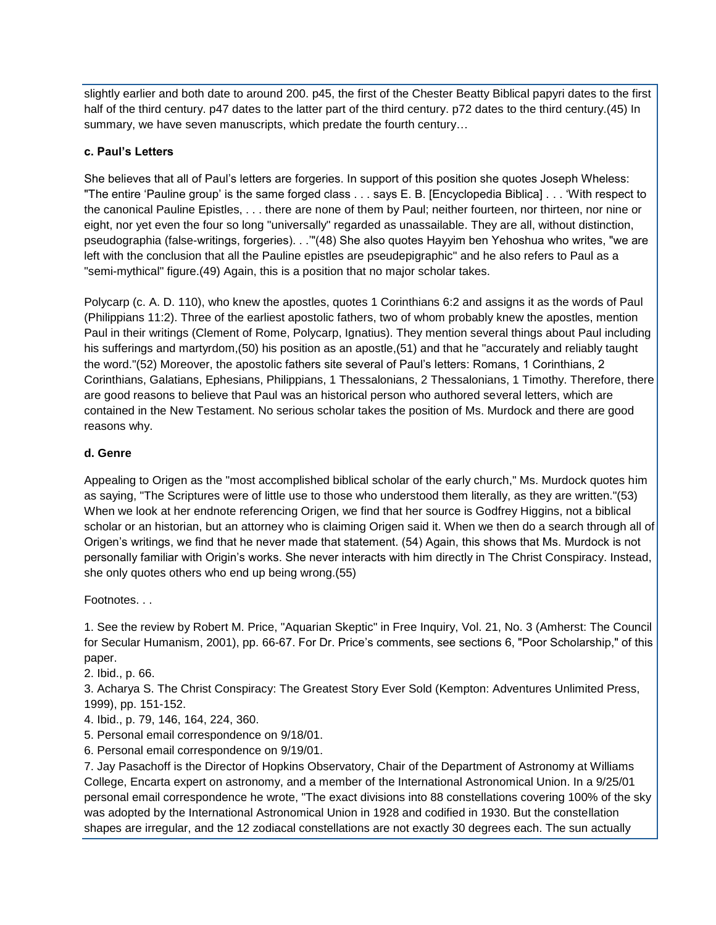slightly earlier and both date to around 200. p45, the first of the Chester Beatty Biblical papyri dates to the first half of the third century. p47 dates to the latter part of the third century. p72 dates to the third century.(45) In summary, we have seven manuscripts, which predate the fourth century…

## **c. Paul's Letters**

She believes that all of Paul's letters are forgeries. In support of this position she quotes Joseph Wheless: "The entire 'Pauline group' is the same forged class . . . says E. B. [Encyclopedia Biblica] . . . 'With respect to the canonical Pauline Epistles, . . . there are none of them by Paul; neither fourteen, nor thirteen, nor nine or eight, nor yet even the four so long "universally" regarded as unassailable. They are all, without distinction, pseudographia (false-writings, forgeries). . .'"(48) She also quotes Hayyim ben Yehoshua who writes, "we are left with the conclusion that all the Pauline epistles are pseudepigraphic" and he also refers to Paul as a "semi-mythical" figure.(49) Again, this is a position that no major scholar takes.

Polycarp (c. A. D. 110), who knew the apostles, quotes 1 Corinthians 6:2 and assigns it as the words of Paul (Philippians 11:2). Three of the earliest apostolic fathers, two of whom probably knew the apostles, mention Paul in their writings (Clement of Rome, Polycarp, Ignatius). They mention several things about Paul including his sufferings and martyrdom,(50) his position as an apostle,(51) and that he "accurately and reliably taught the word."(52) Moreover, the apostolic fathers site several of Paul's letters: Romans, 1 Corinthians, 2 Corinthians, Galatians, Ephesians, Philippians, 1 Thessalonians, 2 Thessalonians, 1 Timothy. Therefore, there are good reasons to believe that Paul was an historical person who authored several letters, which are contained in the New Testament. No serious scholar takes the position of Ms. Murdock and there are good reasons why.

## **d. Genre**

Appealing to Origen as the "most accomplished biblical scholar of the early church," Ms. Murdock quotes him as saying, "The Scriptures were of little use to those who understood them literally, as they are written."(53) When we look at her endnote referencing Origen, we find that her source is Godfrey Higgins, not a biblical scholar or an historian, but an attorney who is claiming Origen said it. When we then do a search through all of Origen's writings, we find that he never made that statement. (54) Again, this shows that Ms. Murdock is not personally familiar with Origin's works. She never interacts with him directly in The Christ Conspiracy. Instead, she only quotes others who end up being wrong.(55)

Footnotes. . .

1. See the review by Robert M. Price, "Aquarian Skeptic" in Free Inquiry, Vol. 21, No. 3 (Amherst: The Council for Secular Humanism, 2001), pp. 66-67. For Dr. Price's comments, see sections 6, "Poor Scholarship," of this paper.

2. Ibid., p. 66.

3. Acharya S. The Christ Conspiracy: The Greatest Story Ever Sold (Kempton: Adventures Unlimited Press, 1999), pp. 151-152.

- 4. Ibid., p. 79, 146, 164, 224, 360.
- 5. Personal email correspondence on 9/18/01.
- 6. Personal email correspondence on 9/19/01.

7. Jay Pasachoff is the Director of Hopkins Observatory, Chair of the Department of Astronomy at Williams College, Encarta expert on astronomy, and a member of the International Astronomical Union. In a 9/25/01 personal email correspondence he wrote, "The exact divisions into 88 constellations covering 100% of the sky was adopted by the International Astronomical Union in 1928 and codified in 1930. But the constellation shapes are irregular, and the 12 zodiacal constellations are not exactly 30 degrees each. The sun actually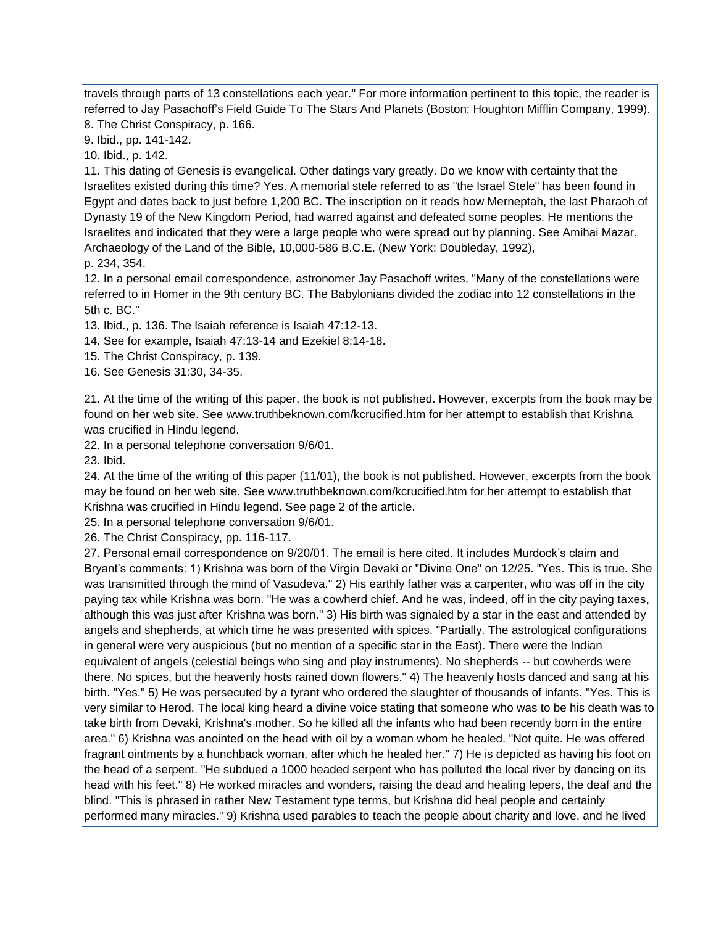travels through parts of 13 constellations each year." For more information pertinent to this topic, the reader is referred to Jay Pasachoff's Field Guide To The Stars And Planets (Boston: Houghton Mifflin Company, 1999).

8. The Christ Conspiracy, p. 166.

9. Ibid., pp. 141-142. 10. Ibid., p. 142.

11. This dating of Genesis is evangelical. Other datings vary greatly. Do we know with certainty that the Israelites existed during this time? Yes. A memorial stele referred to as "the Israel Stele" has been found in Egypt and dates back to just before 1,200 BC. The inscription on it reads how Merneptah, the last Pharaoh of Dynasty 19 of the New Kingdom Period, had warred against and defeated some peoples. He mentions the Israelites and indicated that they were a large people who were spread out by planning. See Amihai Mazar. Archaeology of the Land of the Bible, 10,000-586 B.C.E. (New York: Doubleday, 1992), p. 234, 354.

12. In a personal email correspondence, astronomer Jay Pasachoff writes, "Many of the constellations were referred to in Homer in the 9th century BC. The Babylonians divided the zodiac into 12 constellations in the 5th c. BC."

13. Ibid., p. 136. The Isaiah reference is Isaiah 47:12-13.

14. See for example, Isaiah 47:13-14 and Ezekiel 8:14-18.

15. The Christ Conspiracy, p. 139.

16. See Genesis 31:30, 34-35.

21. At the time of the writing of this paper, the book is not published. However, excerpts from the book may be found on her web site. See www.truthbeknown.com/kcrucified.htm for her attempt to establish that Krishna was crucified in Hindu legend.

22. In a personal telephone conversation 9/6/01.

23. Ibid.

24. At the time of the writing of this paper (11/01), the book is not published. However, excerpts from the book may be found on her web site. See www.truthbeknown.com/kcrucified.htm for her attempt to establish that Krishna was crucified in Hindu legend. See page 2 of the article.

25. In a personal telephone conversation 9/6/01.

26. The Christ Conspiracy, pp. 116-117.

27. Personal email correspondence on 9/20/01. The email is here cited. It includes Murdock's claim and Bryant's comments: 1) Krishna was born of the Virgin Devaki or "Divine One" on 12/25. "Yes. This is true. She was transmitted through the mind of Vasudeva." 2) His earthly father was a carpenter, who was off in the city paying tax while Krishna was born. "He was a cowherd chief. And he was, indeed, off in the city paying taxes, although this was just after Krishna was born." 3) His birth was signaled by a star in the east and attended by angels and shepherds, at which time he was presented with spices. "Partially. The astrological configurations in general were very auspicious (but no mention of a specific star in the East). There were the Indian equivalent of angels (celestial beings who sing and play instruments). No shepherds -- but cowherds were there. No spices, but the heavenly hosts rained down flowers." 4) The heavenly hosts danced and sang at his birth. "Yes." 5) He was persecuted by a tyrant who ordered the slaughter of thousands of infants. "Yes. This is very similar to Herod. The local king heard a divine voice stating that someone who was to be his death was to take birth from Devaki, Krishna's mother. So he killed all the infants who had been recently born in the entire area." 6) Krishna was anointed on the head with oil by a woman whom he healed. "Not quite. He was offered fragrant ointments by a hunchback woman, after which he healed her." 7) He is depicted as having his foot on the head of a serpent. "He subdued a 1000 headed serpent who has polluted the local river by dancing on its head with his feet." 8) He worked miracles and wonders, raising the dead and healing lepers, the deaf and the blind. "This is phrased in rather New Testament type terms, but Krishna did heal people and certainly performed many miracles." 9) Krishna used parables to teach the people about charity and love, and he lived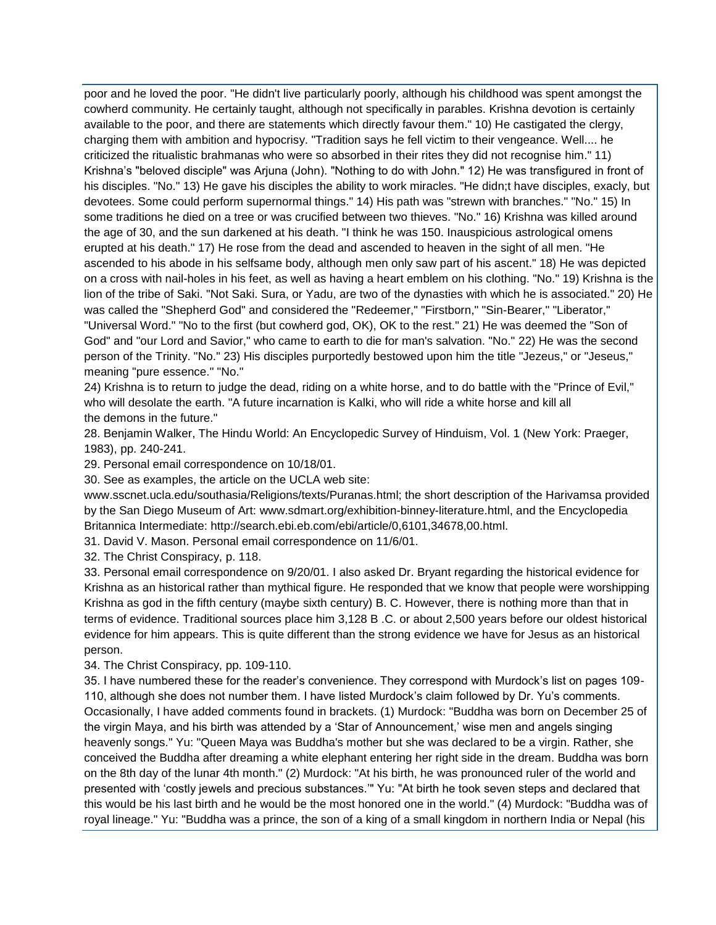poor and he loved the poor. "He didn't live particularly poorly, although his childhood was spent amongst the cowherd community. He certainly taught, although not specifically in parables. Krishna devotion is certainly available to the poor, and there are statements which directly favour them." 10) He castigated the clergy, charging them with ambition and hypocrisy. "Tradition says he fell victim to their vengeance. Well.... he criticized the ritualistic brahmanas who were so absorbed in their rites they did not recognise him." 11) Krishna's "beloved disciple" was Arjuna (John). "Nothing to do with John." 12) He was transfigured in front of his disciples. "No." 13) He gave his disciples the ability to work miracles. "He didn;t have disciples, exacly, but devotees. Some could perform supernormal things." 14) His path was "strewn with branches." "No." 15) In some traditions he died on a tree or was crucified between two thieves. "No." 16) Krishna was killed around the age of 30, and the sun darkened at his death. "I think he was 150. Inauspicious astrological omens erupted at his death." 17) He rose from the dead and ascended to heaven in the sight of all men. "He ascended to his abode in his selfsame body, although men only saw part of his ascent." 18) He was depicted on a cross with nail-holes in his feet, as well as having a heart emblem on his clothing. "No." 19) Krishna is the lion of the tribe of Saki. "Not Saki. Sura, or Yadu, are two of the dynasties with which he is associated." 20) He was called the "Shepherd God" and considered the "Redeemer," "Firstborn," "Sin-Bearer," "Liberator," "Universal Word." "No to the first (but cowherd god, OK), OK to the rest." 21) He was deemed the "Son of God" and "our Lord and Savior," who came to earth to die for man's salvation. "No." 22) He was the second person of the Trinity. "No." 23) His disciples purportedly bestowed upon him the title "Jezeus," or "Jeseus," meaning "pure essence." "No."

24) Krishna is to return to judge the dead, riding on a white horse, and to do battle with the "Prince of Evil," who will desolate the earth. "A future incarnation is Kalki, who will ride a white horse and kill all the demons in the future."

28. Benjamin Walker, The Hindu World: An Encyclopedic Survey of Hinduism, Vol. 1 (New York: Praeger, 1983), pp. 240-241.

29. Personal email correspondence on 10/18/01.

30. See as examples, the article on the UCLA web site:

www.sscnet.ucla.edu/southasia/Religions/texts/Puranas.html; the short description of the Harivamsa provided by the San Diego Museum of Art: www.sdmart.org/exhibition-binney-literature.html, and the Encyclopedia Britannica Intermediate: http://search.ebi.eb.com/ebi/article/0,6101,34678,00.html.

31. David V. Mason. Personal email correspondence on 11/6/01.

32. The Christ Conspiracy, p. 118.

33. Personal email correspondence on 9/20/01. I also asked Dr. Bryant regarding the historical evidence for Krishna as an historical rather than mythical figure. He responded that we know that people were worshipping Krishna as god in the fifth century (maybe sixth century) B. C. However, there is nothing more than that in terms of evidence. Traditional sources place him 3,128 B .C. or about 2,500 years before our oldest historical evidence for him appears. This is quite different than the strong evidence we have for Jesus as an historical person.

34. The Christ Conspiracy, pp. 109-110.

35. I have numbered these for the reader's convenience. They correspond with Murdock's list on pages 109- 110, although she does not number them. I have listed Murdock's claim followed by Dr. Yu's comments. Occasionally, I have added comments found in brackets. (1) Murdock: "Buddha was born on December 25 of the virgin Maya, and his birth was attended by a 'Star of Announcement,' wise men and angels singing heavenly songs." Yu: "Queen Maya was Buddha's mother but she was declared to be a virgin. Rather, she conceived the Buddha after dreaming a white elephant entering her right side in the dream. Buddha was born on the 8th day of the lunar 4th month." (2) Murdock: "At his birth, he was pronounced ruler of the world and presented with 'costly jewels and precious substances.'" Yu: "At birth he took seven steps and declared that this would be his last birth and he would be the most honored one in the world." (4) Murdock: "Buddha was of royal lineage." Yu: "Buddha was a prince, the son of a king of a small kingdom in northern India or Nepal (his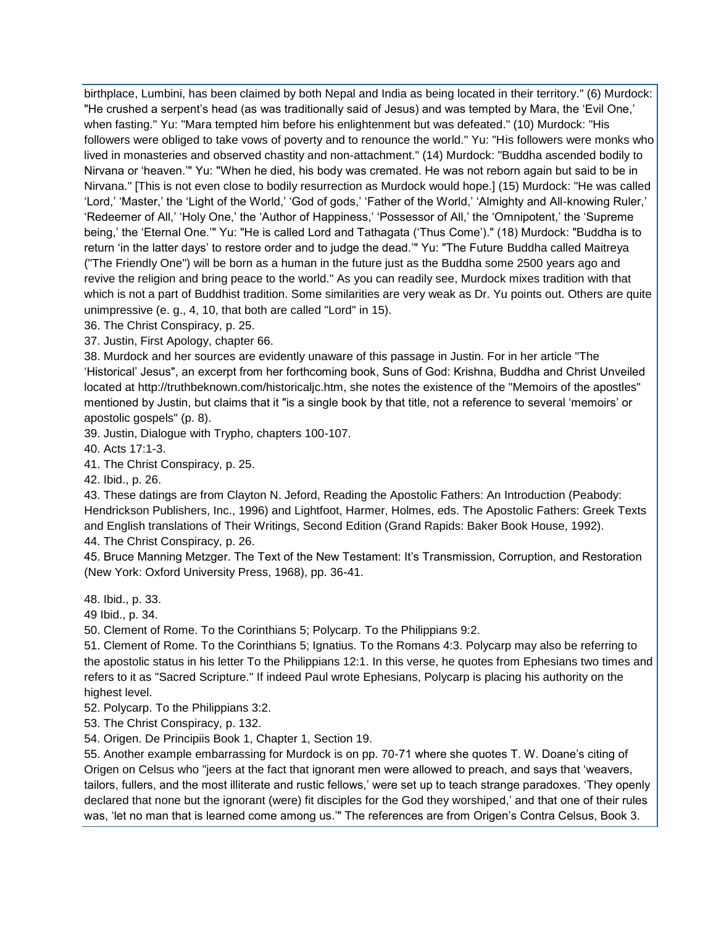birthplace, Lumbini, has been claimed by both Nepal and India as being located in their territory." (6) Murdock: "He crushed a serpent's head (as was traditionally said of Jesus) and was tempted by Mara, the 'Evil One,' when fasting." Yu: "Mara tempted him before his enlightenment but was defeated." (10) Murdock: "His followers were obliged to take vows of poverty and to renounce the world." Yu: "His followers were monks who lived in monasteries and observed chastity and non-attachment." (14) Murdock: "Buddha ascended bodily to Nirvana or 'heaven.'" Yu: "When he died, his body was cremated. He was not reborn again but said to be in Nirvana." [This is not even close to bodily resurrection as Murdock would hope.] (15) Murdock: "He was called 'Lord,' 'Master,' the 'Light of the World,' 'God of gods,' 'Father of the World,' 'Almighty and All-knowing Ruler,' 'Redeemer of All,' 'Holy One,' the 'Author of Happiness,' 'Possessor of All,' the 'Omnipotent,' the 'Supreme being,' the 'Eternal One.'" Yu: "He is called Lord and Tathagata ('Thus Come')." (18) Murdock: "Buddha is to return 'in the latter days' to restore order and to judge the dead.'" Yu: "The Future Buddha called Maitreya ("The Friendly One") will be born as a human in the future just as the Buddha some 2500 years ago and revive the religion and bring peace to the world." As you can readily see, Murdock mixes tradition with that which is not a part of Buddhist tradition. Some similarities are very weak as Dr. Yu points out. Others are quite unimpressive (e. g., 4, 10, that both are called "Lord" in 15).

36. The Christ Conspiracy, p. 25.

37. Justin, First Apology, chapter 66.

38. Murdock and her sources are evidently unaware of this passage in Justin. For in her article "The 'Historical' Jesus", an excerpt from her forthcoming book, Suns of God: Krishna, Buddha and Christ Unveiled located at http://truthbeknown.com/historicaljc.htm, she notes the existence of the "Memoirs of the apostles" mentioned by Justin, but claims that it "is a single book by that title, not a reference to several 'memoirs' or apostolic gospels" (p. 8).

39. Justin, Dialogue with Trypho, chapters 100-107.

40. Acts 17:1-3.

41. The Christ Conspiracy, p. 25.

42. Ibid., p. 26.

43. These datings are from Clayton N. Jeford, Reading the Apostolic Fathers: An Introduction (Peabody: Hendrickson Publishers, Inc., 1996) and Lightfoot, Harmer, Holmes, eds. The Apostolic Fathers: Greek Texts and English translations of Their Writings, Second Edition (Grand Rapids: Baker Book House, 1992). 44. The Christ Conspiracy, p. 26.

45. Bruce Manning Metzger. The Text of the New Testament: It's Transmission, Corruption, and Restoration (New York: Oxford University Press, 1968), pp. 36-41.

48. Ibid., p. 33.

49 Ibid., p. 34.

50. Clement of Rome. To the Corinthians 5; Polycarp. To the Philippians 9:2.

51. Clement of Rome. To the Corinthians 5; Ignatius. To the Romans 4:3. Polycarp may also be referring to the apostolic status in his letter To the Philippians 12:1. In this verse, he quotes from Ephesians two times and refers to it as "Sacred Scripture." If indeed Paul wrote Ephesians, Polycarp is placing his authority on the highest level.

52. Polycarp. To the Philippians 3:2.

53. The Christ Conspiracy, p. 132.

54. Origen. De Principiis Book 1, Chapter 1, Section 19.

55. Another example embarrassing for Murdock is on pp. 70-71 where she quotes T. W. Doane's citing of Origen on Celsus who "jeers at the fact that ignorant men were allowed to preach, and says that 'weavers, tailors, fullers, and the most illiterate and rustic fellows,' were set up to teach strange paradoxes. 'They openly declared that none but the ignorant (were) fit disciples for the God they worshiped,' and that one of their rules was, 'let no man that is learned come among us." The references are from Origen's Contra Celsus, Book 3.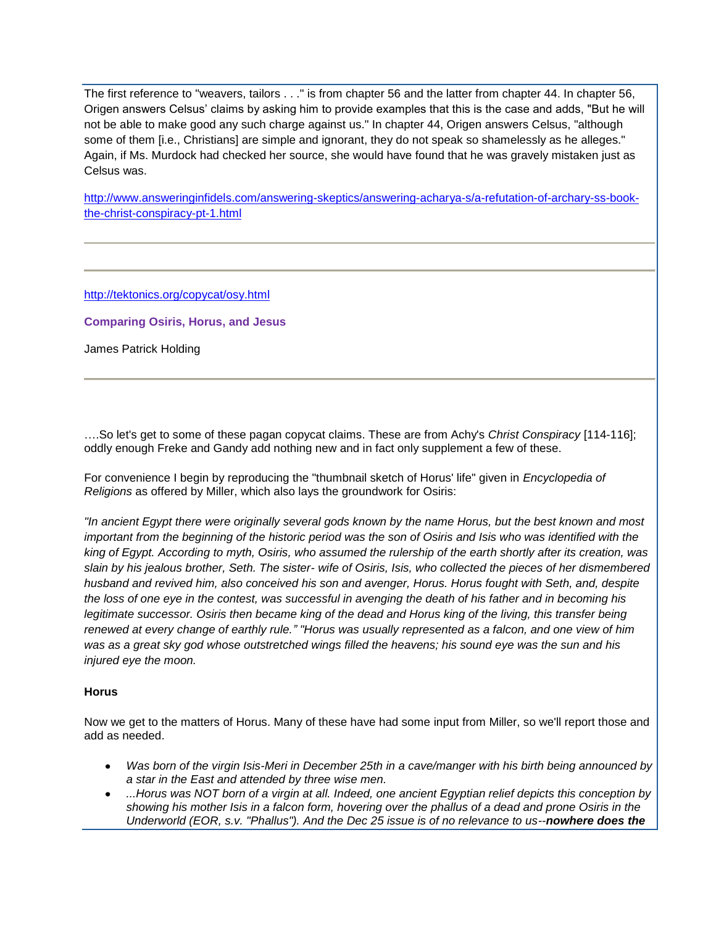The first reference to "weavers, tailors . . ." is from chapter 56 and the latter from chapter 44. In chapter 56, Origen answers Celsus' claims by asking him to provide examples that this is the case and adds, "But he will not be able to make good any such charge against us." In chapter 44, Origen answers Celsus, "although some of them [i.e., Christians] are simple and ignorant, they do not speak so shamelessly as he alleges." Again, if Ms. Murdock had checked her source, she would have found that he was gravely mistaken just as Celsus was.

[http://www.answeringinfidels.com/answering-skeptics/answering-acharya-s/a-refutation-of-archary-ss-book](http://www.answeringinfidels.com/answering-skeptics/answering-acharya-s/a-refutation-of-archary-ss-book-the-christ-conspiracy-pt-1.html)[the-christ-conspiracy-pt-1.html](http://www.answeringinfidels.com/answering-skeptics/answering-acharya-s/a-refutation-of-archary-ss-book-the-christ-conspiracy-pt-1.html)

<http://tektonics.org/copycat/osy.html>

**Comparing Osiris, Horus, and Jesus**

James Patrick Holding

….So let's get to some of these pagan copycat claims. These are from Achy's *Christ Conspiracy* [114-116]; oddly enough Freke and Gandy add nothing new and in fact only supplement a few of these.

For convenience I begin by reproducing the "thumbnail sketch of Horus' life" given in *Encyclopedia of Religions* as offered by Miller, which also lays the groundwork for Osiris:

*"In ancient Egypt there were originally several gods known by the name Horus, but the best known and most important from the beginning of the historic period was the son of Osiris and Isis who was identified with the king of Egypt. According to myth, Osiris, who assumed the rulership of the earth shortly after its creation, was slain by his jealous brother, Seth. The sister- wife of Osiris, Isis, who collected the pieces of her dismembered husband and revived him, also conceived his son and avenger, Horus. Horus fought with Seth, and, despite the loss of one eye in the contest, was successful in avenging the death of his father and in becoming his legitimate successor. Osiris then became king of the dead and Horus king of the living, this transfer being renewed at every change of earthly rule." "Horus was usually represented as a falcon, and one view of him was as a great sky god whose outstretched wings filled the heavens; his sound eye was the sun and his injured eye the moon.* 

#### **Horus**

Now we get to the matters of Horus. Many of these have had some input from Miller, so we'll report those and add as needed.

- *Was born of the virgin Isis-Meri in December 25th in a cave/manger with his birth being announced by a star in the East and attended by three wise men.*
- *...Horus was NOT born of a virgin at all. Indeed, one ancient Egyptian relief depicts this conception by showing his mother Isis in a falcon form, hovering over the phallus of a dead and prone Osiris in the Underworld (EOR, s.v. "Phallus"). And the Dec 25 issue is of no relevance to us--nowhere does the*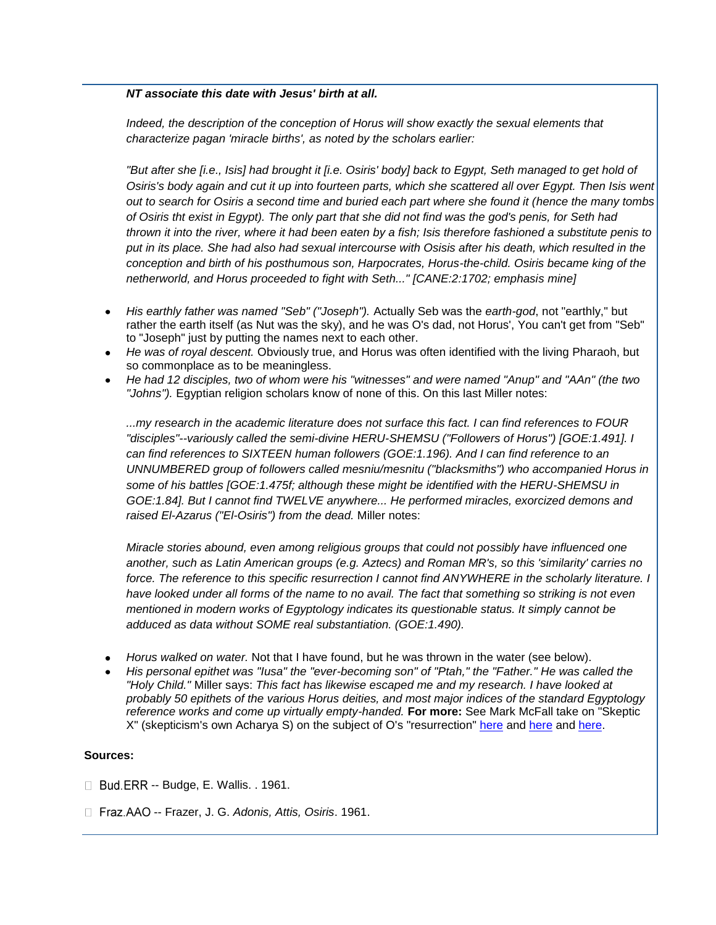## *NT associate this date with Jesus' birth at all.*

*Indeed, the description of the conception of Horus will show exactly the sexual elements that characterize pagan 'miracle births', as noted by the scholars earlier:*

*"But after she [i.e., Isis] had brought it [i.e. Osiris' body] back to Egypt, Seth managed to get hold of Osiris's body again and cut it up into fourteen parts, which she scattered all over Egypt. Then Isis went out to search for Osiris a second time and buried each part where she found it (hence the many tombs of Osiris tht exist in Egypt). The only part that she did not find was the god's penis, for Seth had thrown it into the river, where it had been eaten by a fish; Isis therefore fashioned a substitute penis to put in its place. She had also had sexual intercourse with Osisis after his death, which resulted in the conception and birth of his posthumous son, Harpocrates, Horus-the-child. Osiris became king of the netherworld, and Horus proceeded to fight with Seth..." [CANE:2:1702; emphasis mine]* 

- *His earthly father was named "Seb" ("Joseph").* Actually Seb was the *earth-god*, not "earthly," but rather the earth itself (as Nut was the sky), and he was O's dad, not Horus', You can't get from "Seb" to "Joseph" just by putting the names next to each other.
- *He was of royal descent.* Obviously true, and Horus was often identified with the living Pharaoh, but so commonplace as to be meaningless.
- *He had 12 disciples, two of whom were his "witnesses" and were named "Anup" and "AAn" (the two "Johns").* Egyptian religion scholars know of none of this. On this last Miller notes:

*...my research in the academic literature does not surface this fact. I can find references to FOUR "disciples"--variously called the semi-divine HERU-SHEMSU ("Followers of Horus") [GOE:1.491]. I can find references to SIXTEEN human followers (GOE:1.196). And I can find reference to an UNNUMBERED group of followers called mesniu/mesnitu ("blacksmiths") who accompanied Horus in some of his battles [GOE:1.475f; although these might be identified with the HERU-SHEMSU in GOE:1.84]. But I cannot find TWELVE anywhere... He performed miracles, exorcized demons and raised El-Azarus ("El-Osiris") from the dead.* Miller notes:

*Miracle stories abound, even among religious groups that could not possibly have influenced one another, such as Latin American groups (e.g. Aztecs) and Roman MR's, so this 'similarity' carries no force. The reference to this specific resurrection I cannot find ANYWHERE in the scholarly literature. I have looked under all forms of the name to no avail. The fact that something so striking is not even mentioned in modern works of Egyptology indicates its questionable status. It simply cannot be adduced as data without SOME real substantiation. (GOE:1.490).*

- *Horus walked on water.* Not that I have found, but he was thrown in the water (see below).
- His personal epithet was "lusa" the "ever-becoming son" of "Ptah," the "Father." He was called the *"Holy Child."* Miller says: *This fact has likewise escaped me and my research. I have looked at probably 50 epithets of the various Horus deities, and most major indices of the standard Egyptology reference works and come up virtually empty-handed.* **For more:** See Mark McFall take on "Skeptic X" (skepticism's own Acharya S) on the subject of O's "resurrection" [here](http://www.geocities.com/intheword1/osiristill.htm) and here and [here.](http://www.geocities.com/intheword1/ohsighris.htm)

#### **Sources:**

- $\Box$  Bud. ERR -- Budge, E. Wallis. . 1961.
- □ Fraz.AAO -- Frazer, J. G. *Adonis, Attis, Osiris*. 1961.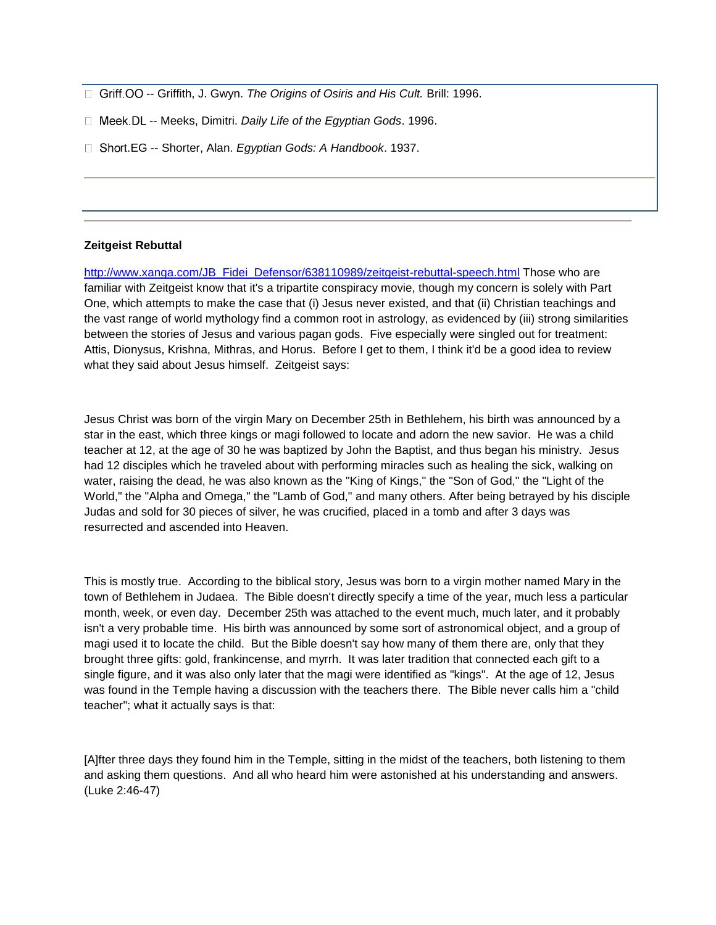- □ Griff. OO -- Griffith, J. Gwyn. *The Origins of Osiris and His Cult.* Brill: 1996.
- □ Meek. DL -- Meeks, Dimitri. *Daily Life of the Egyptian Gods.* 1996.
- □ Short.EG -- Shorter, Alan. *Egyptian Gods: A Handbook*. 1937.

#### **Zeitgeist Rebuttal**

[http://www.xanga.com/JB\\_Fidei\\_Defensor/638110989/zeitgeist-rebuttal-speech.html](http://www.xanga.com/JB_Fidei_Defensor/638110989/zeitgeist-rebuttal-speech.html) Those who are familiar with Zeitgeist know that it's a tripartite conspiracy movie, though my concern is solely with Part One, which attempts to make the case that (i) Jesus never existed, and that (ii) Christian teachings and the vast range of world mythology find a common root in astrology, as evidenced by (iii) strong similarities between the stories of Jesus and various pagan gods. Five especially were singled out for treatment: Attis, Dionysus, Krishna, Mithras, and Horus. Before I get to them, I think it'd be a good idea to review what they said about Jesus himself. Zeitgeist says:

Jesus Christ was born of the virgin Mary on December 25th in Bethlehem, his birth was announced by a star in the east, which three kings or magi followed to locate and adorn the new savior. He was a child teacher at 12, at the age of 30 he was baptized by John the Baptist, and thus began his ministry. Jesus had 12 disciples which he traveled about with performing miracles such as healing the sick, walking on water, raising the dead, he was also known as the "King of Kings," the "Son of God," the "Light of the World," the "Alpha and Omega," the "Lamb of God," and many others. After being betrayed by his disciple Judas and sold for 30 pieces of silver, he was crucified, placed in a tomb and after 3 days was resurrected and ascended into Heaven.

This is mostly true. According to the biblical story, Jesus was born to a virgin mother named Mary in the town of Bethlehem in Judaea. The Bible doesn't directly specify a time of the year, much less a particular month, week, or even day. December 25th was attached to the event much, much later, and it probably isn't a very probable time. His birth was announced by some sort of astronomical object, and a group of magi used it to locate the child. But the Bible doesn't say how many of them there are, only that they brought three gifts: gold, frankincense, and myrrh. It was later tradition that connected each gift to a single figure, and it was also only later that the magi were identified as "kings". At the age of 12, Jesus was found in the Temple having a discussion with the teachers there. The Bible never calls him a "child teacher"; what it actually says is that:

[A]fter three days they found him in the Temple, sitting in the midst of the teachers, both listening to them and asking them questions. And all who heard him were astonished at his understanding and answers. (Luke 2:46-47)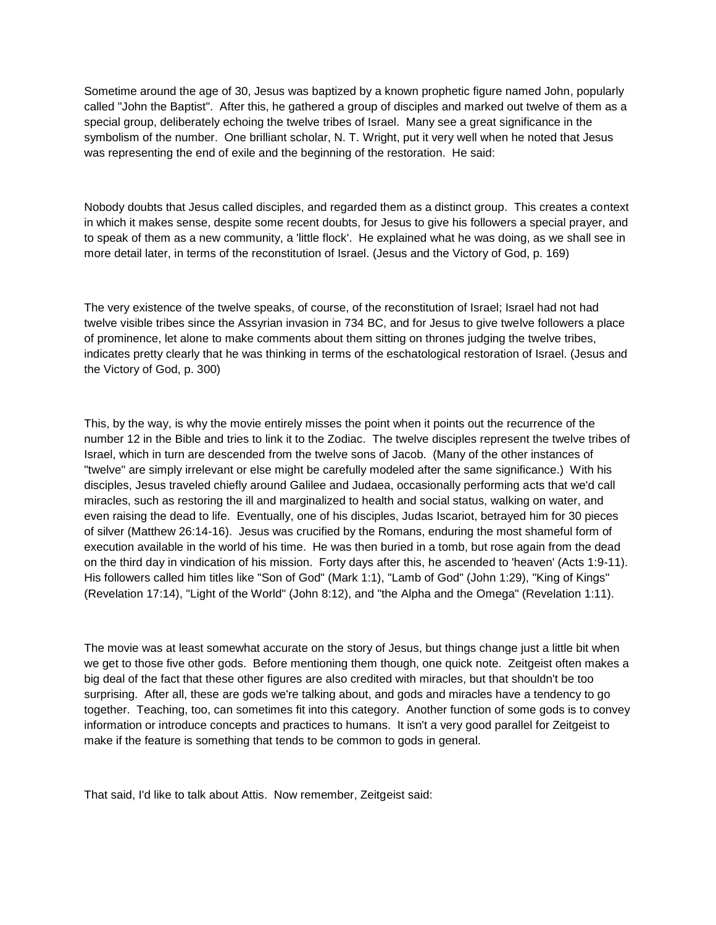Sometime around the age of 30, Jesus was baptized by a known prophetic figure named John, popularly called "John the Baptist". After this, he gathered a group of disciples and marked out twelve of them as a special group, deliberately echoing the twelve tribes of Israel. Many see a great significance in the symbolism of the number. One brilliant scholar, N. T. Wright, put it very well when he noted that Jesus was representing the end of exile and the beginning of the restoration. He said:

Nobody doubts that Jesus called disciples, and regarded them as a distinct group. This creates a context in which it makes sense, despite some recent doubts, for Jesus to give his followers a special prayer, and to speak of them as a new community, a 'little flock'. He explained what he was doing, as we shall see in more detail later, in terms of the reconstitution of Israel. (Jesus and the Victory of God, p. 169)

The very existence of the twelve speaks, of course, of the reconstitution of Israel; Israel had not had twelve visible tribes since the Assyrian invasion in 734 BC, and for Jesus to give twelve followers a place of prominence, let alone to make comments about them sitting on thrones judging the twelve tribes, indicates pretty clearly that he was thinking in terms of the eschatological restoration of Israel. (Jesus and the Victory of God, p. 300)

This, by the way, is why the movie entirely misses the point when it points out the recurrence of the number 12 in the Bible and tries to link it to the Zodiac. The twelve disciples represent the twelve tribes of Israel, which in turn are descended from the twelve sons of Jacob. (Many of the other instances of "twelve" are simply irrelevant or else might be carefully modeled after the same significance.) With his disciples, Jesus traveled chiefly around Galilee and Judaea, occasionally performing acts that we'd call miracles, such as restoring the ill and marginalized to health and social status, walking on water, and even raising the dead to life. Eventually, one of his disciples, Judas Iscariot, betrayed him for 30 pieces of silver (Matthew 26:14-16). Jesus was crucified by the Romans, enduring the most shameful form of execution available in the world of his time. He was then buried in a tomb, but rose again from the dead on the third day in vindication of his mission. Forty days after this, he ascended to 'heaven' (Acts 1:9-11). His followers called him titles like "Son of God" (Mark 1:1), "Lamb of God" (John 1:29), "King of Kings" (Revelation 17:14), "Light of the World" (John 8:12), and "the Alpha and the Omega" (Revelation 1:11).

The movie was at least somewhat accurate on the story of Jesus, but things change just a little bit when we get to those five other gods. Before mentioning them though, one quick note. Zeitgeist often makes a big deal of the fact that these other figures are also credited with miracles, but that shouldn't be too surprising. After all, these are gods we're talking about, and gods and miracles have a tendency to go together. Teaching, too, can sometimes fit into this category. Another function of some gods is to convey information or introduce concepts and practices to humans. It isn't a very good parallel for Zeitgeist to make if the feature is something that tends to be common to gods in general.

That said, I'd like to talk about Attis. Now remember, Zeitgeist said: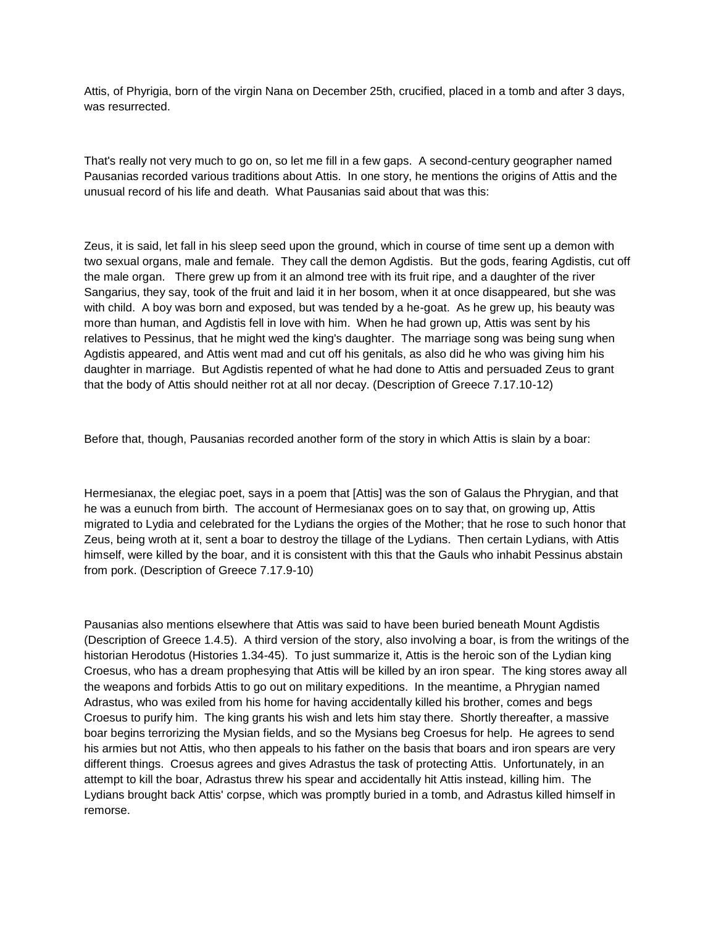Attis, of Phyrigia, born of the virgin Nana on December 25th, crucified, placed in a tomb and after 3 days, was resurrected.

That's really not very much to go on, so let me fill in a few gaps. A second-century geographer named Pausanias recorded various traditions about Attis. In one story, he mentions the origins of Attis and the unusual record of his life and death. What Pausanias said about that was this:

Zeus, it is said, let fall in his sleep seed upon the ground, which in course of time sent up a demon with two sexual organs, male and female. They call the demon Agdistis. But the gods, fearing Agdistis, cut off the male organ. There grew up from it an almond tree with its fruit ripe, and a daughter of the river Sangarius, they say, took of the fruit and laid it in her bosom, when it at once disappeared, but she was with child. A boy was born and exposed, but was tended by a he-goat. As he grew up, his beauty was more than human, and Agdistis fell in love with him. When he had grown up, Attis was sent by his relatives to Pessinus, that he might wed the king's daughter. The marriage song was being sung when Agdistis appeared, and Attis went mad and cut off his genitals, as also did he who was giving him his daughter in marriage. But Agdistis repented of what he had done to Attis and persuaded Zeus to grant that the body of Attis should neither rot at all nor decay. (Description of Greece 7.17.10-12)

Before that, though, Pausanias recorded another form of the story in which Attis is slain by a boar:

Hermesianax, the elegiac poet, says in a poem that [Attis] was the son of Galaus the Phrygian, and that he was a eunuch from birth. The account of Hermesianax goes on to say that, on growing up, Attis migrated to Lydia and celebrated for the Lydians the orgies of the Mother; that he rose to such honor that Zeus, being wroth at it, sent a boar to destroy the tillage of the Lydians. Then certain Lydians, with Attis himself, were killed by the boar, and it is consistent with this that the Gauls who inhabit Pessinus abstain from pork. (Description of Greece 7.17.9-10)

Pausanias also mentions elsewhere that Attis was said to have been buried beneath Mount Agdistis (Description of Greece 1.4.5). A third version of the story, also involving a boar, is from the writings of the historian Herodotus (Histories 1.34-45). To just summarize it, Attis is the heroic son of the Lydian king Croesus, who has a dream prophesying that Attis will be killed by an iron spear. The king stores away all the weapons and forbids Attis to go out on military expeditions. In the meantime, a Phrygian named Adrastus, who was exiled from his home for having accidentally killed his brother, comes and begs Croesus to purify him. The king grants his wish and lets him stay there. Shortly thereafter, a massive boar begins terrorizing the Mysian fields, and so the Mysians beg Croesus for help. He agrees to send his armies but not Attis, who then appeals to his father on the basis that boars and iron spears are very different things. Croesus agrees and gives Adrastus the task of protecting Attis. Unfortunately, in an attempt to kill the boar, Adrastus threw his spear and accidentally hit Attis instead, killing him. The Lydians brought back Attis' corpse, which was promptly buried in a tomb, and Adrastus killed himself in remorse.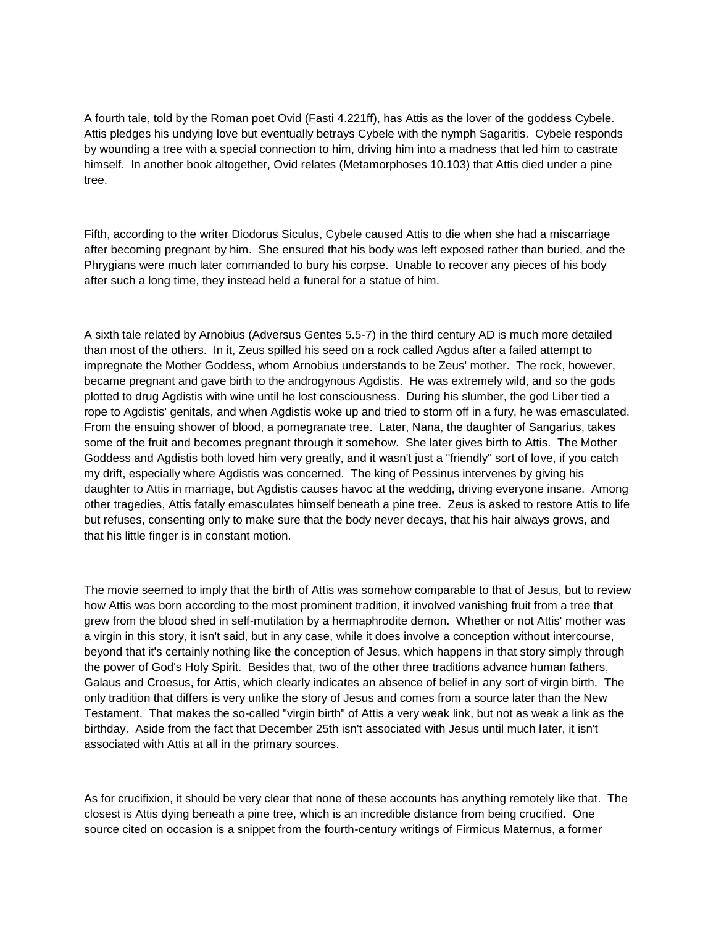A fourth tale, told by the Roman poet Ovid (Fasti 4.221ff), has Attis as the lover of the goddess Cybele. Attis pledges his undying love but eventually betrays Cybele with the nymph Sagaritis. Cybele responds by wounding a tree with a special connection to him, driving him into a madness that led him to castrate himself. In another book altogether, Ovid relates (Metamorphoses 10.103) that Attis died under a pine tree.

Fifth, according to the writer Diodorus Siculus, Cybele caused Attis to die when she had a miscarriage after becoming pregnant by him. She ensured that his body was left exposed rather than buried, and the Phrygians were much later commanded to bury his corpse. Unable to recover any pieces of his body after such a long time, they instead held a funeral for a statue of him.

A sixth tale related by Arnobius (Adversus Gentes 5.5-7) in the third century AD is much more detailed than most of the others. In it, Zeus spilled his seed on a rock called Agdus after a failed attempt to impregnate the Mother Goddess, whom Arnobius understands to be Zeus' mother. The rock, however, became pregnant and gave birth to the androgynous Agdistis. He was extremely wild, and so the gods plotted to drug Agdistis with wine until he lost consciousness. During his slumber, the god Liber tied a rope to Agdistis' genitals, and when Agdistis woke up and tried to storm off in a fury, he was emasculated. From the ensuing shower of blood, a pomegranate tree. Later, Nana, the daughter of Sangarius, takes some of the fruit and becomes pregnant through it somehow. She later gives birth to Attis. The Mother Goddess and Agdistis both loved him very greatly, and it wasn't just a "friendly" sort of love, if you catch my drift, especially where Agdistis was concerned. The king of Pessinus intervenes by giving his daughter to Attis in marriage, but Agdistis causes havoc at the wedding, driving everyone insane. Among other tragedies, Attis fatally emasculates himself beneath a pine tree. Zeus is asked to restore Attis to life but refuses, consenting only to make sure that the body never decays, that his hair always grows, and that his little finger is in constant motion.

The movie seemed to imply that the birth of Attis was somehow comparable to that of Jesus, but to review how Attis was born according to the most prominent tradition, it involved vanishing fruit from a tree that grew from the blood shed in self-mutilation by a hermaphrodite demon. Whether or not Attis' mother was a virgin in this story, it isn't said, but in any case, while it does involve a conception without intercourse, beyond that it's certainly nothing like the conception of Jesus, which happens in that story simply through the power of God's Holy Spirit. Besides that, two of the other three traditions advance human fathers, Galaus and Croesus, for Attis, which clearly indicates an absence of belief in any sort of virgin birth. The only tradition that differs is very unlike the story of Jesus and comes from a source later than the New Testament. That makes the so-called "virgin birth" of Attis a very weak link, but not as weak a link as the birthday. Aside from the fact that December 25th isn't associated with Jesus until much later, it isn't associated with Attis at all in the primary sources.

As for crucifixion, it should be very clear that none of these accounts has anything remotely like that. The closest is Attis dying beneath a pine tree, which is an incredible distance from being crucified. One source cited on occasion is a snippet from the fourth-century writings of Firmicus Maternus, a former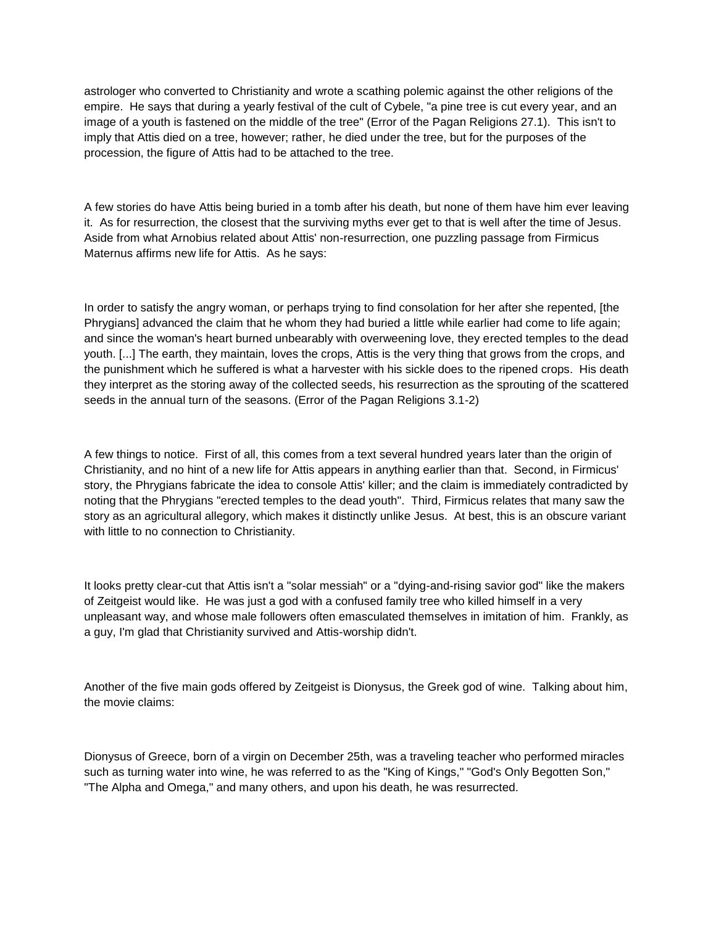astrologer who converted to Christianity and wrote a scathing polemic against the other religions of the empire. He says that during a yearly festival of the cult of Cybele, "a pine tree is cut every year, and an image of a youth is fastened on the middle of the tree" (Error of the Pagan Religions 27.1). This isn't to imply that Attis died on a tree, however; rather, he died under the tree, but for the purposes of the procession, the figure of Attis had to be attached to the tree.

A few stories do have Attis being buried in a tomb after his death, but none of them have him ever leaving it. As for resurrection, the closest that the surviving myths ever get to that is well after the time of Jesus. Aside from what Arnobius related about Attis' non-resurrection, one puzzling passage from Firmicus Maternus affirms new life for Attis. As he says:

In order to satisfy the angry woman, or perhaps trying to find consolation for her after she repented, [the Phrygians] advanced the claim that he whom they had buried a little while earlier had come to life again; and since the woman's heart burned unbearably with overweening love, they erected temples to the dead youth. [...] The earth, they maintain, loves the crops, Attis is the very thing that grows from the crops, and the punishment which he suffered is what a harvester with his sickle does to the ripened crops. His death they interpret as the storing away of the collected seeds, his resurrection as the sprouting of the scattered seeds in the annual turn of the seasons. (Error of the Pagan Religions 3.1-2)

A few things to notice. First of all, this comes from a text several hundred years later than the origin of Christianity, and no hint of a new life for Attis appears in anything earlier than that. Second, in Firmicus' story, the Phrygians fabricate the idea to console Attis' killer; and the claim is immediately contradicted by noting that the Phrygians "erected temples to the dead youth". Third, Firmicus relates that many saw the story as an agricultural allegory, which makes it distinctly unlike Jesus. At best, this is an obscure variant with little to no connection to Christianity.

It looks pretty clear-cut that Attis isn't a "solar messiah" or a "dying-and-rising savior god" like the makers of Zeitgeist would like. He was just a god with a confused family tree who killed himself in a very unpleasant way, and whose male followers often emasculated themselves in imitation of him. Frankly, as a guy, I'm glad that Christianity survived and Attis-worship didn't.

Another of the five main gods offered by Zeitgeist is Dionysus, the Greek god of wine. Talking about him, the movie claims:

Dionysus of Greece, born of a virgin on December 25th, was a traveling teacher who performed miracles such as turning water into wine, he was referred to as the "King of Kings," "God's Only Begotten Son," "The Alpha and Omega," and many others, and upon his death, he was resurrected.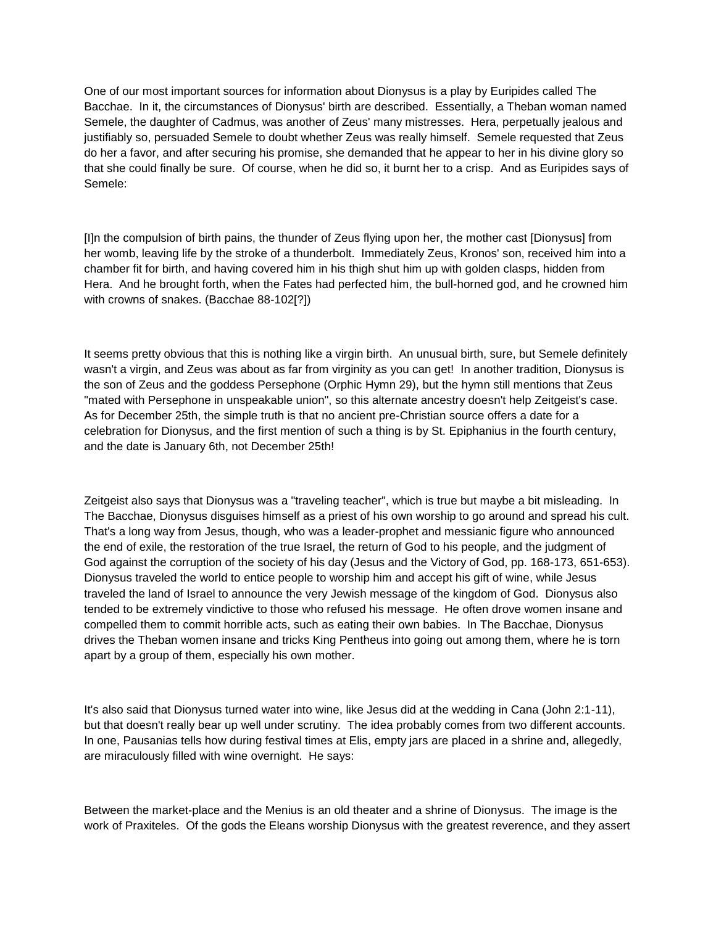One of our most important sources for information about Dionysus is a play by Euripides called The Bacchae. In it, the circumstances of Dionysus' birth are described. Essentially, a Theban woman named Semele, the daughter of Cadmus, was another of Zeus' many mistresses. Hera, perpetually jealous and justifiably so, persuaded Semele to doubt whether Zeus was really himself. Semele requested that Zeus do her a favor, and after securing his promise, she demanded that he appear to her in his divine glory so that she could finally be sure. Of course, when he did so, it burnt her to a crisp. And as Euripides says of Semele:

[I]n the compulsion of birth pains, the thunder of Zeus flying upon her, the mother cast [Dionysus] from her womb, leaving life by the stroke of a thunderbolt. Immediately Zeus, Kronos' son, received him into a chamber fit for birth, and having covered him in his thigh shut him up with golden clasps, hidden from Hera. And he brought forth, when the Fates had perfected him, the bull-horned god, and he crowned him with crowns of snakes. (Bacchae 88-102[?])

It seems pretty obvious that this is nothing like a virgin birth. An unusual birth, sure, but Semele definitely wasn't a virgin, and Zeus was about as far from virginity as you can get! In another tradition, Dionysus is the son of Zeus and the goddess Persephone (Orphic Hymn 29), but the hymn still mentions that Zeus "mated with Persephone in unspeakable union", so this alternate ancestry doesn't help Zeitgeist's case. As for December 25th, the simple truth is that no ancient pre-Christian source offers a date for a celebration for Dionysus, and the first mention of such a thing is by St. Epiphanius in the fourth century, and the date is January 6th, not December 25th!

Zeitgeist also says that Dionysus was a "traveling teacher", which is true but maybe a bit misleading. In The Bacchae, Dionysus disguises himself as a priest of his own worship to go around and spread his cult. That's a long way from Jesus, though, who was a leader-prophet and messianic figure who announced the end of exile, the restoration of the true Israel, the return of God to his people, and the judgment of God against the corruption of the society of his day (Jesus and the Victory of God, pp. 168-173, 651-653). Dionysus traveled the world to entice people to worship him and accept his gift of wine, while Jesus traveled the land of Israel to announce the very Jewish message of the kingdom of God. Dionysus also tended to be extremely vindictive to those who refused his message. He often drove women insane and compelled them to commit horrible acts, such as eating their own babies. In The Bacchae, Dionysus drives the Theban women insane and tricks King Pentheus into going out among them, where he is torn apart by a group of them, especially his own mother.

It's also said that Dionysus turned water into wine, like Jesus did at the wedding in Cana (John 2:1-11), but that doesn't really bear up well under scrutiny. The idea probably comes from two different accounts. In one, Pausanias tells how during festival times at Elis, empty jars are placed in a shrine and, allegedly, are miraculously filled with wine overnight. He says:

Between the market-place and the Menius is an old theater and a shrine of Dionysus. The image is the work of Praxiteles. Of the gods the Eleans worship Dionysus with the greatest reverence, and they assert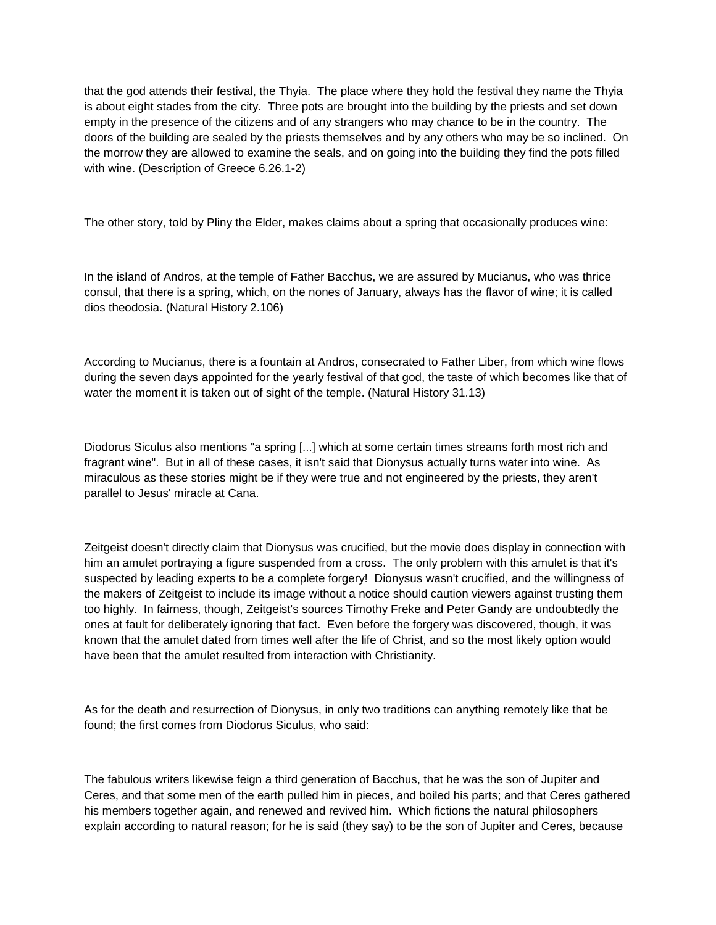that the god attends their festival, the Thyia. The place where they hold the festival they name the Thyia is about eight stades from the city. Three pots are brought into the building by the priests and set down empty in the presence of the citizens and of any strangers who may chance to be in the country. The doors of the building are sealed by the priests themselves and by any others who may be so inclined. On the morrow they are allowed to examine the seals, and on going into the building they find the pots filled with wine. (Description of Greece 6.26.1-2)

The other story, told by Pliny the Elder, makes claims about a spring that occasionally produces wine:

In the island of Andros, at the temple of Father Bacchus, we are assured by Mucianus, who was thrice consul, that there is a spring, which, on the nones of January, always has the flavor of wine; it is called dios theodosia. (Natural History 2.106)

According to Mucianus, there is a fountain at Andros, consecrated to Father Liber, from which wine flows during the seven days appointed for the yearly festival of that god, the taste of which becomes like that of water the moment it is taken out of sight of the temple. (Natural History 31.13)

Diodorus Siculus also mentions "a spring [...] which at some certain times streams forth most rich and fragrant wine". But in all of these cases, it isn't said that Dionysus actually turns water into wine. As miraculous as these stories might be if they were true and not engineered by the priests, they aren't parallel to Jesus' miracle at Cana.

Zeitgeist doesn't directly claim that Dionysus was crucified, but the movie does display in connection with him an amulet portraying a figure suspended from a cross. The only problem with this amulet is that it's suspected by leading experts to be a complete forgery! Dionysus wasn't crucified, and the willingness of the makers of Zeitgeist to include its image without a notice should caution viewers against trusting them too highly. In fairness, though, Zeitgeist's sources Timothy Freke and Peter Gandy are undoubtedly the ones at fault for deliberately ignoring that fact. Even before the forgery was discovered, though, it was known that the amulet dated from times well after the life of Christ, and so the most likely option would have been that the amulet resulted from interaction with Christianity.

As for the death and resurrection of Dionysus, in only two traditions can anything remotely like that be found; the first comes from Diodorus Siculus, who said:

The fabulous writers likewise feign a third generation of Bacchus, that he was the son of Jupiter and Ceres, and that some men of the earth pulled him in pieces, and boiled his parts; and that Ceres gathered his members together again, and renewed and revived him. Which fictions the natural philosophers explain according to natural reason; for he is said (they say) to be the son of Jupiter and Ceres, because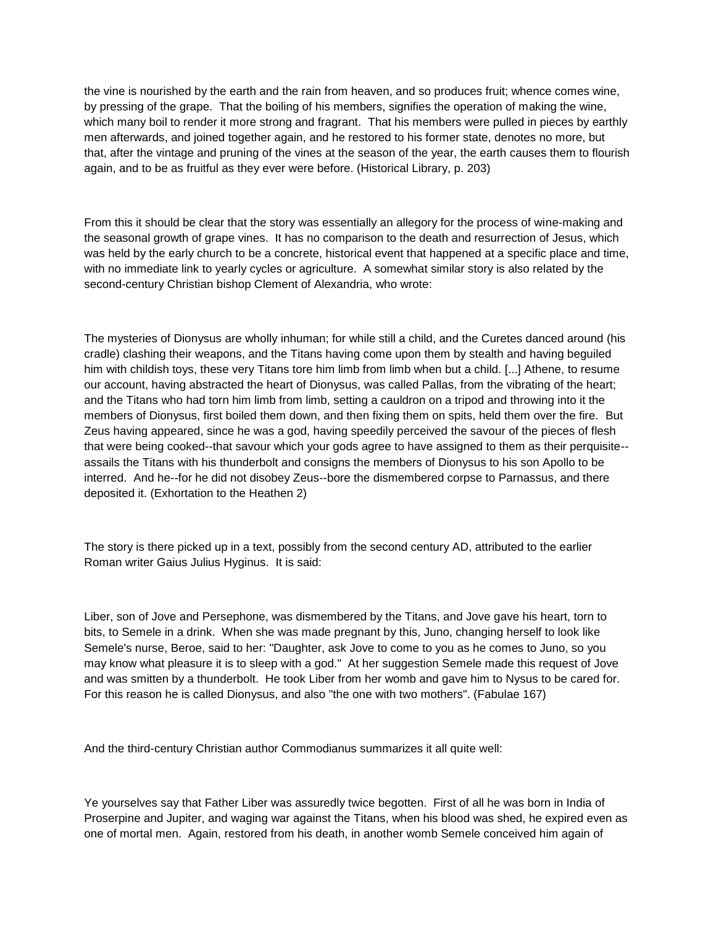the vine is nourished by the earth and the rain from heaven, and so produces fruit; whence comes wine, by pressing of the grape. That the boiling of his members, signifies the operation of making the wine, which many boil to render it more strong and fragrant. That his members were pulled in pieces by earthly men afterwards, and joined together again, and he restored to his former state, denotes no more, but that, after the vintage and pruning of the vines at the season of the year, the earth causes them to flourish again, and to be as fruitful as they ever were before. (Historical Library, p. 203)

From this it should be clear that the story was essentially an allegory for the process of wine-making and the seasonal growth of grape vines. It has no comparison to the death and resurrection of Jesus, which was held by the early church to be a concrete, historical event that happened at a specific place and time, with no immediate link to yearly cycles or agriculture. A somewhat similar story is also related by the second-century Christian bishop Clement of Alexandria, who wrote:

The mysteries of Dionysus are wholly inhuman; for while still a child, and the Curetes danced around (his cradle) clashing their weapons, and the Titans having come upon them by stealth and having beguiled him with childish toys, these very Titans tore him limb from limb when but a child. [...] Athene, to resume our account, having abstracted the heart of Dionysus, was called Pallas, from the vibrating of the heart; and the Titans who had torn him limb from limb, setting a cauldron on a tripod and throwing into it the members of Dionysus, first boiled them down, and then fixing them on spits, held them over the fire. But Zeus having appeared, since he was a god, having speedily perceived the savour of the pieces of flesh that were being cooked--that savour which your gods agree to have assigned to them as their perquisite- assails the Titans with his thunderbolt and consigns the members of Dionysus to his son Apollo to be interred. And he--for he did not disobey Zeus--bore the dismembered corpse to Parnassus, and there deposited it. (Exhortation to the Heathen 2)

The story is there picked up in a text, possibly from the second century AD, attributed to the earlier Roman writer Gaius Julius Hyginus. It is said:

Liber, son of Jove and Persephone, was dismembered by the Titans, and Jove gave his heart, torn to bits, to Semele in a drink. When she was made pregnant by this, Juno, changing herself to look like Semele's nurse, Beroe, said to her: "Daughter, ask Jove to come to you as he comes to Juno, so you may know what pleasure it is to sleep with a god." At her suggestion Semele made this request of Jove and was smitten by a thunderbolt. He took Liber from her womb and gave him to Nysus to be cared for. For this reason he is called Dionysus, and also "the one with two mothers". (Fabulae 167)

And the third-century Christian author Commodianus summarizes it all quite well:

Ye yourselves say that Father Liber was assuredly twice begotten. First of all he was born in India of Proserpine and Jupiter, and waging war against the Titans, when his blood was shed, he expired even as one of mortal men. Again, restored from his death, in another womb Semele conceived him again of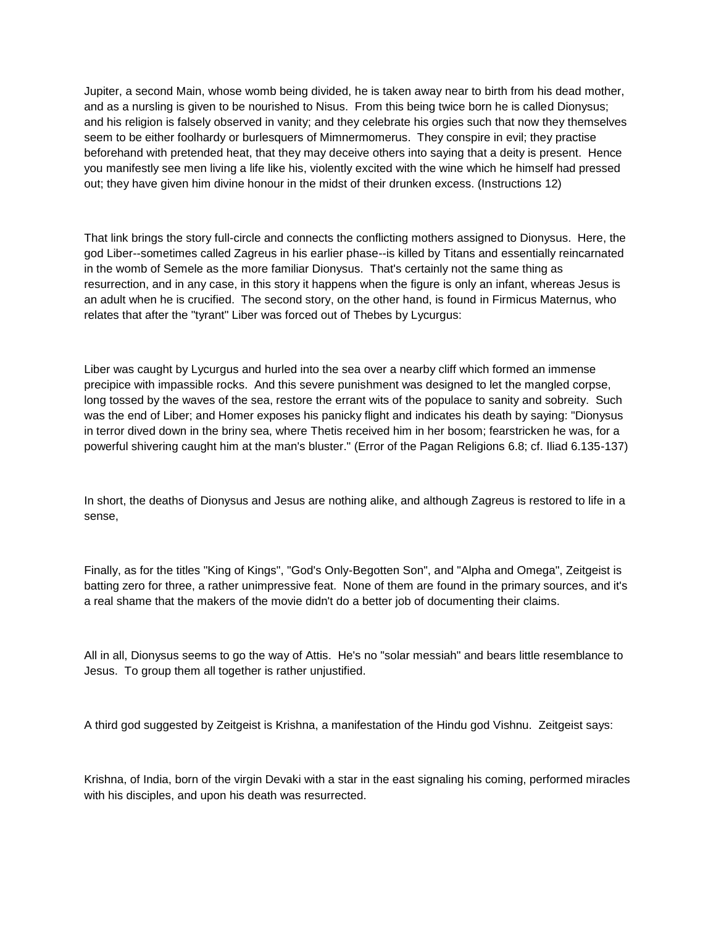Jupiter, a second Main, whose womb being divided, he is taken away near to birth from his dead mother, and as a nursling is given to be nourished to Nisus. From this being twice born he is called Dionysus; and his religion is falsely observed in vanity; and they celebrate his orgies such that now they themselves seem to be either foolhardy or burlesquers of Mimnermomerus. They conspire in evil; they practise beforehand with pretended heat, that they may deceive others into saying that a deity is present. Hence you manifestly see men living a life like his, violently excited with the wine which he himself had pressed out; they have given him divine honour in the midst of their drunken excess. (Instructions 12)

That link brings the story full-circle and connects the conflicting mothers assigned to Dionysus. Here, the god Liber--sometimes called Zagreus in his earlier phase--is killed by Titans and essentially reincarnated in the womb of Semele as the more familiar Dionysus. That's certainly not the same thing as resurrection, and in any case, in this story it happens when the figure is only an infant, whereas Jesus is an adult when he is crucified. The second story, on the other hand, is found in Firmicus Maternus, who relates that after the "tyrant" Liber was forced out of Thebes by Lycurgus:

Liber was caught by Lycurgus and hurled into the sea over a nearby cliff which formed an immense precipice with impassible rocks. And this severe punishment was designed to let the mangled corpse, long tossed by the waves of the sea, restore the errant wits of the populace to sanity and sobreity. Such was the end of Liber; and Homer exposes his panicky flight and indicates his death by saying: "Dionysus in terror dived down in the briny sea, where Thetis received him in her bosom; fearstricken he was, for a powerful shivering caught him at the man's bluster." (Error of the Pagan Religions 6.8; cf. Iliad 6.135-137)

In short, the deaths of Dionysus and Jesus are nothing alike, and although Zagreus is restored to life in a sense,

Finally, as for the titles "King of Kings", "God's Only-Begotten Son", and "Alpha and Omega", Zeitgeist is batting zero for three, a rather unimpressive feat. None of them are found in the primary sources, and it's a real shame that the makers of the movie didn't do a better job of documenting their claims.

All in all, Dionysus seems to go the way of Attis. He's no "solar messiah" and bears little resemblance to Jesus. To group them all together is rather unjustified.

A third god suggested by Zeitgeist is Krishna, a manifestation of the Hindu god Vishnu. Zeitgeist says:

Krishna, of India, born of the virgin Devaki with a star in the east signaling his coming, performed miracles with his disciples, and upon his death was resurrected.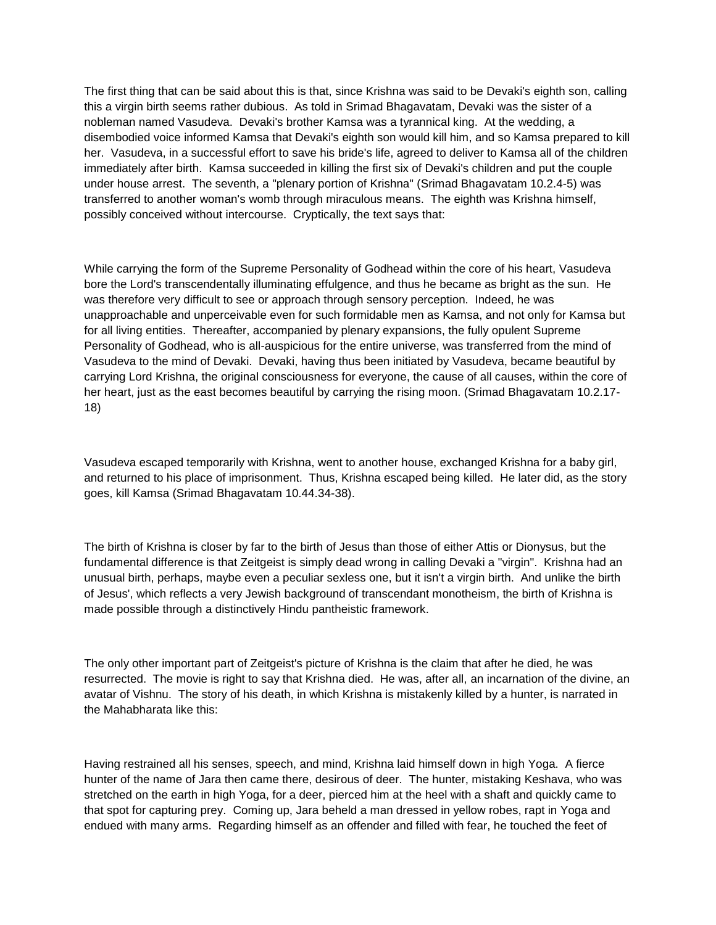The first thing that can be said about this is that, since Krishna was said to be Devaki's eighth son, calling this a virgin birth seems rather dubious. As told in Srimad Bhagavatam, Devaki was the sister of a nobleman named Vasudeva. Devaki's brother Kamsa was a tyrannical king. At the wedding, a disembodied voice informed Kamsa that Devaki's eighth son would kill him, and so Kamsa prepared to kill her. Vasudeva, in a successful effort to save his bride's life, agreed to deliver to Kamsa all of the children immediately after birth. Kamsa succeeded in killing the first six of Devaki's children and put the couple under house arrest. The seventh, a "plenary portion of Krishna" (Srimad Bhagavatam 10.2.4-5) was transferred to another woman's womb through miraculous means. The eighth was Krishna himself, possibly conceived without intercourse. Cryptically, the text says that:

While carrying the form of the Supreme Personality of Godhead within the core of his heart, Vasudeva bore the Lord's transcendentally illuminating effulgence, and thus he became as bright as the sun. He was therefore very difficult to see or approach through sensory perception. Indeed, he was unapproachable and unperceivable even for such formidable men as Kamsa, and not only for Kamsa but for all living entities. Thereafter, accompanied by plenary expansions, the fully opulent Supreme Personality of Godhead, who is all-auspicious for the entire universe, was transferred from the mind of Vasudeva to the mind of Devaki. Devaki, having thus been initiated by Vasudeva, became beautiful by carrying Lord Krishna, the original consciousness for everyone, the cause of all causes, within the core of her heart, just as the east becomes beautiful by carrying the rising moon. (Srimad Bhagavatam 10.2.17-18)

Vasudeva escaped temporarily with Krishna, went to another house, exchanged Krishna for a baby girl, and returned to his place of imprisonment. Thus, Krishna escaped being killed. He later did, as the story goes, kill Kamsa (Srimad Bhagavatam 10.44.34-38).

The birth of Krishna is closer by far to the birth of Jesus than those of either Attis or Dionysus, but the fundamental difference is that Zeitgeist is simply dead wrong in calling Devaki a "virgin". Krishna had an unusual birth, perhaps, maybe even a peculiar sexless one, but it isn't a virgin birth. And unlike the birth of Jesus', which reflects a very Jewish background of transcendant monotheism, the birth of Krishna is made possible through a distinctively Hindu pantheistic framework.

The only other important part of Zeitgeist's picture of Krishna is the claim that after he died, he was resurrected. The movie is right to say that Krishna died. He was, after all, an incarnation of the divine, an avatar of Vishnu. The story of his death, in which Krishna is mistakenly killed by a hunter, is narrated in the Mahabharata like this:

Having restrained all his senses, speech, and mind, Krishna laid himself down in high Yoga. A fierce hunter of the name of Jara then came there, desirous of deer. The hunter, mistaking Keshava, who was stretched on the earth in high Yoga, for a deer, pierced him at the heel with a shaft and quickly came to that spot for capturing prey. Coming up, Jara beheld a man dressed in yellow robes, rapt in Yoga and endued with many arms. Regarding himself as an offender and filled with fear, he touched the feet of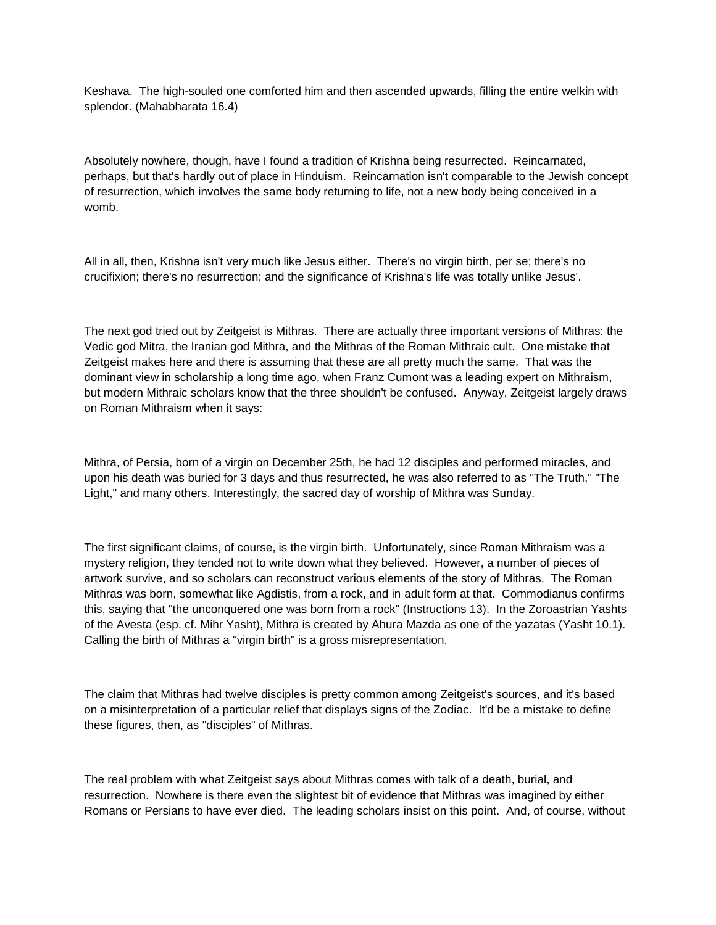Keshava. The high-souled one comforted him and then ascended upwards, filling the entire welkin with splendor. (Mahabharata 16.4)

Absolutely nowhere, though, have I found a tradition of Krishna being resurrected. Reincarnated, perhaps, but that's hardly out of place in Hinduism. Reincarnation isn't comparable to the Jewish concept of resurrection, which involves the same body returning to life, not a new body being conceived in a womb.

All in all, then, Krishna isn't very much like Jesus either. There's no virgin birth, per se; there's no crucifixion; there's no resurrection; and the significance of Krishna's life was totally unlike Jesus'.

The next god tried out by Zeitgeist is Mithras. There are actually three important versions of Mithras: the Vedic god Mitra, the Iranian god Mithra, and the Mithras of the Roman Mithraic cult. One mistake that Zeitgeist makes here and there is assuming that these are all pretty much the same. That was the dominant view in scholarship a long time ago, when Franz Cumont was a leading expert on Mithraism, but modern Mithraic scholars know that the three shouldn't be confused. Anyway, Zeitgeist largely draws on Roman Mithraism when it says:

Mithra, of Persia, born of a virgin on December 25th, he had 12 disciples and performed miracles, and upon his death was buried for 3 days and thus resurrected, he was also referred to as "The Truth," "The Light," and many others. Interestingly, the sacred day of worship of Mithra was Sunday.

The first significant claims, of course, is the virgin birth. Unfortunately, since Roman Mithraism was a mystery religion, they tended not to write down what they believed. However, a number of pieces of artwork survive, and so scholars can reconstruct various elements of the story of Mithras. The Roman Mithras was born, somewhat like Agdistis, from a rock, and in adult form at that. Commodianus confirms this, saying that "the unconquered one was born from a rock" (Instructions 13). In the Zoroastrian Yashts of the Avesta (esp. cf. Mihr Yasht), Mithra is created by Ahura Mazda as one of the yazatas (Yasht 10.1). Calling the birth of Mithras a "virgin birth" is a gross misrepresentation.

The claim that Mithras had twelve disciples is pretty common among Zeitgeist's sources, and it's based on a misinterpretation of a particular relief that displays signs of the Zodiac. It'd be a mistake to define these figures, then, as "disciples" of Mithras.

The real problem with what Zeitgeist says about Mithras comes with talk of a death, burial, and resurrection. Nowhere is there even the slightest bit of evidence that Mithras was imagined by either Romans or Persians to have ever died. The leading scholars insist on this point. And, of course, without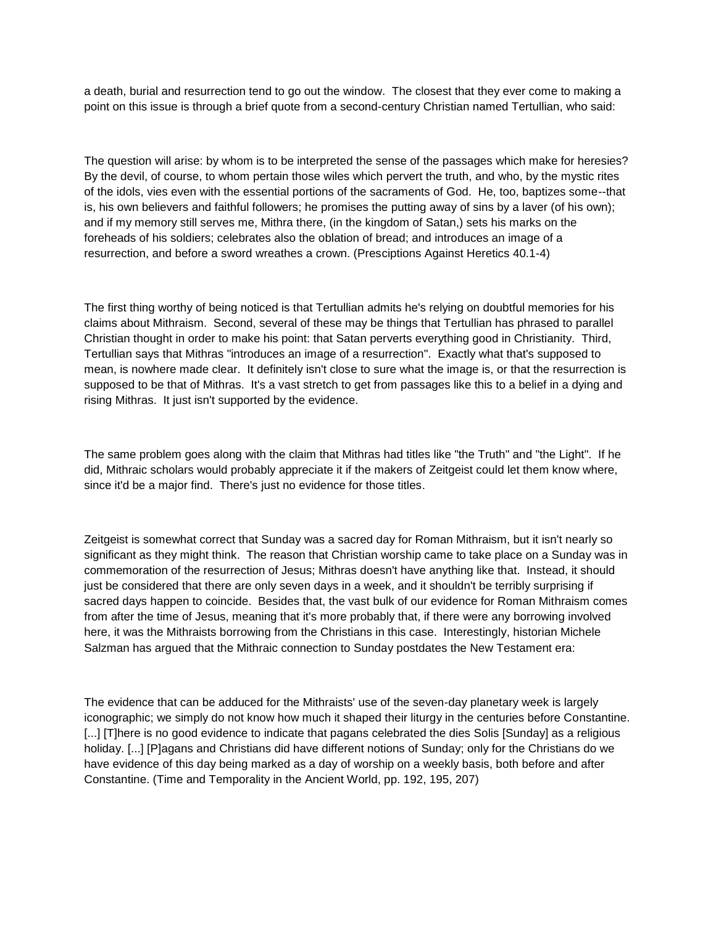a death, burial and resurrection tend to go out the window. The closest that they ever come to making a point on this issue is through a brief quote from a second-century Christian named Tertullian, who said:

The question will arise: by whom is to be interpreted the sense of the passages which make for heresies? By the devil, of course, to whom pertain those wiles which pervert the truth, and who, by the mystic rites of the idols, vies even with the essential portions of the sacraments of God. He, too, baptizes some--that is, his own believers and faithful followers; he promises the putting away of sins by a laver (of his own); and if my memory still serves me, Mithra there, (in the kingdom of Satan,) sets his marks on the foreheads of his soldiers; celebrates also the oblation of bread; and introduces an image of a resurrection, and before a sword wreathes a crown. (Presciptions Against Heretics 40.1-4)

The first thing worthy of being noticed is that Tertullian admits he's relying on doubtful memories for his claims about Mithraism. Second, several of these may be things that Tertullian has phrased to parallel Christian thought in order to make his point: that Satan perverts everything good in Christianity. Third, Tertullian says that Mithras "introduces an image of a resurrection". Exactly what that's supposed to mean, is nowhere made clear. It definitely isn't close to sure what the image is, or that the resurrection is supposed to be that of Mithras. It's a vast stretch to get from passages like this to a belief in a dying and rising Mithras. It just isn't supported by the evidence.

The same problem goes along with the claim that Mithras had titles like "the Truth" and "the Light". If he did, Mithraic scholars would probably appreciate it if the makers of Zeitgeist could let them know where, since it'd be a major find. There's just no evidence for those titles.

Zeitgeist is somewhat correct that Sunday was a sacred day for Roman Mithraism, but it isn't nearly so significant as they might think. The reason that Christian worship came to take place on a Sunday was in commemoration of the resurrection of Jesus; Mithras doesn't have anything like that. Instead, it should just be considered that there are only seven days in a week, and it shouldn't be terribly surprising if sacred days happen to coincide. Besides that, the vast bulk of our evidence for Roman Mithraism comes from after the time of Jesus, meaning that it's more probably that, if there were any borrowing involved here, it was the Mithraists borrowing from the Christians in this case. Interestingly, historian Michele Salzman has argued that the Mithraic connection to Sunday postdates the New Testament era:

The evidence that can be adduced for the Mithraists' use of the seven-day planetary week is largely iconographic; we simply do not know how much it shaped their liturgy in the centuries before Constantine. [...] [T]here is no good evidence to indicate that pagans celebrated the dies Solis [Sunday] as a religious holiday. [...] [P]agans and Christians did have different notions of Sunday; only for the Christians do we have evidence of this day being marked as a day of worship on a weekly basis, both before and after Constantine. (Time and Temporality in the Ancient World, pp. 192, 195, 207)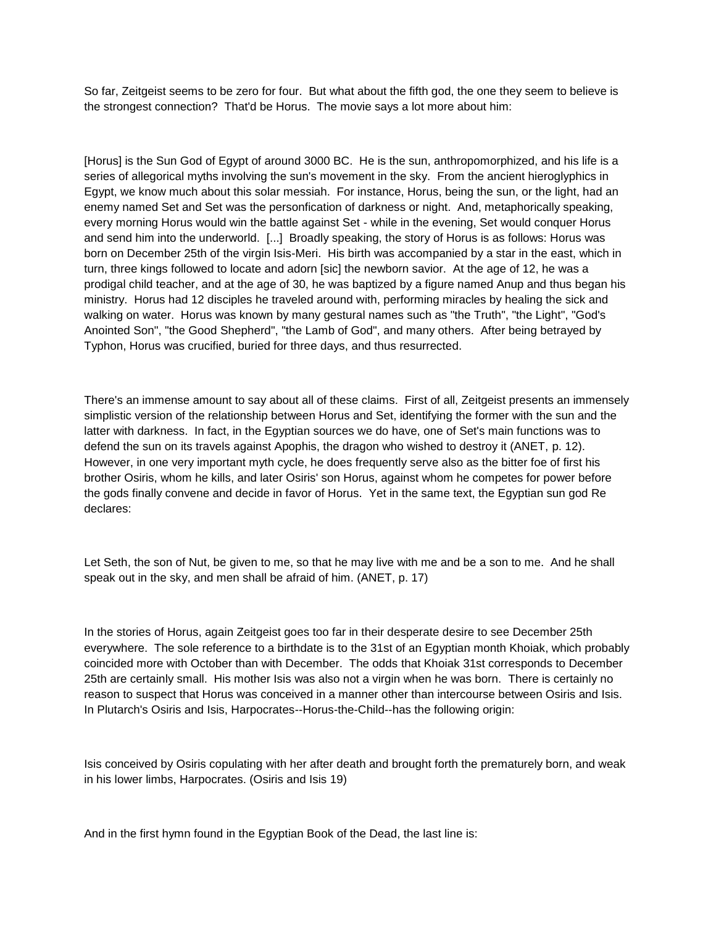So far, Zeitgeist seems to be zero for four. But what about the fifth god, the one they seem to believe is the strongest connection? That'd be Horus. The movie says a lot more about him:

[Horus] is the Sun God of Egypt of around 3000 BC. He is the sun, anthropomorphized, and his life is a series of allegorical myths involving the sun's movement in the sky. From the ancient hieroglyphics in Egypt, we know much about this solar messiah. For instance, Horus, being the sun, or the light, had an enemy named Set and Set was the personfication of darkness or night. And, metaphorically speaking, every morning Horus would win the battle against Set - while in the evening, Set would conquer Horus and send him into the underworld. [...] Broadly speaking, the story of Horus is as follows: Horus was born on December 25th of the virgin Isis-Meri. His birth was accompanied by a star in the east, which in turn, three kings followed to locate and adorn [sic] the newborn savior. At the age of 12, he was a prodigal child teacher, and at the age of 30, he was baptized by a figure named Anup and thus began his ministry. Horus had 12 disciples he traveled around with, performing miracles by healing the sick and walking on water. Horus was known by many gestural names such as "the Truth", "the Light", "God's Anointed Son", "the Good Shepherd", "the Lamb of God", and many others. After being betrayed by Typhon, Horus was crucified, buried for three days, and thus resurrected.

There's an immense amount to say about all of these claims. First of all, Zeitgeist presents an immensely simplistic version of the relationship between Horus and Set, identifying the former with the sun and the latter with darkness. In fact, in the Egyptian sources we do have, one of Set's main functions was to defend the sun on its travels against Apophis, the dragon who wished to destroy it (ANET, p. 12). However, in one very important myth cycle, he does frequently serve also as the bitter foe of first his brother Osiris, whom he kills, and later Osiris' son Horus, against whom he competes for power before the gods finally convene and decide in favor of Horus. Yet in the same text, the Egyptian sun god Re declares:

Let Seth, the son of Nut, be given to me, so that he may live with me and be a son to me. And he shall speak out in the sky, and men shall be afraid of him. (ANET, p. 17)

In the stories of Horus, again Zeitgeist goes too far in their desperate desire to see December 25th everywhere. The sole reference to a birthdate is to the 31st of an Egyptian month Khoiak, which probably coincided more with October than with December. The odds that Khoiak 31st corresponds to December 25th are certainly small. His mother Isis was also not a virgin when he was born. There is certainly no reason to suspect that Horus was conceived in a manner other than intercourse between Osiris and Isis. In Plutarch's Osiris and Isis, Harpocrates--Horus-the-Child--has the following origin:

Isis conceived by Osiris copulating with her after death and brought forth the prematurely born, and weak in his lower limbs, Harpocrates. (Osiris and Isis 19)

And in the first hymn found in the Egyptian Book of the Dead, the last line is: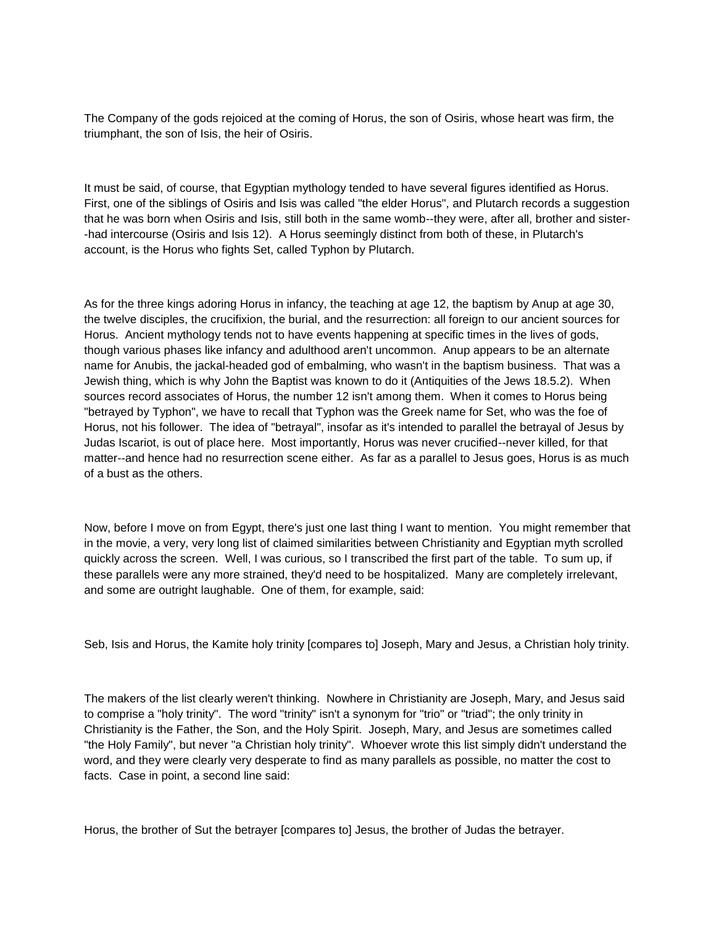The Company of the gods rejoiced at the coming of Horus, the son of Osiris, whose heart was firm, the triumphant, the son of Isis, the heir of Osiris.

It must be said, of course, that Egyptian mythology tended to have several figures identified as Horus. First, one of the siblings of Osiris and Isis was called "the elder Horus", and Plutarch records a suggestion that he was born when Osiris and Isis, still both in the same womb--they were, after all, brother and sister- -had intercourse (Osiris and Isis 12). A Horus seemingly distinct from both of these, in Plutarch's account, is the Horus who fights Set, called Typhon by Plutarch.

As for the three kings adoring Horus in infancy, the teaching at age 12, the baptism by Anup at age 30, the twelve disciples, the crucifixion, the burial, and the resurrection: all foreign to our ancient sources for Horus. Ancient mythology tends not to have events happening at specific times in the lives of gods, though various phases like infancy and adulthood aren't uncommon. Anup appears to be an alternate name for Anubis, the jackal-headed god of embalming, who wasn't in the baptism business. That was a Jewish thing, which is why John the Baptist was known to do it (Antiquities of the Jews 18.5.2). When sources record associates of Horus, the number 12 isn't among them. When it comes to Horus being "betrayed by Typhon", we have to recall that Typhon was the Greek name for Set, who was the foe of Horus, not his follower. The idea of "betrayal", insofar as it's intended to parallel the betrayal of Jesus by Judas Iscariot, is out of place here. Most importantly, Horus was never crucified--never killed, for that matter--and hence had no resurrection scene either. As far as a parallel to Jesus goes, Horus is as much of a bust as the others.

Now, before I move on from Egypt, there's just one last thing I want to mention. You might remember that in the movie, a very, very long list of claimed similarities between Christianity and Egyptian myth scrolled quickly across the screen. Well, I was curious, so I transcribed the first part of the table. To sum up, if these parallels were any more strained, they'd need to be hospitalized. Many are completely irrelevant, and some are outright laughable. One of them, for example, said:

Seb, Isis and Horus, the Kamite holy trinity [compares to] Joseph, Mary and Jesus, a Christian holy trinity.

The makers of the list clearly weren't thinking. Nowhere in Christianity are Joseph, Mary, and Jesus said to comprise a "holy trinity". The word "trinity" isn't a synonym for "trio" or "triad"; the only trinity in Christianity is the Father, the Son, and the Holy Spirit. Joseph, Mary, and Jesus are sometimes called "the Holy Family", but never "a Christian holy trinity". Whoever wrote this list simply didn't understand the word, and they were clearly very desperate to find as many parallels as possible, no matter the cost to facts. Case in point, a second line said:

Horus, the brother of Sut the betrayer [compares to] Jesus, the brother of Judas the betrayer.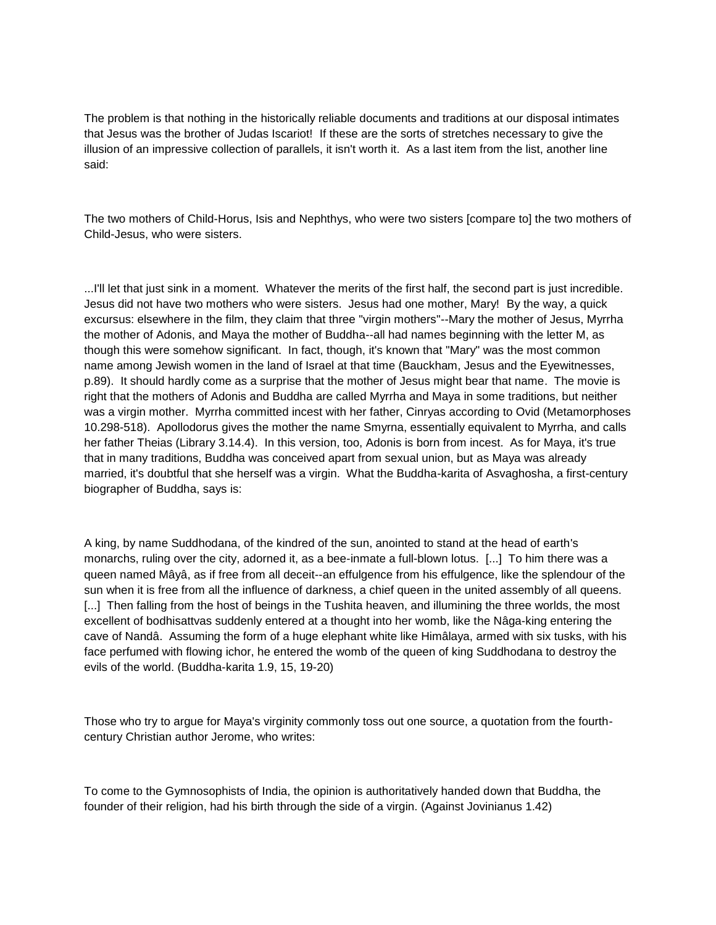The problem is that nothing in the historically reliable documents and traditions at our disposal intimates that Jesus was the brother of Judas Iscariot! If these are the sorts of stretches necessary to give the illusion of an impressive collection of parallels, it isn't worth it. As a last item from the list, another line said:

The two mothers of Child-Horus, Isis and Nephthys, who were two sisters [compare to] the two mothers of Child-Jesus, who were sisters.

...I'll let that just sink in a moment. Whatever the merits of the first half, the second part is just incredible. Jesus did not have two mothers who were sisters. Jesus had one mother, Mary! By the way, a quick excursus: elsewhere in the film, they claim that three "virgin mothers"--Mary the mother of Jesus, Myrrha the mother of Adonis, and Maya the mother of Buddha--all had names beginning with the letter M, as though this were somehow significant. In fact, though, it's known that "Mary" was the most common name among Jewish women in the land of Israel at that time (Bauckham, Jesus and the Eyewitnesses, p.89). It should hardly come as a surprise that the mother of Jesus might bear that name. The movie is right that the mothers of Adonis and Buddha are called Myrrha and Maya in some traditions, but neither was a virgin mother. Myrrha committed incest with her father, Cinryas according to Ovid (Metamorphoses 10.298-518). Apollodorus gives the mother the name Smyrna, essentially equivalent to Myrrha, and calls her father Theias (Library 3.14.4). In this version, too, Adonis is born from incest. As for Maya, it's true that in many traditions, Buddha was conceived apart from sexual union, but as Maya was already married, it's doubtful that she herself was a virgin. What the Buddha-karita of Asvaghosha, a first-century biographer of Buddha, says is:

A king, by name Suddhodana, of the kindred of the sun, anointed to stand at the head of earth's monarchs, ruling over the city, adorned it, as a bee-inmate a full-blown lotus. [...] To him there was a queen named Mâyâ, as if free from all deceit--an effulgence from his effulgence, like the splendour of the sun when it is free from all the influence of darkness, a chief queen in the united assembly of all queens. [...] Then falling from the host of beings in the Tushita heaven, and illumining the three worlds, the most excellent of bodhisattvas suddenly entered at a thought into her womb, like the Nâga-king entering the cave of Nandâ. Assuming the form of a huge elephant white like Himâlaya, armed with six tusks, with his face perfumed with flowing ichor, he entered the womb of the queen of king Suddhodana to destroy the evils of the world. (Buddha-karita 1.9, 15, 19-20)

Those who try to argue for Maya's virginity commonly toss out one source, a quotation from the fourthcentury Christian author Jerome, who writes:

To come to the Gymnosophists of India, the opinion is authoritatively handed down that Buddha, the founder of their religion, had his birth through the side of a virgin. (Against Jovinianus 1.42)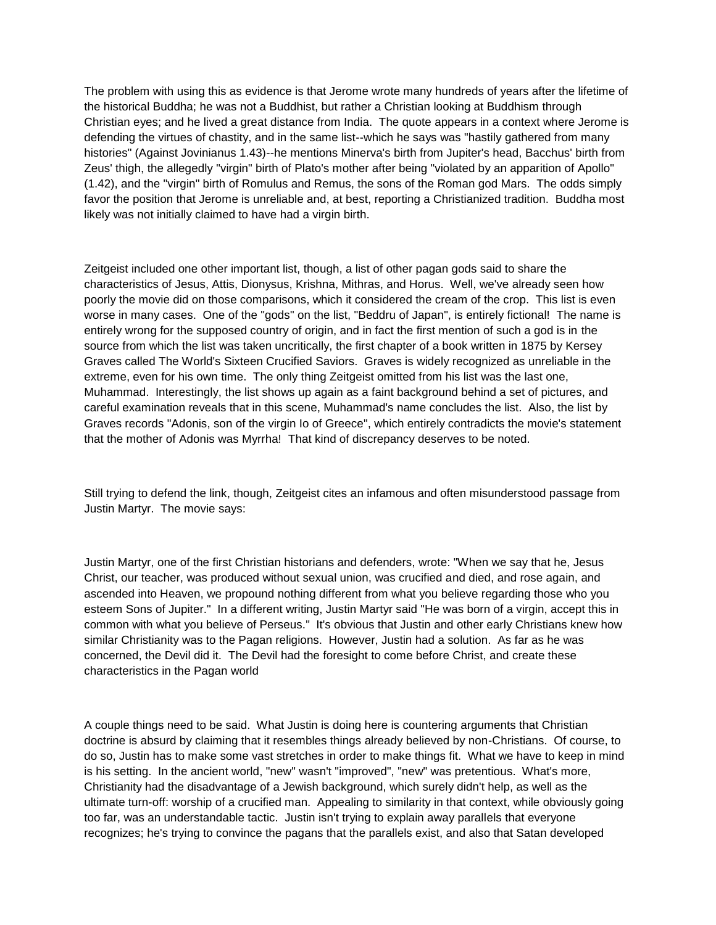The problem with using this as evidence is that Jerome wrote many hundreds of years after the lifetime of the historical Buddha; he was not a Buddhist, but rather a Christian looking at Buddhism through Christian eyes; and he lived a great distance from India. The quote appears in a context where Jerome is defending the virtues of chastity, and in the same list--which he says was "hastily gathered from many histories" (Against Jovinianus 1.43)--he mentions Minerva's birth from Jupiter's head, Bacchus' birth from Zeus' thigh, the allegedly "virgin" birth of Plato's mother after being "violated by an apparition of Apollo" (1.42), and the "virgin" birth of Romulus and Remus, the sons of the Roman god Mars. The odds simply favor the position that Jerome is unreliable and, at best, reporting a Christianized tradition. Buddha most likely was not initially claimed to have had a virgin birth.

Zeitgeist included one other important list, though, a list of other pagan gods said to share the characteristics of Jesus, Attis, Dionysus, Krishna, Mithras, and Horus. Well, we've already seen how poorly the movie did on those comparisons, which it considered the cream of the crop. This list is even worse in many cases. One of the "gods" on the list, "Beddru of Japan", is entirely fictional! The name is entirely wrong for the supposed country of origin, and in fact the first mention of such a god is in the source from which the list was taken uncritically, the first chapter of a book written in 1875 by Kersey Graves called The World's Sixteen Crucified Saviors. Graves is widely recognized as unreliable in the extreme, even for his own time. The only thing Zeitgeist omitted from his list was the last one, Muhammad. Interestingly, the list shows up again as a faint background behind a set of pictures, and careful examination reveals that in this scene, Muhammad's name concludes the list. Also, the list by Graves records "Adonis, son of the virgin Io of Greece", which entirely contradicts the movie's statement that the mother of Adonis was Myrrha! That kind of discrepancy deserves to be noted.

Still trying to defend the link, though, Zeitgeist cites an infamous and often misunderstood passage from Justin Martyr. The movie says:

Justin Martyr, one of the first Christian historians and defenders, wrote: "When we say that he, Jesus Christ, our teacher, was produced without sexual union, was crucified and died, and rose again, and ascended into Heaven, we propound nothing different from what you believe regarding those who you esteem Sons of Jupiter." In a different writing, Justin Martyr said "He was born of a virgin, accept this in common with what you believe of Perseus." It's obvious that Justin and other early Christians knew how similar Christianity was to the Pagan religions. However, Justin had a solution. As far as he was concerned, the Devil did it. The Devil had the foresight to come before Christ, and create these characteristics in the Pagan world

A couple things need to be said. What Justin is doing here is countering arguments that Christian doctrine is absurd by claiming that it resembles things already believed by non-Christians. Of course, to do so, Justin has to make some vast stretches in order to make things fit. What we have to keep in mind is his setting. In the ancient world, "new" wasn't "improved", "new" was pretentious. What's more, Christianity had the disadvantage of a Jewish background, which surely didn't help, as well as the ultimate turn-off: worship of a crucified man. Appealing to similarity in that context, while obviously going too far, was an understandable tactic. Justin isn't trying to explain away parallels that everyone recognizes; he's trying to convince the pagans that the parallels exist, and also that Satan developed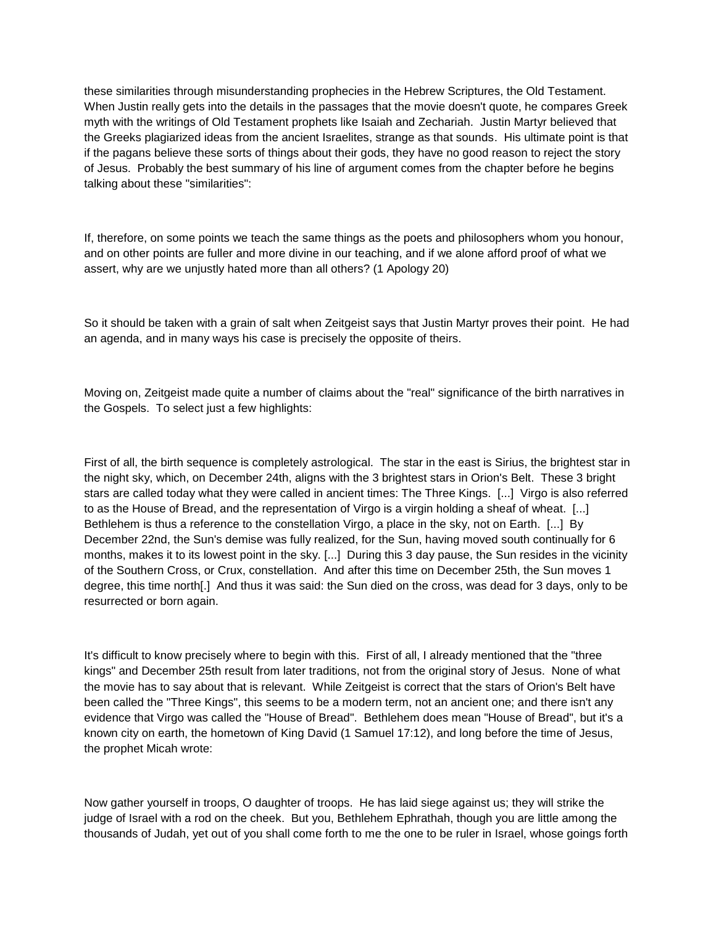these similarities through misunderstanding prophecies in the Hebrew Scriptures, the Old Testament. When Justin really gets into the details in the passages that the movie doesn't quote, he compares Greek myth with the writings of Old Testament prophets like Isaiah and Zechariah. Justin Martyr believed that the Greeks plagiarized ideas from the ancient Israelites, strange as that sounds. His ultimate point is that if the pagans believe these sorts of things about their gods, they have no good reason to reject the story of Jesus. Probably the best summary of his line of argument comes from the chapter before he begins talking about these "similarities":

If, therefore, on some points we teach the same things as the poets and philosophers whom you honour, and on other points are fuller and more divine in our teaching, and if we alone afford proof of what we assert, why are we unjustly hated more than all others? (1 Apology 20)

So it should be taken with a grain of salt when Zeitgeist says that Justin Martyr proves their point. He had an agenda, and in many ways his case is precisely the opposite of theirs.

Moving on, Zeitgeist made quite a number of claims about the "real" significance of the birth narratives in the Gospels. To select just a few highlights:

First of all, the birth sequence is completely astrological. The star in the east is Sirius, the brightest star in the night sky, which, on December 24th, aligns with the 3 brightest stars in Orion's Belt. These 3 bright stars are called today what they were called in ancient times: The Three Kings. [...] Virgo is also referred to as the House of Bread, and the representation of Virgo is a virgin holding a sheaf of wheat. [...] Bethlehem is thus a reference to the constellation Virgo, a place in the sky, not on Earth. [...] By December 22nd, the Sun's demise was fully realized, for the Sun, having moved south continually for 6 months, makes it to its lowest point in the sky. [...] During this 3 day pause, the Sun resides in the vicinity of the Southern Cross, or Crux, constellation. And after this time on December 25th, the Sun moves 1 degree, this time north[.] And thus it was said: the Sun died on the cross, was dead for 3 days, only to be resurrected or born again.

It's difficult to know precisely where to begin with this. First of all, I already mentioned that the "three kings" and December 25th result from later traditions, not from the original story of Jesus. None of what the movie has to say about that is relevant. While Zeitgeist is correct that the stars of Orion's Belt have been called the "Three Kings", this seems to be a modern term, not an ancient one; and there isn't any evidence that Virgo was called the "House of Bread". Bethlehem does mean "House of Bread", but it's a known city on earth, the hometown of King David (1 Samuel 17:12), and long before the time of Jesus, the prophet Micah wrote:

Now gather yourself in troops, O daughter of troops. He has laid siege against us; they will strike the judge of Israel with a rod on the cheek. But you, Bethlehem Ephrathah, though you are little among the thousands of Judah, yet out of you shall come forth to me the one to be ruler in Israel, whose goings forth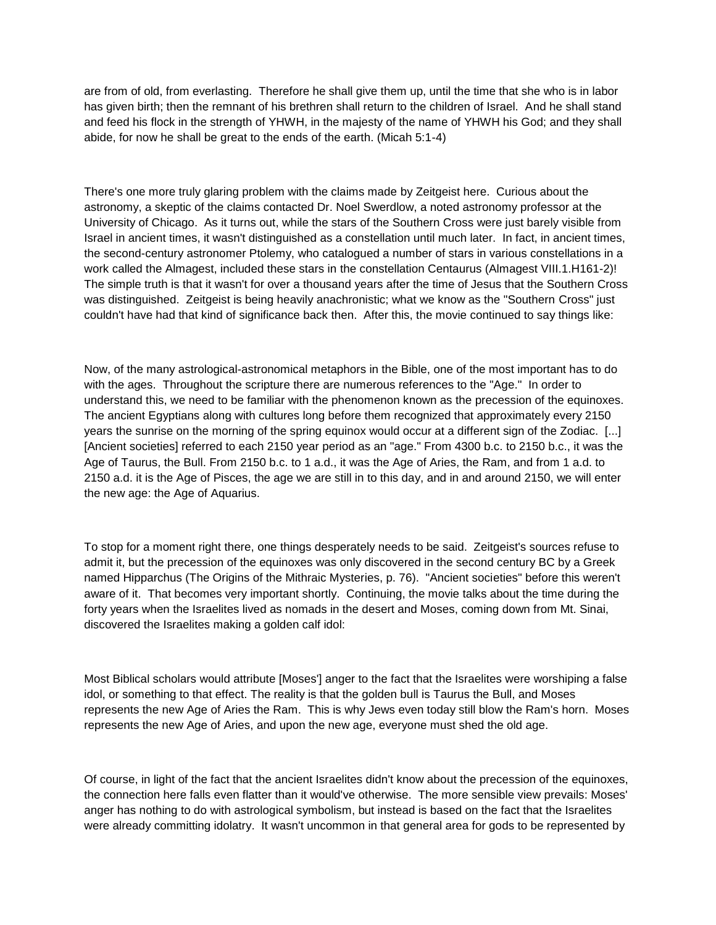are from of old, from everlasting. Therefore he shall give them up, until the time that she who is in labor has given birth; then the remnant of his brethren shall return to the children of Israel. And he shall stand and feed his flock in the strength of YHWH, in the majesty of the name of YHWH his God; and they shall abide, for now he shall be great to the ends of the earth. (Micah 5:1-4)

There's one more truly glaring problem with the claims made by Zeitgeist here. Curious about the astronomy, a skeptic of the claims contacted Dr. Noel Swerdlow, a noted astronomy professor at the University of Chicago. As it turns out, while the stars of the Southern Cross were just barely visible from Israel in ancient times, it wasn't distinguished as a constellation until much later. In fact, in ancient times, the second-century astronomer Ptolemy, who catalogued a number of stars in various constellations in a work called the Almagest, included these stars in the constellation Centaurus (Almagest VIII.1.H161-2)! The simple truth is that it wasn't for over a thousand years after the time of Jesus that the Southern Cross was distinguished. Zeitgeist is being heavily anachronistic; what we know as the "Southern Cross" just couldn't have had that kind of significance back then. After this, the movie continued to say things like:

Now, of the many astrological-astronomical metaphors in the Bible, one of the most important has to do with the ages. Throughout the scripture there are numerous references to the "Age." In order to understand this, we need to be familiar with the phenomenon known as the precession of the equinoxes. The ancient Egyptians along with cultures long before them recognized that approximately every 2150 years the sunrise on the morning of the spring equinox would occur at a different sign of the Zodiac. [...] [Ancient societies] referred to each 2150 year period as an "age." From 4300 b.c. to 2150 b.c., it was the Age of Taurus, the Bull. From 2150 b.c. to 1 a.d., it was the Age of Aries, the Ram, and from 1 a.d. to 2150 a.d. it is the Age of Pisces, the age we are still in to this day, and in and around 2150, we will enter the new age: the Age of Aquarius.

To stop for a moment right there, one things desperately needs to be said. Zeitgeist's sources refuse to admit it, but the precession of the equinoxes was only discovered in the second century BC by a Greek named Hipparchus (The Origins of the Mithraic Mysteries, p. 76). "Ancient societies" before this weren't aware of it. That becomes very important shortly. Continuing, the movie talks about the time during the forty years when the Israelites lived as nomads in the desert and Moses, coming down from Mt. Sinai, discovered the Israelites making a golden calf idol:

Most Biblical scholars would attribute [Moses'] anger to the fact that the Israelites were worshiping a false idol, or something to that effect. The reality is that the golden bull is Taurus the Bull, and Moses represents the new Age of Aries the Ram. This is why Jews even today still blow the Ram's horn. Moses represents the new Age of Aries, and upon the new age, everyone must shed the old age.

Of course, in light of the fact that the ancient Israelites didn't know about the precession of the equinoxes, the connection here falls even flatter than it would've otherwise. The more sensible view prevails: Moses' anger has nothing to do with astrological symbolism, but instead is based on the fact that the Israelites were already committing idolatry. It wasn't uncommon in that general area for gods to be represented by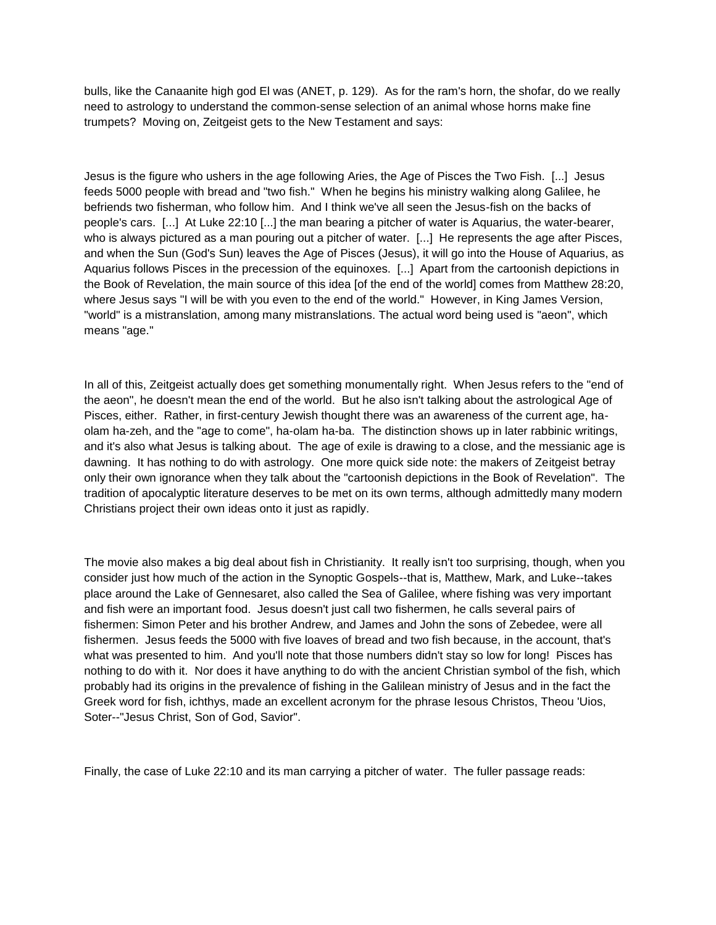bulls, like the Canaanite high god El was (ANET, p. 129). As for the ram's horn, the shofar, do we really need to astrology to understand the common-sense selection of an animal whose horns make fine trumpets? Moving on, Zeitgeist gets to the New Testament and says:

Jesus is the figure who ushers in the age following Aries, the Age of Pisces the Two Fish. [...] Jesus feeds 5000 people with bread and "two fish." When he begins his ministry walking along Galilee, he befriends two fisherman, who follow him. And I think we've all seen the Jesus-fish on the backs of people's cars. [...] At Luke 22:10 [...] the man bearing a pitcher of water is Aquarius, the water-bearer, who is always pictured as a man pouring out a pitcher of water. [...] He represents the age after Pisces, and when the Sun (God's Sun) leaves the Age of Pisces (Jesus), it will go into the House of Aquarius, as Aquarius follows Pisces in the precession of the equinoxes. [...] Apart from the cartoonish depictions in the Book of Revelation, the main source of this idea [of the end of the world] comes from Matthew 28:20, where Jesus says "I will be with you even to the end of the world." However, in King James Version, "world" is a mistranslation, among many mistranslations. The actual word being used is "aeon", which means "age."

In all of this, Zeitgeist actually does get something monumentally right. When Jesus refers to the "end of the aeon", he doesn't mean the end of the world. But he also isn't talking about the astrological Age of Pisces, either. Rather, in first-century Jewish thought there was an awareness of the current age, haolam ha-zeh, and the "age to come", ha-olam ha-ba. The distinction shows up in later rabbinic writings, and it's also what Jesus is talking about. The age of exile is drawing to a close, and the messianic age is dawning. It has nothing to do with astrology. One more quick side note: the makers of Zeitgeist betray only their own ignorance when they talk about the "cartoonish depictions in the Book of Revelation". The tradition of apocalyptic literature deserves to be met on its own terms, although admittedly many modern Christians project their own ideas onto it just as rapidly.

The movie also makes a big deal about fish in Christianity. It really isn't too surprising, though, when you consider just how much of the action in the Synoptic Gospels--that is, Matthew, Mark, and Luke--takes place around the Lake of Gennesaret, also called the Sea of Galilee, where fishing was very important and fish were an important food. Jesus doesn't just call two fishermen, he calls several pairs of fishermen: Simon Peter and his brother Andrew, and James and John the sons of Zebedee, were all fishermen. Jesus feeds the 5000 with five loaves of bread and two fish because, in the account, that's what was presented to him. And you'll note that those numbers didn't stay so low for long! Pisces has nothing to do with it. Nor does it have anything to do with the ancient Christian symbol of the fish, which probably had its origins in the prevalence of fishing in the Galilean ministry of Jesus and in the fact the Greek word for fish, ichthys, made an excellent acronym for the phrase Iesous Christos, Theou 'Uios, Soter--"Jesus Christ, Son of God, Savior".

Finally, the case of Luke 22:10 and its man carrying a pitcher of water. The fuller passage reads: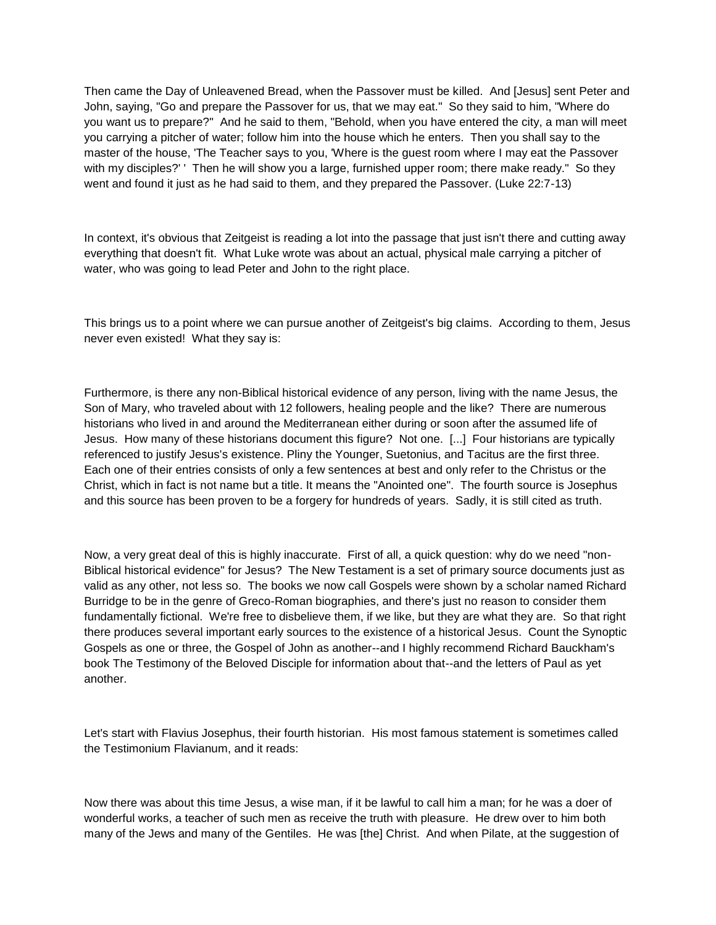Then came the Day of Unleavened Bread, when the Passover must be killed. And [Jesus] sent Peter and John, saying, "Go and prepare the Passover for us, that we may eat." So they said to him, "Where do you want us to prepare?" And he said to them, "Behold, when you have entered the city, a man will meet you carrying a pitcher of water; follow him into the house which he enters. Then you shall say to the master of the house, 'The Teacher says to you, 'Where is the guest room where I may eat the Passover with my disciples?' ' Then he will show you a large, furnished upper room; there make ready." So they went and found it just as he had said to them, and they prepared the Passover. (Luke 22:7-13)

In context, it's obvious that Zeitgeist is reading a lot into the passage that just isn't there and cutting away everything that doesn't fit. What Luke wrote was about an actual, physical male carrying a pitcher of water, who was going to lead Peter and John to the right place.

This brings us to a point where we can pursue another of Zeitgeist's big claims. According to them, Jesus never even existed! What they say is:

Furthermore, is there any non-Biblical historical evidence of any person, living with the name Jesus, the Son of Mary, who traveled about with 12 followers, healing people and the like? There are numerous historians who lived in and around the Mediterranean either during or soon after the assumed life of Jesus. How many of these historians document this figure? Not one. [...] Four historians are typically referenced to justify Jesus's existence. Pliny the Younger, Suetonius, and Tacitus are the first three. Each one of their entries consists of only a few sentences at best and only refer to the Christus or the Christ, which in fact is not name but a title. It means the "Anointed one". The fourth source is Josephus and this source has been proven to be a forgery for hundreds of years. Sadly, it is still cited as truth.

Now, a very great deal of this is highly inaccurate. First of all, a quick question: why do we need "non-Biblical historical evidence" for Jesus? The New Testament is a set of primary source documents just as valid as any other, not less so. The books we now call Gospels were shown by a scholar named Richard Burridge to be in the genre of Greco-Roman biographies, and there's just no reason to consider them fundamentally fictional. We're free to disbelieve them, if we like, but they are what they are. So that right there produces several important early sources to the existence of a historical Jesus. Count the Synoptic Gospels as one or three, the Gospel of John as another--and I highly recommend Richard Bauckham's book The Testimony of the Beloved Disciple for information about that--and the letters of Paul as yet another.

Let's start with Flavius Josephus, their fourth historian. His most famous statement is sometimes called the Testimonium Flavianum, and it reads:

Now there was about this time Jesus, a wise man, if it be lawful to call him a man; for he was a doer of wonderful works, a teacher of such men as receive the truth with pleasure. He drew over to him both many of the Jews and many of the Gentiles. He was [the] Christ. And when Pilate, at the suggestion of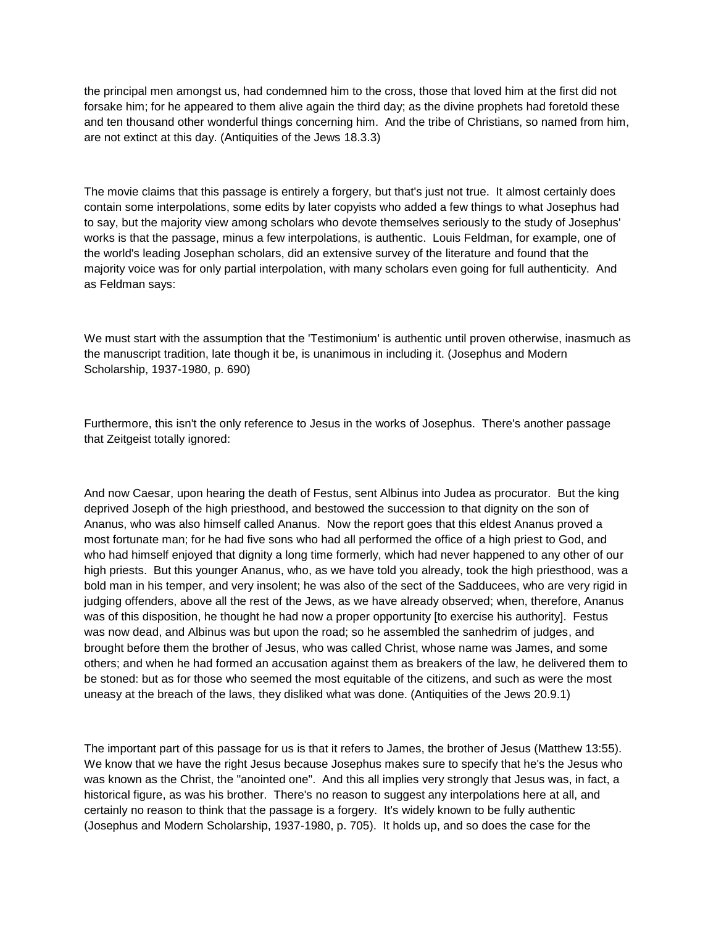the principal men amongst us, had condemned him to the cross, those that loved him at the first did not forsake him; for he appeared to them alive again the third day; as the divine prophets had foretold these and ten thousand other wonderful things concerning him. And the tribe of Christians, so named from him, are not extinct at this day. (Antiquities of the Jews 18.3.3)

The movie claims that this passage is entirely a forgery, but that's just not true. It almost certainly does contain some interpolations, some edits by later copyists who added a few things to what Josephus had to say, but the majority view among scholars who devote themselves seriously to the study of Josephus' works is that the passage, minus a few interpolations, is authentic. Louis Feldman, for example, one of the world's leading Josephan scholars, did an extensive survey of the literature and found that the majority voice was for only partial interpolation, with many scholars even going for full authenticity. And as Feldman says:

We must start with the assumption that the 'Testimonium' is authentic until proven otherwise, inasmuch as the manuscript tradition, late though it be, is unanimous in including it. (Josephus and Modern Scholarship, 1937-1980, p. 690)

Furthermore, this isn't the only reference to Jesus in the works of Josephus. There's another passage that Zeitgeist totally ignored:

And now Caesar, upon hearing the death of Festus, sent Albinus into Judea as procurator. But the king deprived Joseph of the high priesthood, and bestowed the succession to that dignity on the son of Ananus, who was also himself called Ananus. Now the report goes that this eldest Ananus proved a most fortunate man; for he had five sons who had all performed the office of a high priest to God, and who had himself enjoyed that dignity a long time formerly, which had never happened to any other of our high priests. But this younger Ananus, who, as we have told you already, took the high priesthood, was a bold man in his temper, and very insolent; he was also of the sect of the Sadducees, who are very rigid in judging offenders, above all the rest of the Jews, as we have already observed; when, therefore, Ananus was of this disposition, he thought he had now a proper opportunity [to exercise his authority]. Festus was now dead, and Albinus was but upon the road; so he assembled the sanhedrim of judges, and brought before them the brother of Jesus, who was called Christ, whose name was James, and some others; and when he had formed an accusation against them as breakers of the law, he delivered them to be stoned: but as for those who seemed the most equitable of the citizens, and such as were the most uneasy at the breach of the laws, they disliked what was done. (Antiquities of the Jews 20.9.1)

The important part of this passage for us is that it refers to James, the brother of Jesus (Matthew 13:55). We know that we have the right Jesus because Josephus makes sure to specify that he's the Jesus who was known as the Christ, the "anointed one". And this all implies very strongly that Jesus was, in fact, a historical figure, as was his brother. There's no reason to suggest any interpolations here at all, and certainly no reason to think that the passage is a forgery. It's widely known to be fully authentic (Josephus and Modern Scholarship, 1937-1980, p. 705). It holds up, and so does the case for the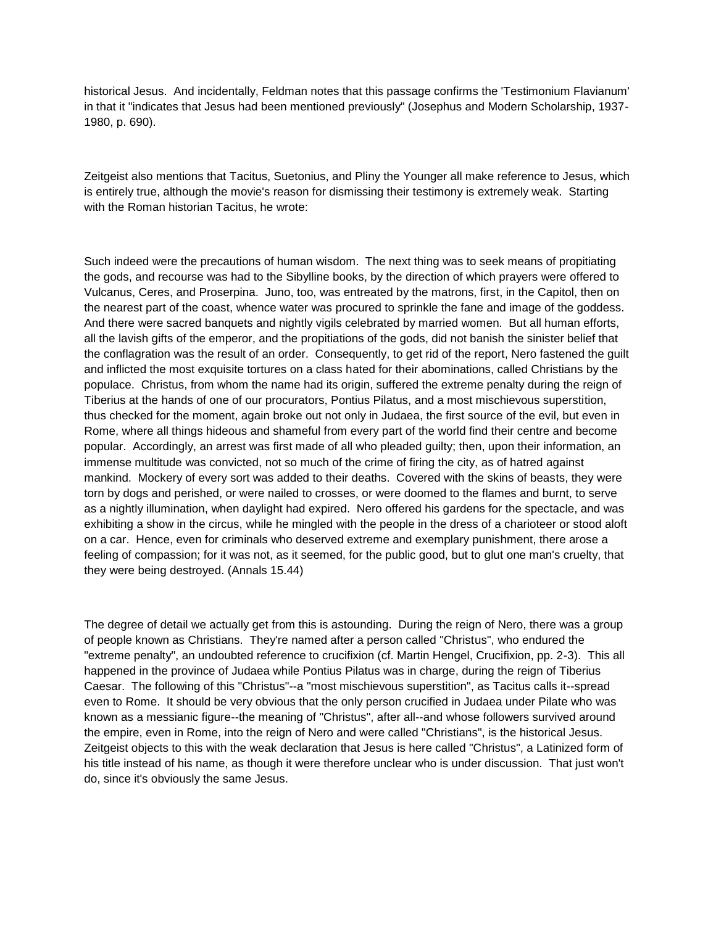historical Jesus. And incidentally, Feldman notes that this passage confirms the 'Testimonium Flavianum' in that it "indicates that Jesus had been mentioned previously" (Josephus and Modern Scholarship, 1937- 1980, p. 690).

Zeitgeist also mentions that Tacitus, Suetonius, and Pliny the Younger all make reference to Jesus, which is entirely true, although the movie's reason for dismissing their testimony is extremely weak. Starting with the Roman historian Tacitus, he wrote:

Such indeed were the precautions of human wisdom. The next thing was to seek means of propitiating the gods, and recourse was had to the Sibylline books, by the direction of which prayers were offered to Vulcanus, Ceres, and Proserpina. Juno, too, was entreated by the matrons, first, in the Capitol, then on the nearest part of the coast, whence water was procured to sprinkle the fane and image of the goddess. And there were sacred banquets and nightly vigils celebrated by married women. But all human efforts, all the lavish gifts of the emperor, and the propitiations of the gods, did not banish the sinister belief that the conflagration was the result of an order. Consequently, to get rid of the report, Nero fastened the guilt and inflicted the most exquisite tortures on a class hated for their abominations, called Christians by the populace. Christus, from whom the name had its origin, suffered the extreme penalty during the reign of Tiberius at the hands of one of our procurators, Pontius Pilatus, and a most mischievous superstition, thus checked for the moment, again broke out not only in Judaea, the first source of the evil, but even in Rome, where all things hideous and shameful from every part of the world find their centre and become popular. Accordingly, an arrest was first made of all who pleaded guilty; then, upon their information, an immense multitude was convicted, not so much of the crime of firing the city, as of hatred against mankind. Mockery of every sort was added to their deaths. Covered with the skins of beasts, they were torn by dogs and perished, or were nailed to crosses, or were doomed to the flames and burnt, to serve as a nightly illumination, when daylight had expired. Nero offered his gardens for the spectacle, and was exhibiting a show in the circus, while he mingled with the people in the dress of a charioteer or stood aloft on a car. Hence, even for criminals who deserved extreme and exemplary punishment, there arose a feeling of compassion; for it was not, as it seemed, for the public good, but to glut one man's cruelty, that they were being destroyed. (Annals 15.44)

The degree of detail we actually get from this is astounding. During the reign of Nero, there was a group of people known as Christians. They're named after a person called "Christus", who endured the "extreme penalty", an undoubted reference to crucifixion (cf. Martin Hengel, Crucifixion, pp. 2-3). This all happened in the province of Judaea while Pontius Pilatus was in charge, during the reign of Tiberius Caesar. The following of this "Christus"--a "most mischievous superstition", as Tacitus calls it--spread even to Rome. It should be very obvious that the only person crucified in Judaea under Pilate who was known as a messianic figure--the meaning of "Christus", after all--and whose followers survived around the empire, even in Rome, into the reign of Nero and were called "Christians", is the historical Jesus. Zeitgeist objects to this with the weak declaration that Jesus is here called "Christus", a Latinized form of his title instead of his name, as though it were therefore unclear who is under discussion. That just won't do, since it's obviously the same Jesus.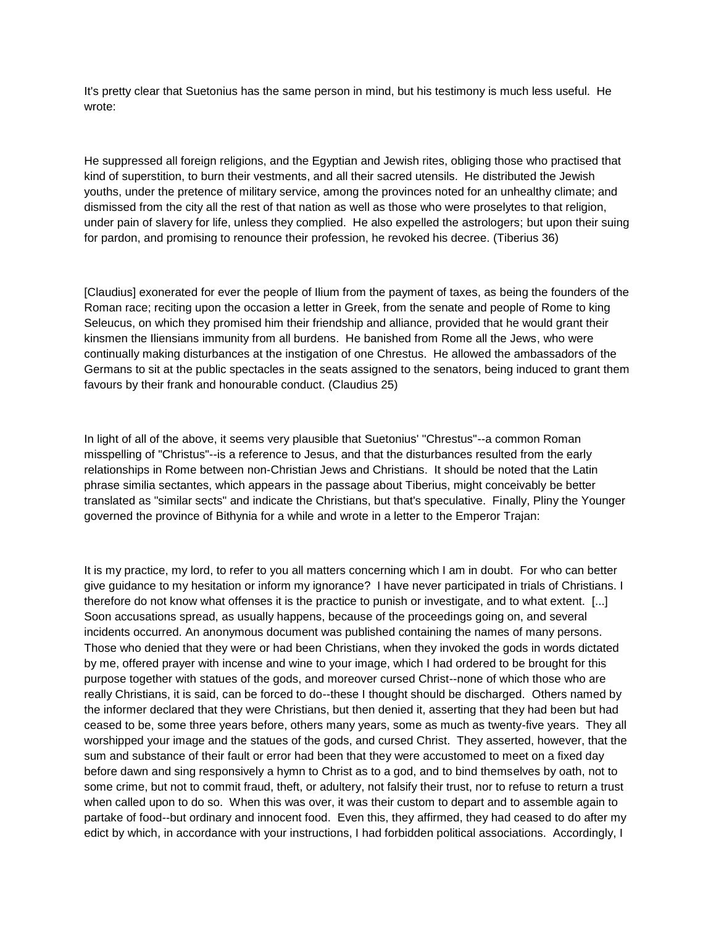It's pretty clear that Suetonius has the same person in mind, but his testimony is much less useful. He wrote:

He suppressed all foreign religions, and the Egyptian and Jewish rites, obliging those who practised that kind of superstition, to burn their vestments, and all their sacred utensils. He distributed the Jewish youths, under the pretence of military service, among the provinces noted for an unhealthy climate; and dismissed from the city all the rest of that nation as well as those who were proselytes to that religion, under pain of slavery for life, unless they complied. He also expelled the astrologers; but upon their suing for pardon, and promising to renounce their profession, he revoked his decree. (Tiberius 36)

[Claudius] exonerated for ever the people of Ilium from the payment of taxes, as being the founders of the Roman race; reciting upon the occasion a letter in Greek, from the senate and people of Rome to king Seleucus, on which they promised him their friendship and alliance, provided that he would grant their kinsmen the Iliensians immunity from all burdens. He banished from Rome all the Jews, who were continually making disturbances at the instigation of one Chrestus. He allowed the ambassadors of the Germans to sit at the public spectacles in the seats assigned to the senators, being induced to grant them favours by their frank and honourable conduct. (Claudius 25)

In light of all of the above, it seems very plausible that Suetonius' "Chrestus"--a common Roman misspelling of "Christus"--is a reference to Jesus, and that the disturbances resulted from the early relationships in Rome between non-Christian Jews and Christians. It should be noted that the Latin phrase similia sectantes, which appears in the passage about Tiberius, might conceivably be better translated as "similar sects" and indicate the Christians, but that's speculative. Finally, Pliny the Younger governed the province of Bithynia for a while and wrote in a letter to the Emperor Trajan:

It is my practice, my lord, to refer to you all matters concerning which I am in doubt. For who can better give guidance to my hesitation or inform my ignorance? I have never participated in trials of Christians. I therefore do not know what offenses it is the practice to punish or investigate, and to what extent. [...] Soon accusations spread, as usually happens, because of the proceedings going on, and several incidents occurred. An anonymous document was published containing the names of many persons. Those who denied that they were or had been Christians, when they invoked the gods in words dictated by me, offered prayer with incense and wine to your image, which I had ordered to be brought for this purpose together with statues of the gods, and moreover cursed Christ--none of which those who are really Christians, it is said, can be forced to do--these I thought should be discharged. Others named by the informer declared that they were Christians, but then denied it, asserting that they had been but had ceased to be, some three years before, others many years, some as much as twenty-five years. They all worshipped your image and the statues of the gods, and cursed Christ. They asserted, however, that the sum and substance of their fault or error had been that they were accustomed to meet on a fixed day before dawn and sing responsively a hymn to Christ as to a god, and to bind themselves by oath, not to some crime, but not to commit fraud, theft, or adultery, not falsify their trust, nor to refuse to return a trust when called upon to do so. When this was over, it was their custom to depart and to assemble again to partake of food--but ordinary and innocent food. Even this, they affirmed, they had ceased to do after my edict by which, in accordance with your instructions, I had forbidden political associations. Accordingly, I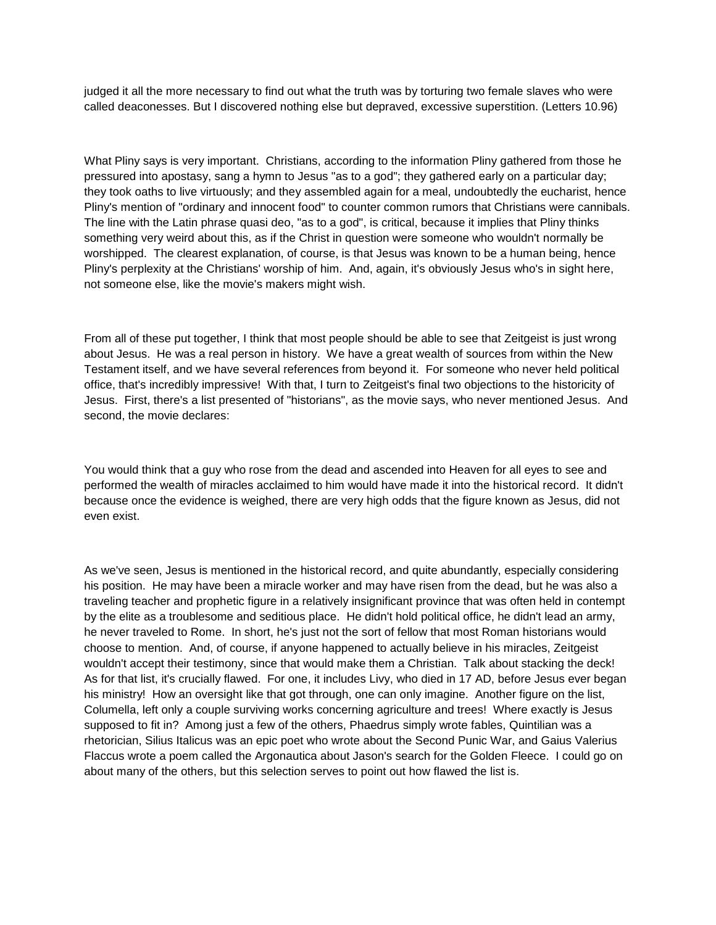judged it all the more necessary to find out what the truth was by torturing two female slaves who were called deaconesses. But I discovered nothing else but depraved, excessive superstition. (Letters 10.96)

What Pliny says is very important. Christians, according to the information Pliny gathered from those he pressured into apostasy, sang a hymn to Jesus "as to a god"; they gathered early on a particular day; they took oaths to live virtuously; and they assembled again for a meal, undoubtedly the eucharist, hence Pliny's mention of "ordinary and innocent food" to counter common rumors that Christians were cannibals. The line with the Latin phrase quasi deo, "as to a god", is critical, because it implies that Pliny thinks something very weird about this, as if the Christ in question were someone who wouldn't normally be worshipped. The clearest explanation, of course, is that Jesus was known to be a human being, hence Pliny's perplexity at the Christians' worship of him. And, again, it's obviously Jesus who's in sight here, not someone else, like the movie's makers might wish.

From all of these put together, I think that most people should be able to see that Zeitgeist is just wrong about Jesus. He was a real person in history. We have a great wealth of sources from within the New Testament itself, and we have several references from beyond it. For someone who never held political office, that's incredibly impressive! With that, I turn to Zeitgeist's final two objections to the historicity of Jesus. First, there's a list presented of "historians", as the movie says, who never mentioned Jesus. And second, the movie declares:

You would think that a guy who rose from the dead and ascended into Heaven for all eyes to see and performed the wealth of miracles acclaimed to him would have made it into the historical record. It didn't because once the evidence is weighed, there are very high odds that the figure known as Jesus, did not even exist.

As we've seen, Jesus is mentioned in the historical record, and quite abundantly, especially considering his position. He may have been a miracle worker and may have risen from the dead, but he was also a traveling teacher and prophetic figure in a relatively insignificant province that was often held in contempt by the elite as a troublesome and seditious place. He didn't hold political office, he didn't lead an army, he never traveled to Rome. In short, he's just not the sort of fellow that most Roman historians would choose to mention. And, of course, if anyone happened to actually believe in his miracles, Zeitgeist wouldn't accept their testimony, since that would make them a Christian. Talk about stacking the deck! As for that list, it's crucially flawed. For one, it includes Livy, who died in 17 AD, before Jesus ever began his ministry! How an oversight like that got through, one can only imagine. Another figure on the list, Columella, left only a couple surviving works concerning agriculture and trees! Where exactly is Jesus supposed to fit in? Among just a few of the others, Phaedrus simply wrote fables, Quintilian was a rhetorician, Silius Italicus was an epic poet who wrote about the Second Punic War, and Gaius Valerius Flaccus wrote a poem called the Argonautica about Jason's search for the Golden Fleece. I could go on about many of the others, but this selection serves to point out how flawed the list is.